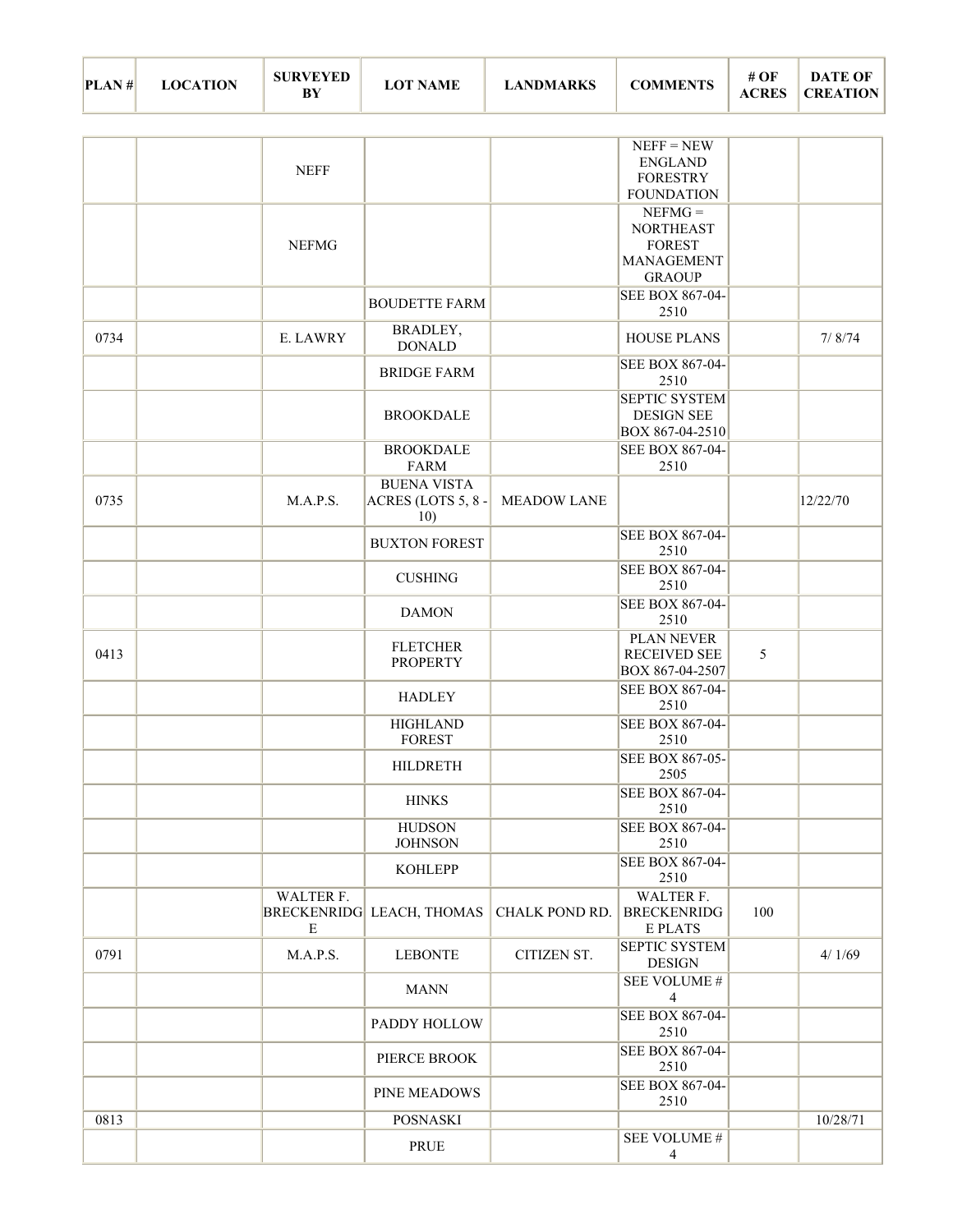|      | <b>NEFF</b>    |                                                 |                    | $NEFF = NEW$<br><b>ENGLAND</b><br><b>FORESTRY</b><br><b>FOUNDATION</b><br>$NEFMG =$ |     |          |
|------|----------------|-------------------------------------------------|--------------------|-------------------------------------------------------------------------------------|-----|----------|
|      | <b>NEFMG</b>   |                                                 |                    | <b>NORTHEAST</b><br><b>FOREST</b><br>MANAGEMENT<br><b>GRAOUP</b>                    |     |          |
|      |                | <b>BOUDETTE FARM</b>                            |                    | SEE BOX 867-04-<br>2510                                                             |     |          |
| 0734 | E. LAWRY       | BRADLEY,<br><b>DONALD</b>                       |                    | <b>HOUSE PLANS</b>                                                                  |     | 7/8/74   |
|      |                | <b>BRIDGE FARM</b>                              |                    | SEE BOX 867-04-<br>2510                                                             |     |          |
|      |                | <b>BROOKDALE</b>                                |                    | SEPTIC SYSTEM<br><b>DESIGN SEE</b><br>BOX 867-04-2510                               |     |          |
|      |                | <b>BROOKDALE</b><br><b>FARM</b>                 |                    | <b>SEE BOX 867-04-</b><br>2510                                                      |     |          |
| 0735 | M.A.P.S.       | <b>BUENA VISTA</b><br>ACRES (LOTS 5, 8 -<br>10) | <b>MEADOW LANE</b> |                                                                                     |     | 12/22/70 |
|      |                | <b>BUXTON FOREST</b>                            |                    | SEE BOX 867-04-<br>2510                                                             |     |          |
|      |                | <b>CUSHING</b>                                  |                    | SEE BOX 867-04-<br>2510                                                             |     |          |
|      |                | <b>DAMON</b>                                    |                    | SEE BOX 867-04-<br>2510                                                             |     |          |
| 0413 |                | <b>FLETCHER</b><br><b>PROPERTY</b>              |                    | PLAN NEVER<br><b>RECEIVED SEE</b><br>BOX 867-04-2507                                | 5   |          |
|      |                | <b>HADLEY</b>                                   |                    | SEE BOX 867-04-<br>2510                                                             |     |          |
|      |                | <b>HIGHLAND</b><br><b>FOREST</b>                |                    | SEE BOX 867-04-<br>2510                                                             |     |          |
|      |                | <b>HILDRETH</b>                                 |                    | SEE BOX 867-05-<br>2505                                                             |     |          |
|      |                | <b>HINKS</b>                                    |                    | <b>SEE BOX 867-04-</b><br>2510                                                      |     |          |
|      |                | <b>HUDSON</b><br><b>JOHNSON</b>                 |                    | SEE BOX 867-04-<br>2510                                                             |     |          |
|      |                | <b>KOHLEPP</b>                                  |                    | SEE BOX 867-04-<br>2510                                                             |     |          |
|      | WALTER F.<br>E | <b>BRECKENRIDG LEACH, THOMAS</b>                | CHALK POND RD.     | WALTER F.<br><b>BRECKENRIDG</b><br>E PLATS                                          | 100 |          |
| 0791 | M.A.P.S.       | <b>LEBONTE</b>                                  | CITIZEN ST.        | SEPTIC SYSTEM<br><b>DESIGN</b>                                                      |     | 4/1/69   |
|      |                | <b>MANN</b>                                     |                    | SEE VOLUME #<br>4                                                                   |     |          |
|      |                | PADDY HOLLOW                                    |                    | SEE BOX 867-04-<br>2510                                                             |     |          |
|      |                | PIERCE BROOK                                    |                    | SEE BOX 867-04-<br>2510                                                             |     |          |
|      |                | PINE MEADOWS                                    |                    | SEE BOX 867-04-<br>2510                                                             |     |          |
| 0813 |                | <b>POSNASKI</b>                                 |                    |                                                                                     |     | 10/28/71 |
|      |                | PRUE                                            |                    | SEE VOLUME #<br>4                                                                   |     |          |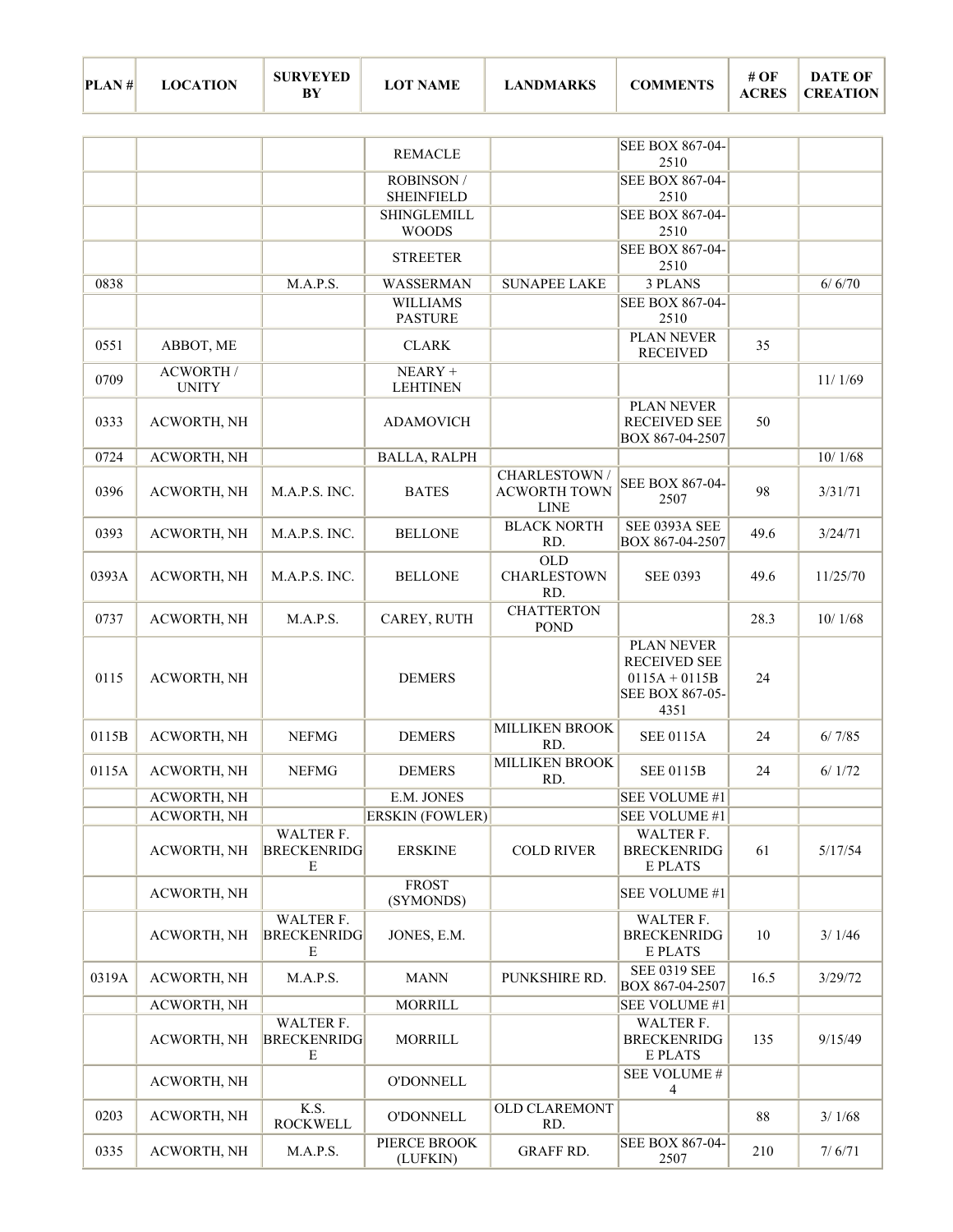| PLAN# | <b>LOCATION</b> | <b>SURVEYED</b><br>BY | <b>LOT NAME</b> | LANDMARKS | <b>COMMENTS</b> | # $\bf{OF}$<br><b>ACRES</b> | <b>DATE OF</b><br><b>CREATION</b> |
|-------|-----------------|-----------------------|-----------------|-----------|-----------------|-----------------------------|-----------------------------------|
|-------|-----------------|-----------------------|-----------------|-----------|-----------------|-----------------------------|-----------------------------------|

|       |                           |                                      | <b>REMACLE</b>                        |                                                     | SEE BOX 867-04-<br>2510                                                         |      |          |
|-------|---------------------------|--------------------------------------|---------------------------------------|-----------------------------------------------------|---------------------------------------------------------------------------------|------|----------|
|       |                           |                                      | <b>ROBINSON/</b><br><b>SHEINFIELD</b> |                                                     | SEE BOX 867-04-<br>2510                                                         |      |          |
|       |                           |                                      | <b>SHINGLEMILL</b><br><b>WOODS</b>    |                                                     | SEE BOX 867-04-<br>2510                                                         |      |          |
|       |                           |                                      | <b>STREETER</b>                       |                                                     | SEE BOX 867-04-<br>2510                                                         |      |          |
| 0838  |                           | M.A.P.S.                             | WASSERMAN                             | <b>SUNAPEE LAKE</b>                                 | <b>3 PLANS</b>                                                                  |      | 6/6/70   |
|       |                           |                                      | <b>WILLIAMS</b><br><b>PASTURE</b>     |                                                     | SEE BOX 867-04-                                                                 |      |          |
| 0551  | ABBOT, ME                 |                                      | <b>CLARK</b>                          |                                                     | 2510<br>PLAN NEVER<br><b>RECEIVED</b>                                           | 35   |          |
| 0709  | ACWORTH /<br><b>UNITY</b> |                                      | NEARY +<br><b>LEHTINEN</b>            |                                                     |                                                                                 |      | 11/1/69  |
| 0333  | ACWORTH, NH               |                                      | <b>ADAMOVICH</b>                      |                                                     | PLAN NEVER<br><b>RECEIVED SEE</b><br>BOX 867-04-2507                            | 50   |          |
| 0724  | <b>ACWORTH, NH</b>        |                                      | <b>BALLA, RALPH</b>                   |                                                     |                                                                                 |      | 10/1/68  |
| 0396  | ACWORTH, NH               | M.A.P.S. INC.                        | <b>BATES</b>                          | CHARLESTOWN /<br><b>ACWORTH TOWN</b><br><b>LINE</b> | SEE BOX 867-04-<br>2507                                                         | 98   | 3/31/71  |
| 0393  | ACWORTH, NH               | M.A.P.S. INC.                        | <b>BELLONE</b>                        | <b>BLACK NORTH</b><br>RD.                           | SEE 0393A SEE<br>BOX 867-04-2507                                                | 49.6 | 3/24/71  |
| 0393A | ACWORTH, NH               | M.A.P.S. INC.                        | <b>BELLONE</b>                        | <b>OLD</b><br>CHARLESTOWN<br>RD.                    | <b>SEE 0393</b>                                                                 | 49.6 | 11/25/70 |
| 0737  | ACWORTH, NH               | M.A.P.S.                             | CAREY, RUTH                           | <b>CHATTERTON</b><br><b>POND</b>                    |                                                                                 | 28.3 | 10/1/68  |
| 0115  | ACWORTH, NH               |                                      | <b>DEMERS</b>                         |                                                     | PLAN NEVER<br><b>RECEIVED SEE</b><br>$0115A + 0115B$<br>SEE BOX 867-05-<br>4351 | 24   |          |
| 0115B | ACWORTH, NH               | <b>NEFMG</b>                         | <b>DEMERS</b>                         | <b>MILLIKEN BROOK</b><br>RD.                        | <b>SEE 0115A</b>                                                                | 24   | 6/7/85   |
| 0115A | ACWORTH, NH               | <b>NEFMG</b>                         | <b>DEMERS</b>                         | MILLIKEN BROOK<br>RD.                               | <b>SEE 0115B</b>                                                                | 24   | 6/1/72   |
|       | ACWORTH, NH               |                                      | E.M. JONES                            |                                                     | <b>SEE VOLUME #1</b>                                                            |      |          |
|       | ACWORTH, NH               |                                      | <b>ERSKIN (FOWLER)</b>                |                                                     | SEE VOLUME #1                                                                   |      |          |
|       | <b>ACWORTH, NH</b>        | WALTER F.<br><b>BRECKENRIDG</b><br>E | <b>ERSKINE</b>                        | <b>COLD RIVER</b>                                   | WALTER F.<br><b>BRECKENRIDG</b><br>E PLATS                                      | 61   | 5/17/54  |
|       | ACWORTH, NH               |                                      | <b>FROST</b><br>(SYMONDS)             |                                                     | SEE VOLUME #1                                                                   |      |          |
|       | ACWORTH, NH               | WALTER F.<br><b>BRECKENRIDG</b><br>Е | JONES, E.M.                           |                                                     | WALTER F.<br><b>BRECKENRIDG</b><br>E PLATS                                      | 10   | 3/1/46   |
| 0319A | ACWORTH, NH               | M.A.P.S.                             | <b>MANN</b>                           | PUNKSHIRE RD.                                       | <b>SEE 0319 SEE</b><br>BOX 867-04-2507                                          | 16.5 | 3/29/72  |
|       | <b>ACWORTH, NH</b>        |                                      | <b>MORRILL</b>                        |                                                     | SEE VOLUME #1                                                                   |      |          |
|       | ACWORTH, NH               | WALTER F.<br><b>BRECKENRIDG</b><br>Е | <b>MORRILL</b>                        |                                                     | WALTER F.<br><b>BRECKENRIDG</b><br>E PLATS                                      | 135  | 9/15/49  |
|       | ACWORTH, NH               |                                      | <b>O'DONNELL</b>                      |                                                     | SEE VOLUME #<br>4                                                               |      |          |
| 0203  | ACWORTH, NH               | K.S.<br><b>ROCKWELL</b>              | O'DONNELL                             | OLD CLAREMONT<br>RD.                                |                                                                                 | 88   | 3/1/68   |
| 0335  | ACWORTH, NH               | M.A.P.S.                             | PIERCE BROOK<br>(LUFKIN)              | <b>GRAFF RD.</b>                                    | SEE BOX 867-04-<br>2507                                                         | 210  | 7/6/71   |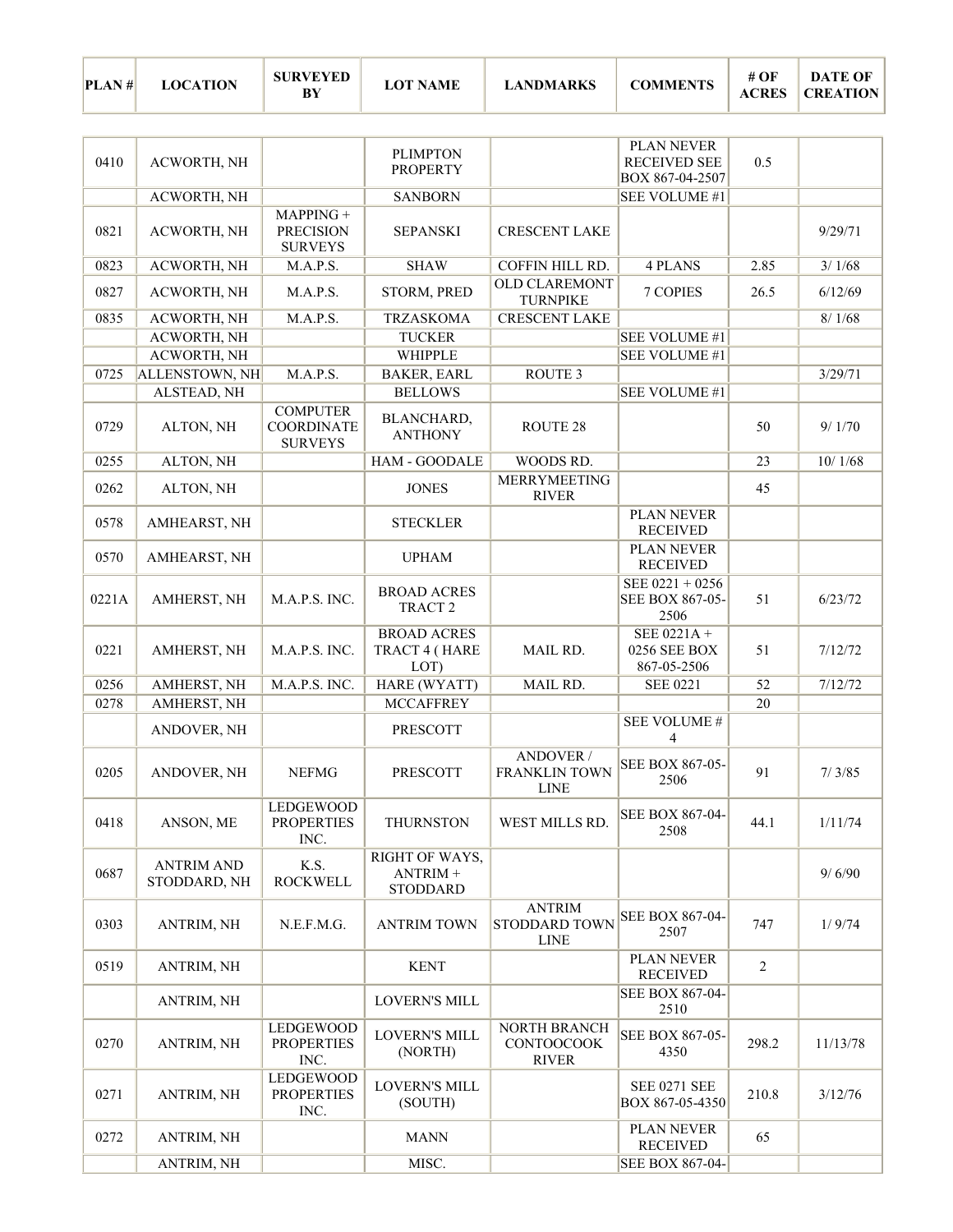| <b>ACRES</b><br>BY | PLAN H | <b>LOCATION</b> | <b>SURVEYED</b> | <b>LOT NAME</b> | LANDMARKS | <b>COMMENTS</b> | # OF | <b>DATE OF</b><br><b>CREATION</b> |
|--------------------|--------|-----------------|-----------------|-----------------|-----------|-----------------|------|-----------------------------------|
|--------------------|--------|-----------------|-----------------|-----------------|-----------|-----------------|------|-----------------------------------|

| 0410  | ACWORTH, NH                       |                                                 | <b>PLIMPTON</b><br><b>PROPERTY</b>            |                                                   | PLAN NEVER<br><b>RECEIVED SEE</b><br>BOX 867-04-2507 | 0.5             |          |
|-------|-----------------------------------|-------------------------------------------------|-----------------------------------------------|---------------------------------------------------|------------------------------------------------------|-----------------|----------|
|       | <b>ACWORTH, NH</b>                |                                                 | <b>SANBORN</b>                                |                                                   | SEE VOLUME #1                                        |                 |          |
| 0821  | ACWORTH, NH                       | MAPPING +<br><b>PRECISION</b><br><b>SURVEYS</b> | <b>SEPANSKI</b>                               | <b>CRESCENT LAKE</b>                              |                                                      |                 | 9/29/71  |
| 0823  | ACWORTH, NH                       | M.A.P.S.                                        | <b>SHAW</b>                                   | COFFIN HILL RD.                                   | <b>4 PLANS</b>                                       | 2.85            | 3/1/68   |
| 0827  | ACWORTH, NH                       | M.A.P.S.                                        | STORM, PRED                                   | OLD CLAREMONT<br><b>TURNPIKE</b>                  | 7 COPIES                                             | 26.5            | 6/12/69  |
| 0835  | ACWORTH, NH                       | M.A.P.S.                                        | <b>TRZASKOMA</b>                              | <b>CRESCENT LAKE</b>                              |                                                      |                 | 8/1/68   |
|       | ACWORTH, NH                       |                                                 | <b>TUCKER</b>                                 |                                                   | <b>SEE VOLUME #1</b>                                 |                 |          |
|       | ACWORTH, NH                       |                                                 | WHIPPLE                                       |                                                   | <b>SEE VOLUME #1</b>                                 |                 |          |
| 0725  | ALLENSTOWN, NH                    | M.A.P.S.                                        | <b>BAKER, EARL</b>                            | <b>ROUTE 3</b>                                    |                                                      |                 | 3/29/71  |
|       | ALSTEAD, NH                       |                                                 | <b>BELLOWS</b>                                |                                                   | SEE VOLUME #1                                        |                 |          |
| 0729  | ALTON, NH                         | <b>COMPUTER</b><br>COORDINATE<br><b>SURVEYS</b> | BLANCHARD,<br><b>ANTHONY</b>                  | ROUTE 28                                          |                                                      | 50              | 9/1/70   |
| 0255  | ALTON, NH                         |                                                 | HAM - GOODALE                                 | WOODS RD.                                         |                                                      | $\overline{23}$ | 10/1/68  |
| 0262  | ALTON, NH                         |                                                 | <b>JONES</b>                                  | MERRYMEETING<br><b>RIVER</b>                      |                                                      | 45              |          |
| 0578  | AMHEARST, NH                      |                                                 | <b>STECKLER</b>                               |                                                   | PLAN NEVER<br><b>RECEIVED</b>                        |                 |          |
| 0570  | AMHEARST, NH                      |                                                 | <b>UPHAM</b>                                  |                                                   | <b>PLAN NEVER</b><br><b>RECEIVED</b>                 |                 |          |
| 0221A | AMHERST, NH                       | M.A.P.S. INC.                                   | <b>BROAD ACRES</b><br>TRACT <sub>2</sub>      |                                                   | SEE 0221 + 0256<br>SEE BOX 867-05-<br>2506           | 51              | 6/23/72  |
| 0221  | AMHERST, NH                       | M.A.P.S. INC.                                   | <b>BROAD ACRES</b><br>TRACT 4 (HARE<br>LOT)   | MAIL RD.                                          | SEE 0221A +<br>0256 SEE BOX<br>867-05-2506           | 51              | 7/12/72  |
| 0256  | AMHERST, NH                       | M.A.P.S. INC.                                   | <b>HARE (WYATT)</b>                           | <b>MAIL RD.</b>                                   | <b>SEE 0221</b>                                      | $\overline{52}$ | 7/12/72  |
| 0278  | AMHERST, NH                       |                                                 | <b>MCCAFFREY</b>                              |                                                   |                                                      | 20              |          |
|       | ANDOVER, NH                       |                                                 | PRESCOTT                                      |                                                   | <b>SEE VOLUME#</b><br>4                              |                 |          |
| 0205  | ANDOVER, NH                       | <b>NEFMG</b>                                    | <b>PRESCOTT</b>                               | ANDOVER /<br><b>FRANKLIN TOWN</b><br><b>LINE</b>  | SEE BOX 867-05-<br>2506                              | 91              | 7/3/85   |
| 0418  | ANSON, ME                         | <b>LEDGEWOOD</b><br><b>PROPERTIES</b><br>INC.   | <b>THURNSTON</b>                              | WEST MILLS RD.                                    | SEE BOX 867-04-<br>2508                              | 44.1            | 1/11/74  |
| 0687  | <b>ANTRIM AND</b><br>STODDARD, NH | K.S.<br><b>ROCKWELL</b>                         | RIGHT OF WAYS,<br>ANTRIM +<br><b>STODDARD</b> |                                                   |                                                      |                 | 9/6/90   |
| 0303  | ANTRIM, NH                        | N.E.F.M.G.                                      | <b>ANTRIM TOWN</b>                            | <b>ANTRIM</b><br>STODDARD TOWN<br><b>LINE</b>     | SEE BOX 867-04-<br>2507                              | 747             | 1/9/74   |
| 0519  | ANTRIM, NH                        |                                                 | <b>KENT</b>                                   |                                                   | PLAN NEVER<br><b>RECEIVED</b>                        | $\overline{c}$  |          |
|       | ANTRIM, NH                        |                                                 | <b>LOVERN'S MILL</b>                          |                                                   | SEE BOX 867-04-<br>2510                              |                 |          |
| 0270  | ANTRIM, NH                        | <b>LEDGEWOOD</b><br><b>PROPERTIES</b><br>INC.   | <b>LOVERN'S MILL</b><br>(NORTH)               | NORTH BRANCH<br><b>CONTOOCOOK</b><br><b>RIVER</b> | SEE BOX 867-05-<br>4350                              | 298.2           | 11/13/78 |
| 0271  | ANTRIM, NH                        | <b>LEDGEWOOD</b><br><b>PROPERTIES</b><br>INC.   | <b>LOVERN'S MILL</b><br>(SOUTH)               |                                                   | <b>SEE 0271 SEE</b><br>BOX 867-05-4350               | 210.8           | 3/12/76  |
| 0272  | ANTRIM, NH                        |                                                 | <b>MANN</b>                                   |                                                   | <b>PLAN NEVER</b><br><b>RECEIVED</b>                 | 65              |          |
|       | ANTRIM, NH                        |                                                 | MISC.                                         |                                                   | SEE BOX 867-04-                                      |                 |          |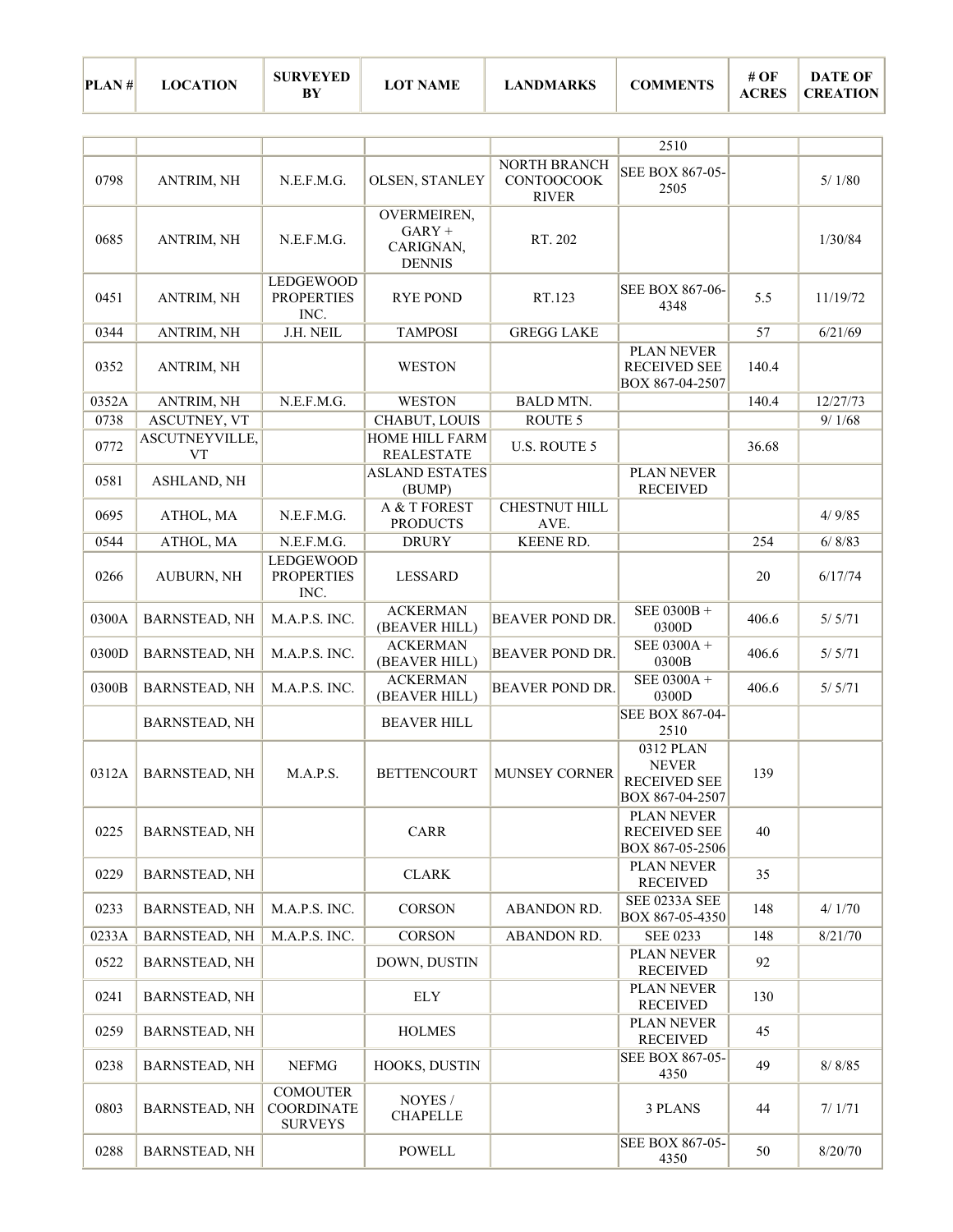|       |                             |                                                        |                                                       |                                                   | 2510                                                                  |                 |          |
|-------|-----------------------------|--------------------------------------------------------|-------------------------------------------------------|---------------------------------------------------|-----------------------------------------------------------------------|-----------------|----------|
| 0798  | ANTRIM, NH                  | N.E.F.M.G.                                             | OLSEN, STANLEY                                        | NORTH BRANCH<br><b>CONTOOCOOK</b><br><b>RIVER</b> | SEE BOX 867-05-<br>2505                                               |                 | 5/1/80   |
| 0685  | <b>ANTRIM, NH</b>           | N.E.F.M.G.                                             | OVERMEIREN,<br>$GARY +$<br>CARIGNAN,<br><b>DENNIS</b> | RT. 202                                           |                                                                       |                 | 1/30/84  |
| 0451  | ANTRIM, NH                  | <b>LEDGEWOOD</b><br><b>PROPERTIES</b><br>INC.          | <b>RYE POND</b>                                       | RT.123                                            | SEE BOX 867-06-<br>4348                                               | 5.5             | 11/19/72 |
| 0344  | <b>ANTRIM, NH</b>           | J.H. NEIL                                              | <b>TAMPOSI</b>                                        | <b>GREGG LAKE</b>                                 |                                                                       | $\overline{57}$ | 6/21/69  |
| 0352  | ANTRIM, NH                  |                                                        | <b>WESTON</b>                                         |                                                   | PLAN NEVER<br><b>RECEIVED SEE</b><br>BOX 867-04-2507                  | 140.4           |          |
| 0352A | ANTRIM, NH                  | N.E.F.M.G.                                             | <b>WESTON</b>                                         | <b>BALD MTN.</b>                                  |                                                                       | 140.4           | 12/27/73 |
| 0738  | <b>ASCUTNEY, VT</b>         |                                                        | CHABUT, LOUIS                                         | ROUTE 5                                           |                                                                       |                 | 9/1/68   |
| 0772  | ASCUTNEYVILLE,<br><b>VT</b> |                                                        | HOME HILL FARM<br><b>REALESTATE</b>                   | <b>U.S. ROUTE 5</b>                               |                                                                       | 36.68           |          |
| 0581  | ASHLAND, NH                 |                                                        | <b>ASLAND ESTATES</b><br>(BUMP)                       |                                                   | PLAN NEVER<br><b>RECEIVED</b>                                         |                 |          |
| 0695  | ATHOL, MA                   | N.E.F.M.G.                                             | A & T FOREST<br><b>PRODUCTS</b>                       | <b>CHESTNUT HILL</b><br>AVE.                      |                                                                       |                 | 4/9/85   |
| 0544  | ATHOL, MA                   | N.E.F.M.G.                                             | <b>DRURY</b>                                          | <b>KEENE RD.</b>                                  |                                                                       | 254             | 6/ 8/83  |
| 0266  | <b>AUBURN, NH</b>           | <b>LEDGEWOOD</b><br><b>PROPERTIES</b><br>INC.          | <b>LESSARD</b>                                        |                                                   |                                                                       | 20              | 6/17/74  |
| 0300A | <b>BARNSTEAD, NH</b>        | M.A.P.S. INC.                                          | <b>ACKERMAN</b><br>(BEAVER HILL)                      | <b>BEAVER POND DR.</b>                            | SEE 0300B +<br>0300D                                                  | 406.6           | 5/5/71   |
| 0300D | <b>BARNSTEAD, NH</b>        | M.A.P.S. INC.                                          | <b>ACKERMAN</b><br>(BEAVER HILL)                      | <b>BEAVER POND DR.</b>                            | SEE 0300A +<br>0300B                                                  | 406.6           | 5/5/71   |
| 0300B | <b>BARNSTEAD, NH</b>        | M.A.P.S. INC.                                          | <b>ACKERMAN</b><br>(BEAVER HILL)                      | <b>BEAVER POND DR.</b>                            | SEE 0300A +<br>0300D                                                  | 406.6           | 5/5/71   |
|       | <b>BARNSTEAD, NH</b>        |                                                        | <b>BEAVER HILL</b>                                    |                                                   | SEE BOX 867-04-<br>2510                                               |                 |          |
| 0312A | <b>BARNSTEAD, NH</b>        | M.A.P.S.                                               | <b>BETTENCOURT</b>                                    | MUNSEY CORNER                                     | $0312$ PLAN<br><b>NEVER</b><br><b>RECEIVED SEE</b><br>BOX 867-04-2507 | 139             |          |
| 0225  | <b>BARNSTEAD, NH</b>        |                                                        | CARR                                                  |                                                   | <b>PLAN NEVER</b><br><b>RECEIVED SEE</b><br>BOX 867-05-2506           | 40              |          |
| 0229  | <b>BARNSTEAD, NH</b>        |                                                        | <b>CLARK</b>                                          |                                                   | PLAN NEVER<br><b>RECEIVED</b>                                         | 35              |          |
| 0233  | <b>BARNSTEAD, NH</b>        | M.A.P.S. INC.                                          | <b>CORSON</b>                                         | ABANDON RD.                                       | SEE 0233A SEE<br>BOX 867-05-4350                                      | 148             | 4/1/70   |
| 0233A | <b>BARNSTEAD, NH</b>        | M.A.P.S. INC.                                          | <b>CORSON</b>                                         | ABANDON RD.                                       | <b>SEE 0233</b>                                                       | 148             | 8/21/70  |
| 0522  | <b>BARNSTEAD, NH</b>        |                                                        | DOWN, DUSTIN                                          |                                                   | PLAN NEVER<br><b>RECEIVED</b>                                         | 92              |          |
| 0241  | <b>BARNSTEAD, NH</b>        |                                                        | <b>ELY</b>                                            |                                                   | PLAN NEVER<br><b>RECEIVED</b>                                         | 130             |          |
| 0259  | <b>BARNSTEAD, NH</b>        |                                                        | <b>HOLMES</b>                                         |                                                   | PLAN NEVER<br><b>RECEIVED</b>                                         | 45              |          |
| 0238  | <b>BARNSTEAD, NH</b>        | <b>NEFMG</b>                                           | HOOKS, DUSTIN                                         |                                                   | SEE BOX 867-05-<br>4350                                               | 49              | 8/8/85   |
| 0803  | <b>BARNSTEAD, NH</b>        | <b>COMOUTER</b><br><b>COORDINATE</b><br><b>SURVEYS</b> | NOYES /<br><b>CHAPELLE</b>                            |                                                   | 3 PLANS                                                               | 44              | 7/1/71   |
| 0288  | <b>BARNSTEAD, NH</b>        |                                                        | <b>POWELL</b>                                         |                                                   | SEE BOX 867-05-<br>4350                                               | 50              | 8/20/70  |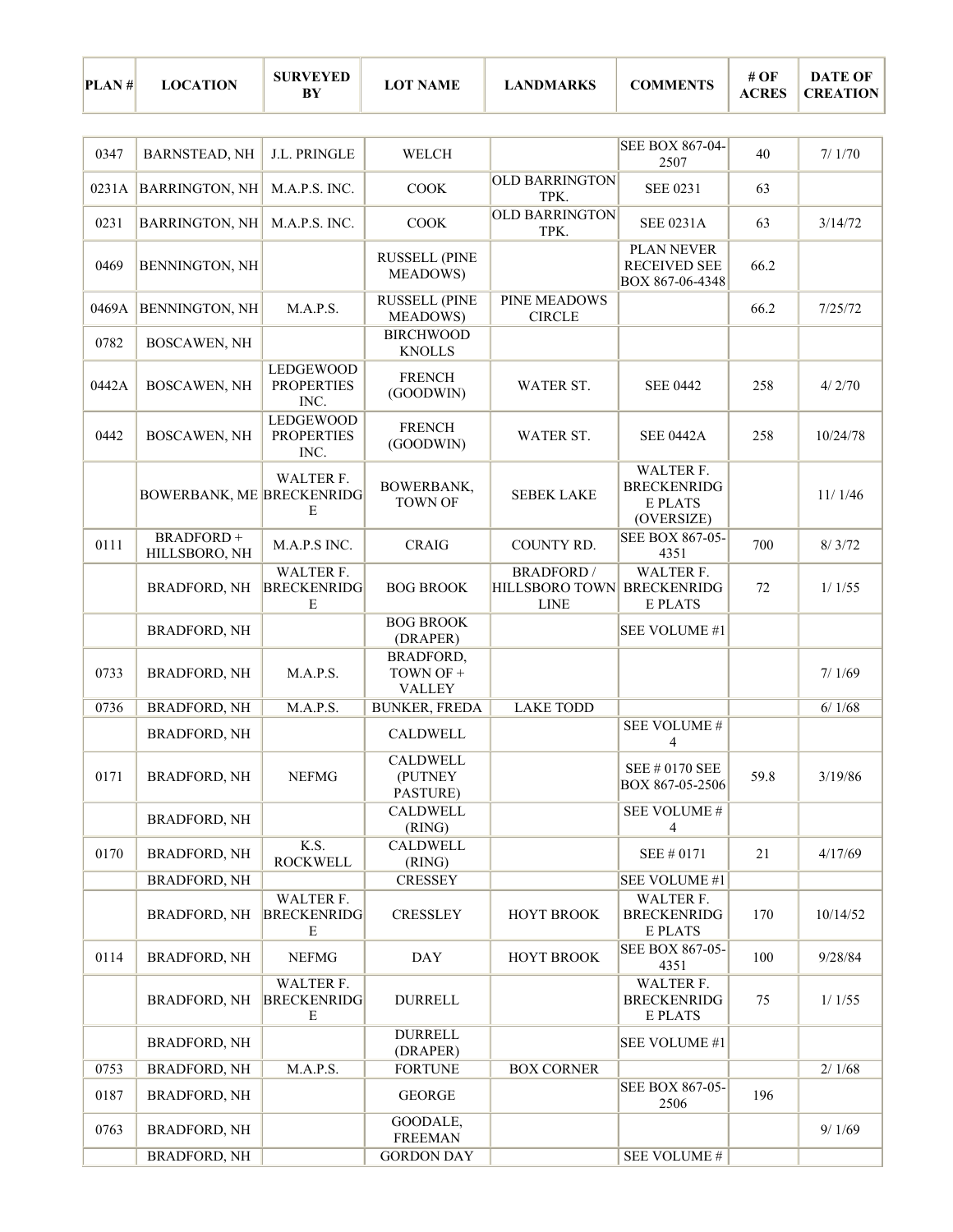| 0347  | <b>BARNSTEAD, NH</b>             | J.L. PRINGLE                                  | WELCH                                    |                                                           | SEE BOX 867-04-<br>2507                                  | 40   | 7/1/70   |
|-------|----------------------------------|-----------------------------------------------|------------------------------------------|-----------------------------------------------------------|----------------------------------------------------------|------|----------|
| 0231A | <b>BARRINGTON, NH</b>            | M.A.P.S. INC.                                 | COOK                                     | <b>OLD BARRINGTON</b><br>TPK.                             | <b>SEE 0231</b>                                          | 63   |          |
| 0231  | <b>BARRINGTON, NH</b>            | M.A.P.S. INC.                                 | COOK                                     | <b>OLD BARRINGTON</b><br>TPK.                             | <b>SEE 0231A</b>                                         | 63   | 3/14/72  |
| 0469  | BENNINGTON, NH                   |                                               | <b>RUSSELL (PINE</b><br>MEADOWS)         |                                                           | PLAN NEVER<br><b>RECEIVED SEE</b><br>BOX 867-06-4348     | 66.2 |          |
| 0469A | BENNINGTON, NH                   | M.A.P.S.                                      | <b>RUSSELL (PINE</b><br><b>MEADOWS</b> ) | PINE MEADOWS<br><b>CIRCLE</b>                             |                                                          | 66.2 | 7/25/72  |
| 0782  | <b>BOSCAWEN, NH</b>              |                                               | <b>BIRCHWOOD</b><br><b>KNOLLS</b>        |                                                           |                                                          |      |          |
| 0442A | <b>BOSCAWEN, NH</b>              | <b>LEDGEWOOD</b><br><b>PROPERTIES</b><br>INC. | <b>FRENCH</b><br>(GOODWIN)               | WATER ST.                                                 | <b>SEE 0442</b>                                          | 258  | 4/2/70   |
| 0442  | BOSCAWEN, NH                     | <b>LEDGEWOOD</b><br><b>PROPERTIES</b><br>INC. | <b>FRENCH</b><br>(GOODWIN)               | WATER ST.                                                 | <b>SEE 0442A</b>                                         | 258  | 10/24/78 |
|       | <b>BOWERBANK, ME BRECKENRIDG</b> | WALTER F.<br>Е                                | BOWERBANK,<br><b>TOWN OF</b>             | <b>SEBEK LAKE</b>                                         | WALTER F.<br><b>BRECKENRIDG</b><br>E PLATS<br>(OVERSIZE) |      | 11/1/46  |
| 0111  | BRADFORD+<br>HILLSBORO, NH       | M.A.P.S INC.                                  | <b>CRAIG</b>                             | COUNTY RD.                                                | SEE BOX 867-05-<br>4351                                  | 700  | 8/3/72   |
|       | <b>BRADFORD, NH</b>              | WALTER F.<br><b>BRECKENRIDG</b><br>Е          | <b>BOG BROOK</b>                         | <b>BRADFORD</b> /<br><b>HILLSBORO TOWN</b><br><b>LINE</b> | WALTER F.<br><b>BRECKENRIDG</b><br>E PLATS               | 72   | 1/1/55   |
|       | <b>BRADFORD, NH</b>              |                                               | <b>BOG BROOK</b><br>(DRAPER)             |                                                           | SEE VOLUME #1                                            |      |          |
| 0733  | <b>BRADFORD, NH</b>              | M.A.P.S.                                      | BRADFORD,<br>TOWN OF +<br><b>VALLEY</b>  |                                                           |                                                          |      | 7/1/69   |
| 0736  | <b>BRADFORD, NH</b>              | M.A.P.S.                                      | <b>BUNKER, FREDA</b>                     | <b>LAKE TODD</b>                                          |                                                          |      | 6/1/68   |
|       | <b>BRADFORD, NH</b>              |                                               | <b>CALDWELL</b>                          |                                                           | SEE VOLUME #<br>4                                        |      |          |
| 0171  | <b>BRADFORD, NH</b>              | <b>NEFMG</b>                                  | <b>CALDWELL</b><br>(PUTNEY<br>PASTURE)   |                                                           | SEE # 0170 SEE<br>BOX 867-05-2506                        | 59.8 | 3/19/86  |
|       | <b>BRADFORD, NH</b>              |                                               | <b>CALDWELL</b><br>(RING)                |                                                           | SEE VOLUME #<br>$\overline{4}$                           |      |          |
| 0170  | <b>BRADFORD, NH</b>              | K.S.<br><b>ROCKWELL</b>                       | CALDWELL<br>(RING)                       |                                                           | SEE # 0171                                               | 21   | 4/17/69  |
|       | <b>BRADFORD, NH</b>              |                                               | <b>CRESSEY</b>                           |                                                           | <b>SEE VOLUME #1</b>                                     |      |          |
|       | <b>BRADFORD, NH</b>              | WALTER F.<br><b>BRECKENRIDG</b><br>Е          | <b>CRESSLEY</b>                          | <b>HOYT BROOK</b>                                         | WALTER F.<br><b>BRECKENRIDG</b><br>E PLATS               | 170  | 10/14/52 |
| 0114  | <b>BRADFORD, NH</b>              | <b>NEFMG</b>                                  | <b>DAY</b>                               | HOYT BROOK                                                | SEE BOX 867-05-<br>4351                                  | 100  | 9/28/84  |
|       | <b>BRADFORD, NH</b>              | WALTER F.<br><b>BRECKENRIDG</b><br>E          | <b>DURRELL</b>                           |                                                           | WALTER F.<br><b>BRECKENRIDG</b><br>E PLATS               | 75   | 1/1/55   |
|       | <b>BRADFORD, NH</b>              |                                               | <b>DURRELL</b><br>(DRAPER)               |                                                           | SEE VOLUME #1                                            |      |          |
| 0753  | <b>BRADFORD, NH</b>              | M.A.P.S.                                      | <b>FORTUNE</b>                           | <b>BOX CORNER</b>                                         |                                                          |      | 2/1/68   |
| 0187  | <b>BRADFORD, NH</b>              |                                               | <b>GEORGE</b>                            |                                                           | SEE BOX 867-05-<br>2506                                  | 196  |          |
| 0763  | <b>BRADFORD, NH</b>              |                                               | GOODALE,<br><b>FREEMAN</b>               |                                                           |                                                          |      | 9/1/69   |
|       | <b>BRADFORD, NH</b>              |                                               | <b>GORDON DAY</b>                        |                                                           | SEE VOLUME #                                             |      |          |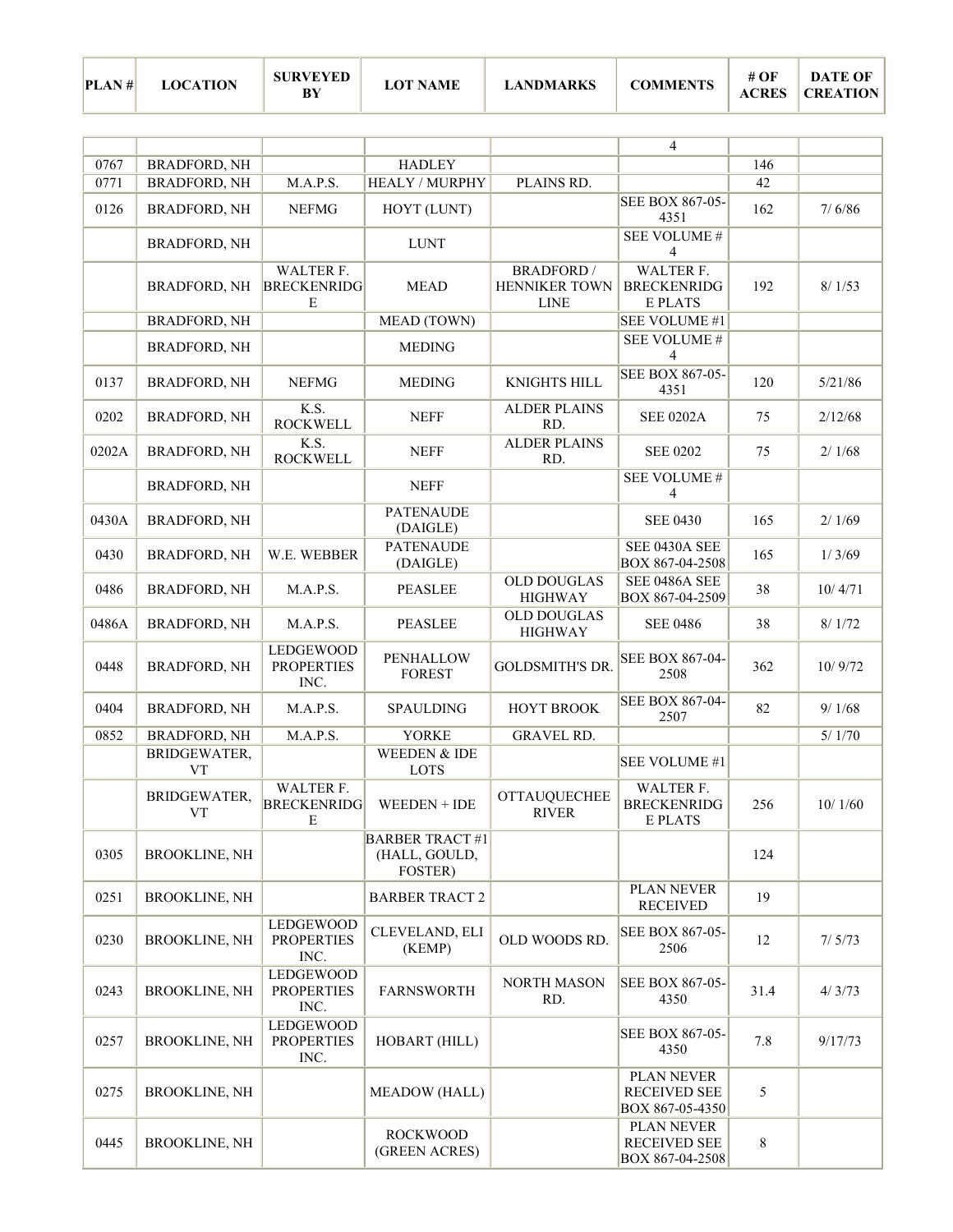|       |                           |                                               |                                                   |                                                   | $\overline{4}$                                       |      |         |
|-------|---------------------------|-----------------------------------------------|---------------------------------------------------|---------------------------------------------------|------------------------------------------------------|------|---------|
| 0767  | <b>BRADFORD, NH</b>       |                                               | <b>HADLEY</b>                                     |                                                   |                                                      | 146  |         |
| 0771  | <b>BRADFORD, NH</b>       | M.A.P.S.                                      | <b>HEALY / MURPHY</b>                             | PLAINS RD.                                        |                                                      | 42   |         |
| 0126  | <b>BRADFORD, NH</b>       | <b>NEFMG</b>                                  | HOYT (LUNT)                                       |                                                   | SEE BOX 867-05-<br>4351                              | 162  | 7/6/86  |
|       | <b>BRADFORD, NH</b>       |                                               | <b>LUNT</b>                                       |                                                   | SEE VOLUME #<br>4                                    |      |         |
|       | <b>BRADFORD, NH</b>       | WALTER F.<br><b>BRECKENRIDG</b><br>E          | <b>MEAD</b>                                       | <b>BRADFORD</b> /<br>HENNIKER TOWN<br><b>LINE</b> | WALTER F.<br><b>BRECKENRIDG</b><br><b>E PLATS</b>    | 192  | 8/1/53  |
|       | <b>BRADFORD, NH</b>       |                                               | MEAD (TOWN)                                       |                                                   | SEE VOLUME #1                                        |      |         |
|       | <b>BRADFORD, NH</b>       |                                               | <b>MEDING</b>                                     |                                                   | SEE VOLUME #<br>$\overline{4}$                       |      |         |
| 0137  | <b>BRADFORD, NH</b>       | <b>NEFMG</b>                                  | <b>MEDING</b>                                     | KNIGHTS HILL                                      | <b>SEE BOX 867-05-</b><br>4351                       | 120  | 5/21/86 |
| 0202  | <b>BRADFORD, NH</b>       | K.S.<br><b>ROCKWELL</b>                       | <b>NEFF</b>                                       | <b>ALDER PLAINS</b><br>RD.                        | <b>SEE 0202A</b>                                     | 75   | 2/12/68 |
| 0202A | <b>BRADFORD, NH</b>       | K.S.<br><b>ROCKWELL</b>                       | <b>NEFF</b>                                       | <b>ALDER PLAINS</b><br>RD.                        | <b>SEE 0202</b>                                      | 75   | 2/1/68  |
|       | <b>BRADFORD, NH</b>       |                                               | <b>NEFF</b>                                       |                                                   | SEE VOLUME #<br>4                                    |      |         |
| 0430A | <b>BRADFORD, NH</b>       |                                               | <b>PATENAUDE</b><br>(DAIGLE)                      |                                                   | <b>SEE 0430</b>                                      | 165  | 2/1/69  |
| 0430  | <b>BRADFORD, NH</b>       | W.E. WEBBER                                   | <b>PATENAUDE</b><br>(DAIGLE)                      |                                                   | <b>SEE 0430A SEE</b><br>BOX 867-04-2508              | 165  | 1/3/69  |
| 0486  | <b>BRADFORD, NH</b>       | M.A.P.S.                                      | <b>PEASLEE</b>                                    | <b>OLD DOUGLAS</b><br><b>HIGHWAY</b>              | SEE 0486A SEE<br>BOX 867-04-2509                     | 38   | 10/4/71 |
| 0486A | <b>BRADFORD, NH</b>       | M.A.P.S.                                      | <b>PEASLEE</b>                                    | OLD DOUGLAS<br><b>HIGHWAY</b>                     | <b>SEE 0486</b>                                      | 38   | 8/1/72  |
| 0448  | <b>BRADFORD, NH</b>       | <b>LEDGEWOOD</b><br><b>PROPERTIES</b><br>INC. | PENHALLOW<br><b>FOREST</b>                        | <b>GOLDSMITH'S DR.</b>                            | SEE BOX 867-04-<br>2508                              | 362  | 10/9/72 |
| 0404  | <b>BRADFORD, NH</b>       | M.A.P.S.                                      | <b>SPAULDING</b>                                  | <b>HOYT BROOK</b>                                 | SEE BOX 867-04-<br>2507                              | 82   | 9/1/68  |
| 0852  | <b>BRADFORD, NH</b>       | M.A.P.S.                                      | <b>YORKE</b>                                      | <b>GRAVEL RD.</b>                                 |                                                      |      | 5/1/70  |
|       | BRIDGEWATER,<br><b>VT</b> |                                               | <b>WEEDEN &amp; IDE</b><br><b>LOTS</b>            |                                                   | SEE VOLUME #1                                        |      |         |
|       | BRIDGEWATER,<br><b>VT</b> | WALTER F.<br><b>BRECKENRIDG</b><br>E          | $WEEDEN + IDE$                                    | <b>OTTAUQUECHEE</b><br><b>RIVER</b>               | WALTER F.<br><b>BRECKENRIDG</b><br><b>E PLATS</b>    | 256  | 10/1/60 |
| 0305  | <b>BROOKLINE, NH</b>      |                                               | <b>BARBER TRACT#1</b><br>(HALL, GOULD,<br>FOSTER) |                                                   |                                                      | 124  |         |
| 0251  | <b>BROOKLINE, NH</b>      |                                               | <b>BARBER TRACT 2</b>                             |                                                   | PLAN NEVER<br><b>RECEIVED</b>                        | 19   |         |
| 0230  | <b>BROOKLINE, NH</b>      | LEDGEWOOD<br><b>PROPERTIES</b><br>INC.        | CLEVELAND, ELI<br>(KEMP)                          | OLD WOODS RD.                                     | SEE BOX 867-05-<br>2506                              | 12   | 7/5/73  |
| 0243  | <b>BROOKLINE, NH</b>      | <b>LEDGEWOOD</b><br><b>PROPERTIES</b><br>INC. | <b>FARNSWORTH</b>                                 | <b>NORTH MASON</b><br>RD.                         | SEE BOX 867-05-<br>4350                              | 31.4 | 4/3/73  |
| 0257  | <b>BROOKLINE, NH</b>      | <b>LEDGEWOOD</b><br><b>PROPERTIES</b><br>INC. | HOBART (HILL)                                     |                                                   | SEE BOX 867-05-<br>4350                              | 7.8  | 9/17/73 |
| 0275  | <b>BROOKLINE, NH</b>      |                                               | MEADOW (HALL)                                     |                                                   | PLAN NEVER<br><b>RECEIVED SEE</b><br>BOX 867-05-4350 | 5    |         |
| 0445  | <b>BROOKLINE, NH</b>      |                                               | <b>ROCKWOOD</b><br>(GREEN ACRES)                  |                                                   | PLAN NEVER<br><b>RECEIVED SEE</b><br>BOX 867-04-2508 | 8    |         |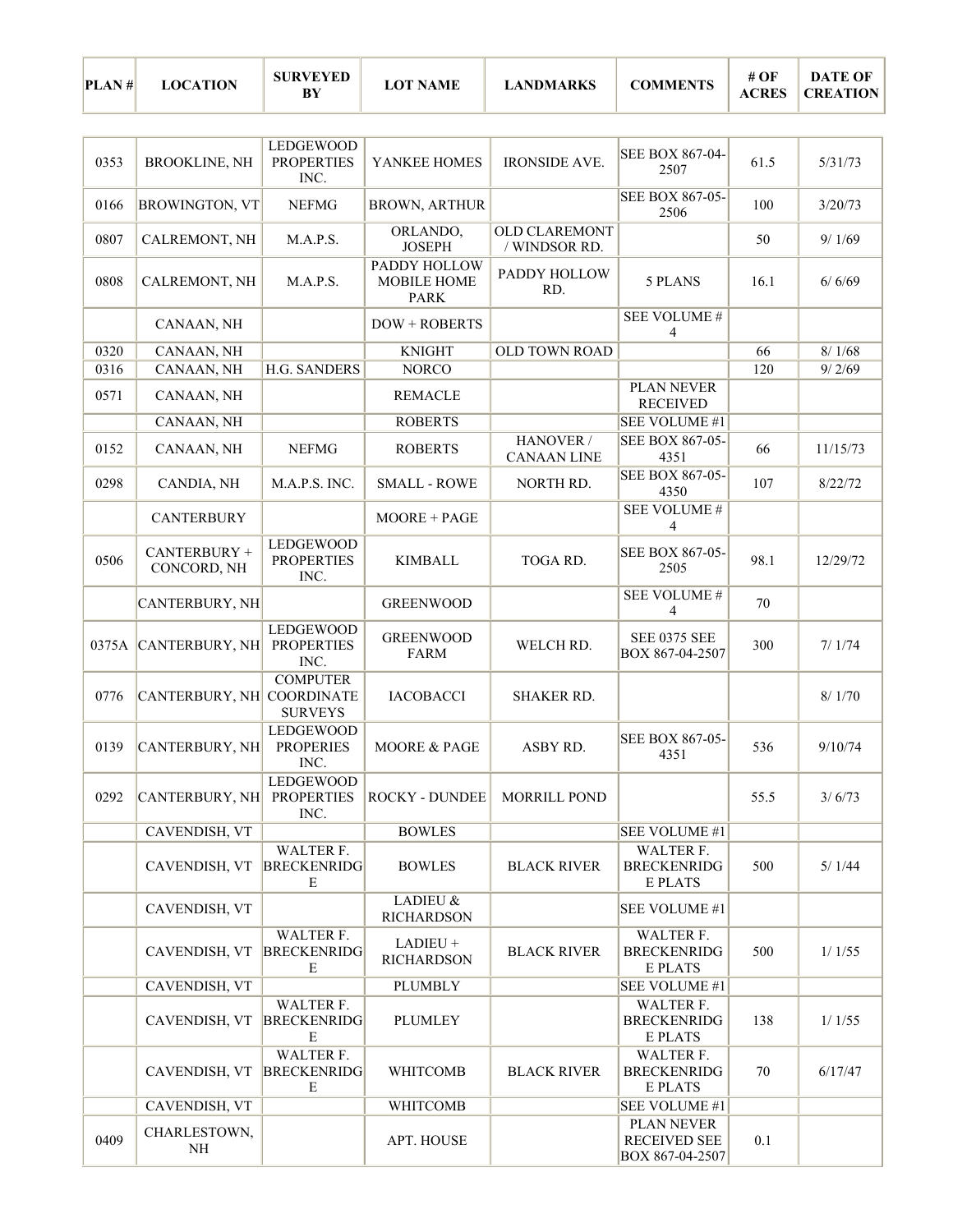| 0353  | <b>BROOKLINE, NH</b>        | <b>LEDGEWOOD</b><br><b>PROPERTIES</b><br>INC. | YANKEE HOMES                                      | <b>IRONSIDE AVE.</b>                  | <b>SEE BOX 867-04-</b><br>2507                       | 61.5   | 5/31/73  |
|-------|-----------------------------|-----------------------------------------------|---------------------------------------------------|---------------------------------------|------------------------------------------------------|--------|----------|
| 0166  | <b>BROWINGTON, VT</b>       | <b>NEFMG</b>                                  | <b>BROWN, ARTHUR</b>                              |                                       | <b>SEE BOX 867-05-</b><br>2506                       | 100    | 3/20/73  |
| 0807  | CALREMONT, NH               | M.A.P.S.                                      | ORLANDO,<br><b>JOSEPH</b>                         | <b>OLD CLAREMONT</b><br>/ WINDSOR RD. |                                                      | 50     | 9/1/69   |
| 0808  | CALREMONT, NH               | M.A.P.S.                                      | PADDY HOLLOW<br><b>MOBILE HOME</b><br><b>PARK</b> | PADDY HOLLOW<br>RD.                   | 5 PLANS                                              | 16.1   | 6/6/69   |
|       | CANAAN, NH                  |                                               | $DOW + ROBERTS$                                   |                                       | SEE VOLUME #<br>4                                    |        |          |
| 0320  | CANAAN, NH                  |                                               | <b>KNIGHT</b>                                     | OLD TOWN ROAD                         |                                                      | 66     | 8/1/68   |
| 0316  | CANAAN, NH                  | H.G. SANDERS                                  | <b>NORCO</b>                                      |                                       |                                                      | 120    | 9/2/69   |
| 0571  | CANAAN, NH                  |                                               | <b>REMACLE</b>                                    |                                       | PLAN NEVER<br><b>RECEIVED</b>                        |        |          |
|       | CANAAN, NH                  |                                               | <b>ROBERTS</b>                                    |                                       | SEE VOLUME #1                                        |        |          |
| 0152  | CANAAN, NH                  | <b>NEFMG</b>                                  | <b>ROBERTS</b>                                    | HANOVER /<br><b>CANAAN LINE</b>       | SEE BOX 867-05-<br>4351                              | 66     | 11/15/73 |
| 0298  | CANDIA, NH                  | M.A.P.S. INC.                                 | <b>SMALL - ROWE</b>                               | NORTH RD.                             | SEE BOX 867-05-<br>4350                              | 107    | 8/22/72  |
|       | <b>CANTERBURY</b>           |                                               | $MOORE + PAGE$                                    |                                       | SEE VOLUME #<br>4                                    |        |          |
| 0506  | CANTERBURY +<br>CONCORD, NH | <b>LEDGEWOOD</b><br><b>PROPERTIES</b><br>INC. | <b>KIMBALL</b>                                    | TOGA RD.                              | SEE BOX 867-05-<br>2505                              | 98.1   | 12/29/72 |
|       | CANTERBURY, NH              |                                               | <b>GREENWOOD</b>                                  |                                       | SEE VOLUME #<br>4                                    | $70\,$ |          |
| 0375A | CANTERBURY, NH              | <b>LEDGEWOOD</b><br><b>PROPERTIES</b><br>INC. | <b>GREENWOOD</b><br><b>FARM</b>                   | WELCH RD.                             | <b>SEE 0375 SEE</b><br>BOX 867-04-2507               | 300    | 7/1/74   |
| 0776  | CANTERBURY, NH COORDINATE   | <b>COMPUTER</b><br><b>SURVEYS</b>             | <b>IACOBACCI</b>                                  | SHAKER RD.                            |                                                      |        | 8/1/70   |
| 0139  | <b>CANTERBURY, NH</b>       | <b>LEDGEWOOD</b><br><b>PROPERIES</b><br>INC.  | <b>MOORE &amp; PAGE</b>                           | ASBY RD.                              | SEE BOX 867-05-<br>4351                              | 536    | 9/10/74  |
| 0292  | CANTERBURY, NH              | <b>LEDGEWOOD</b><br><b>PROPERTIES</b><br>INC. | <b>ROCKY - DUNDEE</b>                             | <b>MORRILL POND</b>                   |                                                      | 55.5   | 3/6/73   |
|       | CAVENDISH, VT               |                                               | <b>BOWLES</b>                                     |                                       | SEE VOLUME #1                                        |        |          |
|       | CAVENDISH, VT               | WALTER F.<br><b>BRECKENRIDG</b><br>E          | <b>BOWLES</b>                                     | <b>BLACK RIVER</b>                    | WALTER F.<br><b>BRECKENRIDG</b><br>E PLATS           | 500    | 5/1/44   |
|       | CAVENDISH, VT               |                                               | LADIEU $\&$<br><b>RICHARDSON</b>                  |                                       | SEE VOLUME #1                                        |        |          |
|       | CAVENDISH, VT               | WALTER F.<br><b>BRECKENRIDG</b><br>Е          | LADIEU +<br><b>RICHARDSON</b>                     | <b>BLACK RIVER</b>                    | WALTER F.<br><b>BRECKENRIDG</b><br>E PLATS           | 500    | 1/1/55   |
|       | CAVENDISH, VT               |                                               | <b>PLUMBLY</b>                                    |                                       | SEE VOLUME #1                                        |        |          |
|       | CAVENDISH, VT               | WALTER F.<br><b>BRECKENRIDG</b><br>Е          | <b>PLUMLEY</b>                                    |                                       | WALTER F.<br><b>BRECKENRIDG</b><br>E PLATS           | 138    | 1/1/55   |
|       | CAVENDISH, VT               | <b>WALTER F.</b><br><b>BRECKENRIDG</b><br>E   | WHITCOMB                                          | <b>BLACK RIVER</b>                    | WALTER F.<br><b>BRECKENRIDG</b><br>E PLATS           | 70     | 6/17/47  |
|       | CAVENDISH, VT               |                                               | WHITCOMB                                          |                                       | SEE VOLUME #1                                        |        |          |
| 0409  | CHARLESTOWN,<br>NH          |                                               | APT. HOUSE                                        |                                       | PLAN NEVER<br><b>RECEIVED SEE</b><br>BOX 867-04-2507 | 0.1    |          |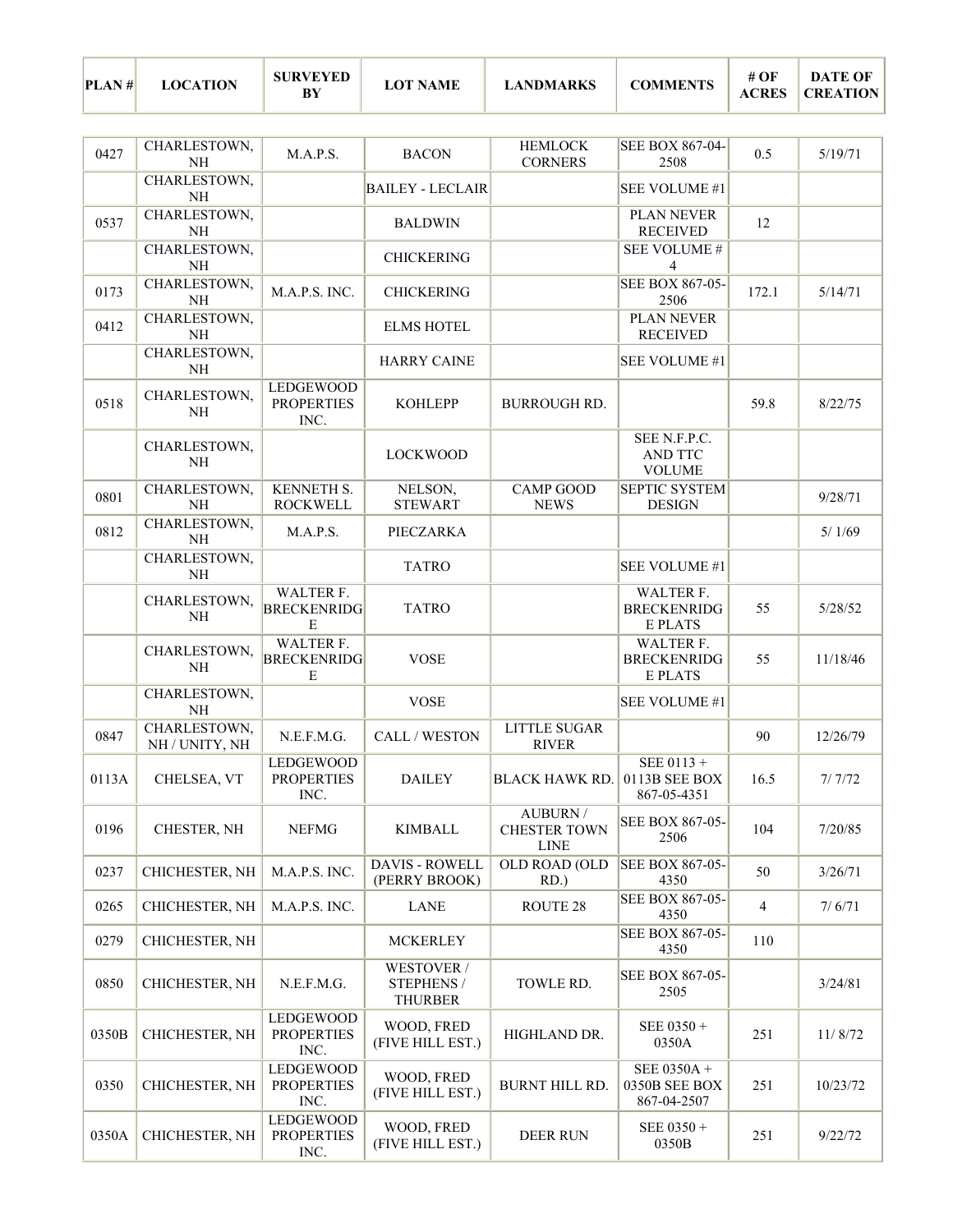| 0427  | CHARLESTOWN,<br>NH             | M.A.P.S.                                      | <b>BACON</b>                               | <b>HEMLOCK</b><br><b>CORNERS</b>               | <b>SEE BOX 867-04-</b><br>2508                    | 0.5   | 5/19/71  |
|-------|--------------------------------|-----------------------------------------------|--------------------------------------------|------------------------------------------------|---------------------------------------------------|-------|----------|
|       | CHARLESTOWN,<br><b>NH</b>      |                                               | <b>BAILEY - LECLAIR</b>                    |                                                | SEE VOLUME #1                                     |       |          |
| 0537  | CHARLESTOWN,<br><b>NH</b>      |                                               | <b>BALDWIN</b>                             |                                                | PLAN NEVER<br><b>RECEIVED</b>                     | 12    |          |
|       | CHARLESTOWN,<br><b>NH</b>      |                                               | <b>CHICKERING</b>                          |                                                | SEE VOLUME #<br>4                                 |       |          |
| 0173  | CHARLESTOWN,<br><b>NH</b>      | M.A.P.S. INC.                                 | <b>CHICKERING</b>                          |                                                | <b>SEE BOX 867-05-</b><br>2506                    | 172.1 | 5/14/71  |
| 0412  | CHARLESTOWN,<br><b>NH</b>      |                                               | <b>ELMS HOTEL</b>                          |                                                | PLAN NEVER<br><b>RECEIVED</b>                     |       |          |
|       | CHARLESTOWN,<br>NH             |                                               | <b>HARRY CAINE</b>                         |                                                | SEE VOLUME #1                                     |       |          |
| 0518  | CHARLESTOWN,<br>NH             | LEDGEWOOD<br><b>PROPERTIES</b><br>INC.        | <b>KOHLEPP</b>                             | <b>BURROUGH RD.</b>                            |                                                   | 59.8  | 8/22/75  |
|       | CHARLESTOWN,<br>NH             |                                               | <b>LOCKWOOD</b>                            |                                                | SEE N.F.P.C.<br>AND TTC<br><b>VOLUME</b>          |       |          |
| 0801  | CHARLESTOWN,<br>NH             | KENNETH S.<br><b>ROCKWELL</b>                 | NELSON,<br><b>STEWART</b>                  | <b>CAMP GOOD</b><br><b>NEWS</b>                | <b>SEPTIC SYSTEM</b><br><b>DESIGN</b>             |       | 9/28/71  |
| 0812  | CHARLESTOWN,<br>NH             | M.A.P.S.                                      | PIECZARKA                                  |                                                |                                                   |       | 5/1/69   |
|       | CHARLESTOWN,<br>NH             |                                               | <b>TATRO</b>                               |                                                | SEE VOLUME #1                                     |       |          |
|       | CHARLESTOWN,<br><b>NH</b>      | WALTER F.<br><b>BRECKENRIDG</b><br>E          | <b>TATRO</b>                               |                                                | WALTER F.<br><b>BRECKENRIDG</b><br><b>E PLATS</b> | 55    | 5/28/52  |
|       | CHARLESTOWN,<br><b>NH</b>      | WALTER F.<br><b>BRECKENRIDG</b><br>E          | <b>VOSE</b>                                |                                                | WALTER F.<br><b>BRECKENRIDG</b><br>E PLATS        | 55    | 11/18/46 |
|       | CHARLESTOWN,<br><b>NH</b>      |                                               | <b>VOSE</b>                                |                                                | <b>SEE VOLUME #1</b>                              |       |          |
| 0847  | CHARLESTOWN,<br>NH / UNITY, NH | N.E.F.M.G.                                    | <b>CALL/WESTON</b>                         | <b>LITTLE SUGAR</b><br><b>RIVER</b>            |                                                   | 90    | 12/26/79 |
| 0113A | CHELSEA, VT                    | <b>LEDGEWOOD</b><br><b>PROPERTIES</b><br>INC. | <b>DAILEY</b>                              | BLACK HAWK RD. 0113B SEE BOX                   | SEE 0113+<br>867-05-4351                          | 16.5  | 7/7/72   |
| 0196  | CHESTER, NH                    | <b>NEFMG</b>                                  | <b>KIMBALL</b>                             | AUBURN/<br><b>CHESTER TOWN</b><br>${\rm LINE}$ | <b>SEE BOX 867-05-</b><br>2506                    | 104   | 7/20/85  |
| 0237  | CHICHESTER, NH                 | M.A.P.S. INC.                                 | <b>DAVIS - ROWELL</b><br>(PERRY BROOK)     | <b>OLD ROAD (OLD</b><br>RD.)                   | SEE BOX 867-05-<br>4350                           | 50    | 3/26/71  |
| 0265  | CHICHESTER, NH                 | M.A.P.S. INC.                                 | LANE                                       | ROUTE 28                                       | SEE BOX 867-05-<br>4350                           | 4     | 7/6/71   |
| 0279  | CHICHESTER, NH                 |                                               | <b>MCKERLEY</b>                            |                                                | SEE BOX 867-05-<br>4350                           | 110   |          |
| 0850  | CHICHESTER, NH                 | N.E.F.M.G.                                    | WESTOVER /<br>STEPHENS /<br><b>THURBER</b> | TOWLE RD.                                      | SEE BOX 867-05-<br>2505                           |       | 3/24/81  |
| 0350B | CHICHESTER, NH                 | <b>LEDGEWOOD</b><br><b>PROPERTIES</b><br>INC. | WOOD, FRED<br>(FIVE HILL EST.)             | HIGHLAND DR.                                   | SEE 0350 +<br>0350A                               | 251   | 11/8/72  |
| 0350  | CHICHESTER, NH                 | <b>LEDGEWOOD</b><br><b>PROPERTIES</b><br>INC. | WOOD, FRED<br>(FIVE HILL EST.)             | <b>BURNT HILL RD.</b>                          | SEE 0350A +<br>0350B SEE BOX<br>867-04-2507       | 251   | 10/23/72 |
| 0350A | CHICHESTER, NH                 | <b>LEDGEWOOD</b><br><b>PROPERTIES</b><br>INC. | WOOD, FRED<br>(FIVE HILL EST.)             | DEER RUN                                       | SEE 0350 +<br>0350B                               | 251   | 9/22/72  |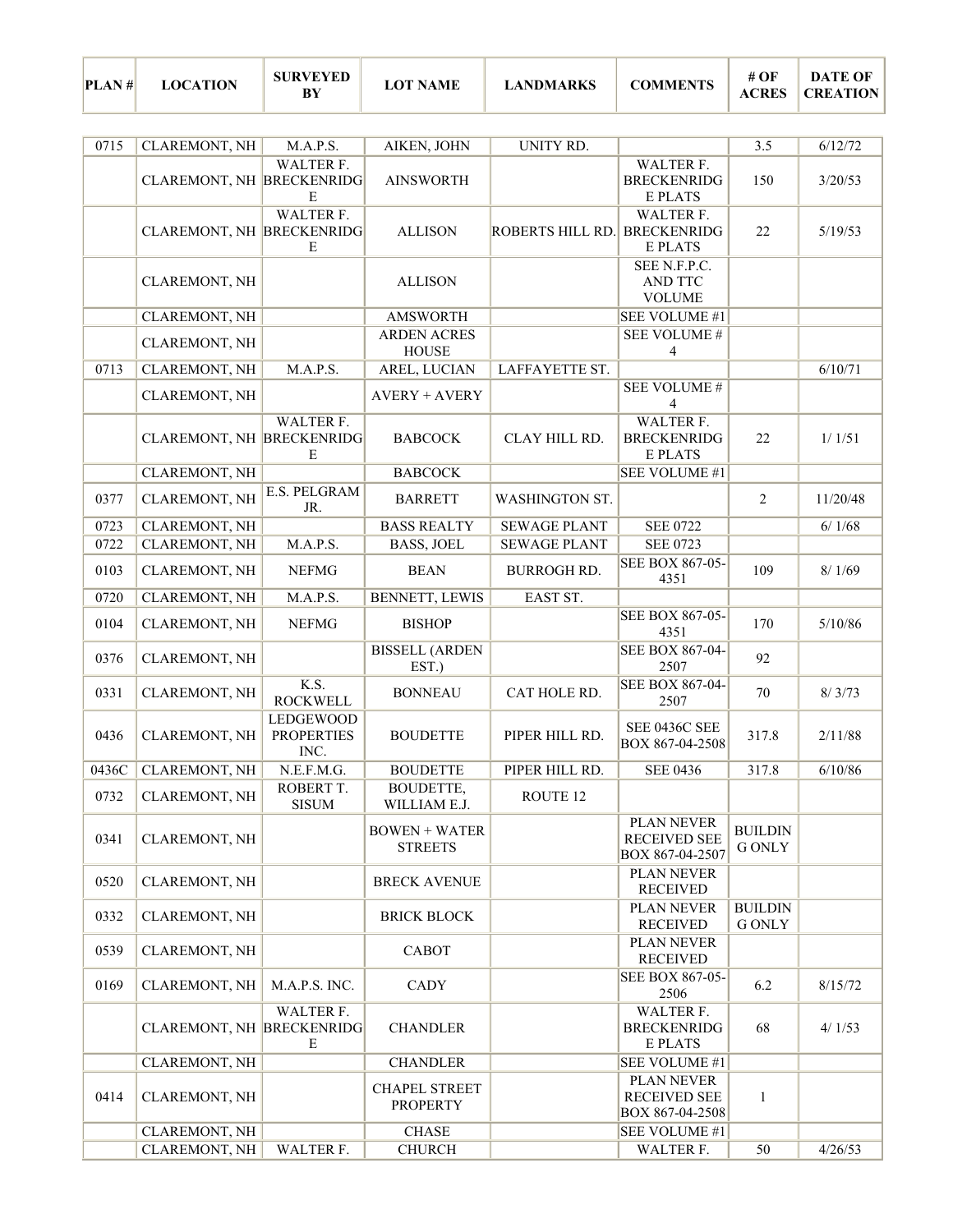| PLAN# | <b>LOCATION</b> | SURVEYED<br>BY | <b>LOT NAME</b> | LANDMARKS | <b>COMMENTS</b> | # OF<br><b>ACRES</b> | <b>DATE OF</b><br><b>CREATION</b> |
|-------|-----------------|----------------|-----------------|-----------|-----------------|----------------------|-----------------------------------|
|       |                 |                |                 |           |                 |                      |                                   |

| 0715  | CLAREMONT, NH                    | M.A.P.S.                                      | AIKEN, JOHN                             | UNITY RD.                    |                                                             | 3.5                             | 6/12/72  |
|-------|----------------------------------|-----------------------------------------------|-----------------------------------------|------------------------------|-------------------------------------------------------------|---------------------------------|----------|
|       | <b>CLAREMONT, NH BRECKENRIDG</b> | <b>WALTER F.</b><br>E                         | <b>AINSWORTH</b>                        |                              | <b>WALTER F.</b><br><b>BRECKENRIDG</b><br>E PLATS           | 150                             | 3/20/53  |
|       | <b>CLAREMONT, NH BRECKENRIDG</b> | <b>WALTER F.</b><br>Е                         | <b>ALLISON</b>                          | ROBERTS HILL RD. BRECKENRIDG | WALTER F.<br>E PLATS                                        | 22                              | 5/19/53  |
|       | CLAREMONT, NH                    |                                               | <b>ALLISON</b>                          |                              | SEE N.F.P.C.<br><b>AND TTC</b><br><b>VOLUME</b>             |                                 |          |
|       | <b>CLAREMONT, NH</b>             |                                               | <b>AMSWORTH</b>                         |                              | SEE VOLUME #1                                               |                                 |          |
|       | CLAREMONT, NH                    |                                               | <b>ARDEN ACRES</b><br><b>HOUSE</b>      |                              | SEE VOLUME #<br>4                                           |                                 |          |
| 0713  | CLAREMONT, NH                    | M.A.P.S.                                      | AREL, LUCIAN                            | LAFFAYETTE ST.               |                                                             |                                 | 6/10/71  |
|       | CLAREMONT, NH                    |                                               | <b>AVERY + AVERY</b>                    |                              | SEE VOLUME #<br>$\overline{4}$                              |                                 |          |
|       | <b>CLAREMONT, NH BRECKENRIDG</b> | WALTER F.<br>E                                | <b>BABCOCK</b>                          | CLAY HILL RD.                | WALTER F.<br><b>BRECKENRIDG</b><br>E PLATS                  | 22                              | 1/1/51   |
|       | CLAREMONT, NH                    |                                               | <b>BABCOCK</b>                          |                              | SEE VOLUME #1                                               |                                 |          |
| 0377  | CLAREMONT, NH                    | E.S. PELGRAM<br>JR.                           | <b>BARRETT</b>                          | WASHINGTON ST.               |                                                             | $\overline{c}$                  | 11/20/48 |
| 0723  | CLAREMONT, NH                    |                                               | <b>BASS REALTY</b>                      | <b>SEWAGE PLANT</b>          | <b>SEE 0722</b>                                             |                                 | 6/1/68   |
| 0722  | CLAREMONT, NH                    | M.A.P.S.                                      | BASS, JOEL                              | <b>SEWAGE PLANT</b>          | <b>SEE 0723</b>                                             |                                 |          |
| 0103  | CLAREMONT, NH                    | <b>NEFMG</b>                                  | <b>BEAN</b>                             | <b>BURROGH RD.</b>           | SEE BOX 867-05-<br>4351                                     | 109                             | 8/1/69   |
| 0720  | CLAREMONT, NH                    | M.A.P.S.                                      | <b>BENNETT, LEWIS</b>                   | EAST ST.                     |                                                             |                                 |          |
| 0104  | CLAREMONT, NH                    | <b>NEFMG</b>                                  | <b>BISHOP</b>                           |                              | SEE BOX 867-05-<br>4351                                     | 170                             | 5/10/86  |
| 0376  | CLAREMONT, NH                    |                                               | <b>BISSELL (ARDEN</b><br>EST.)          |                              | SEE BOX 867-04-<br>2507                                     | 92                              |          |
| 0331  | CLAREMONT, NH                    | K.S.<br><b>ROCKWELL</b>                       | <b>BONNEAU</b>                          | CAT HOLE RD.                 | SEE BOX 867-04-<br>2507                                     | 70                              | 8/3/73   |
| 0436  | CLAREMONT, NH                    | <b>LEDGEWOOD</b><br><b>PROPERTIES</b><br>INC. | <b>BOUDETTE</b>                         | PIPER HILL RD.               | SEE 0436C SEE<br>BOX 867-04-2508                            | 317.8                           | 2/11/88  |
| 0436C | <b>CLAREMONT, NH</b>             | N.E.F.M.G.                                    | <b>BOUDETTE</b>                         | PIPER HILL RD.               | <b>SEE 0436</b>                                             | 317.8                           | 6/10/86  |
| 0732  | CLAREMONT, NH                    | ROBERT T.<br><b>SISUM</b>                     | <b>BOUDETTE,</b><br>WILLIAM E.J.        | ROUTE 12                     |                                                             |                                 |          |
| 0341  | CLAREMONT, NH                    |                                               | <b>BOWEN + WATER</b><br><b>STREETS</b>  |                              | PLAN NEVER<br><b>RECEIVED SEE</b><br>BOX 867-04-2507        | <b>BUILDIN</b><br><b>GONLY</b>  |          |
| 0520  | CLAREMONT, NH                    |                                               | <b>BRECK AVENUE</b>                     |                              | <b>PLAN NEVER</b><br><b>RECEIVED</b>                        |                                 |          |
| 0332  | CLAREMONT, NH                    |                                               | <b>BRICK BLOCK</b>                      |                              | <b>PLAN NEVER</b><br><b>RECEIVED</b>                        | <b>BUILDIN</b><br><b>G ONLY</b> |          |
| 0539  | CLAREMONT, NH                    |                                               | <b>CABOT</b>                            |                              | PLAN NEVER<br><b>RECEIVED</b>                               |                                 |          |
| 0169  | <b>CLAREMONT, NH</b>             | M.A.P.S. INC.                                 | <b>CADY</b>                             |                              | SEE BOX 867-05-<br>2506                                     | 6.2                             | 8/15/72  |
|       | <b>CLAREMONT, NH BRECKENRIDG</b> | WALTER F.<br>E                                | <b>CHANDLER</b>                         |                              | WALTER F.<br><b>BRECKENRIDG</b><br>E PLATS                  | 68                              | 4/1/53   |
|       | <b>CLAREMONT, NH</b>             |                                               | <b>CHANDLER</b>                         |                              | SEE VOLUME #1                                               |                                 |          |
| 0414  | CLAREMONT, NH                    |                                               | <b>CHAPEL STREET</b><br><b>PROPERTY</b> |                              | <b>PLAN NEVER</b><br><b>RECEIVED SEE</b><br>BOX 867-04-2508 | $\mathbf{1}$                    |          |
|       | CLAREMONT, NH                    |                                               | <b>CHASE</b>                            |                              | SEE VOLUME #1                                               |                                 |          |
|       | CLAREMONT, NH                    | WALTER F.                                     | <b>CHURCH</b>                           |                              | WALTER F.                                                   | 50                              | 4/26/53  |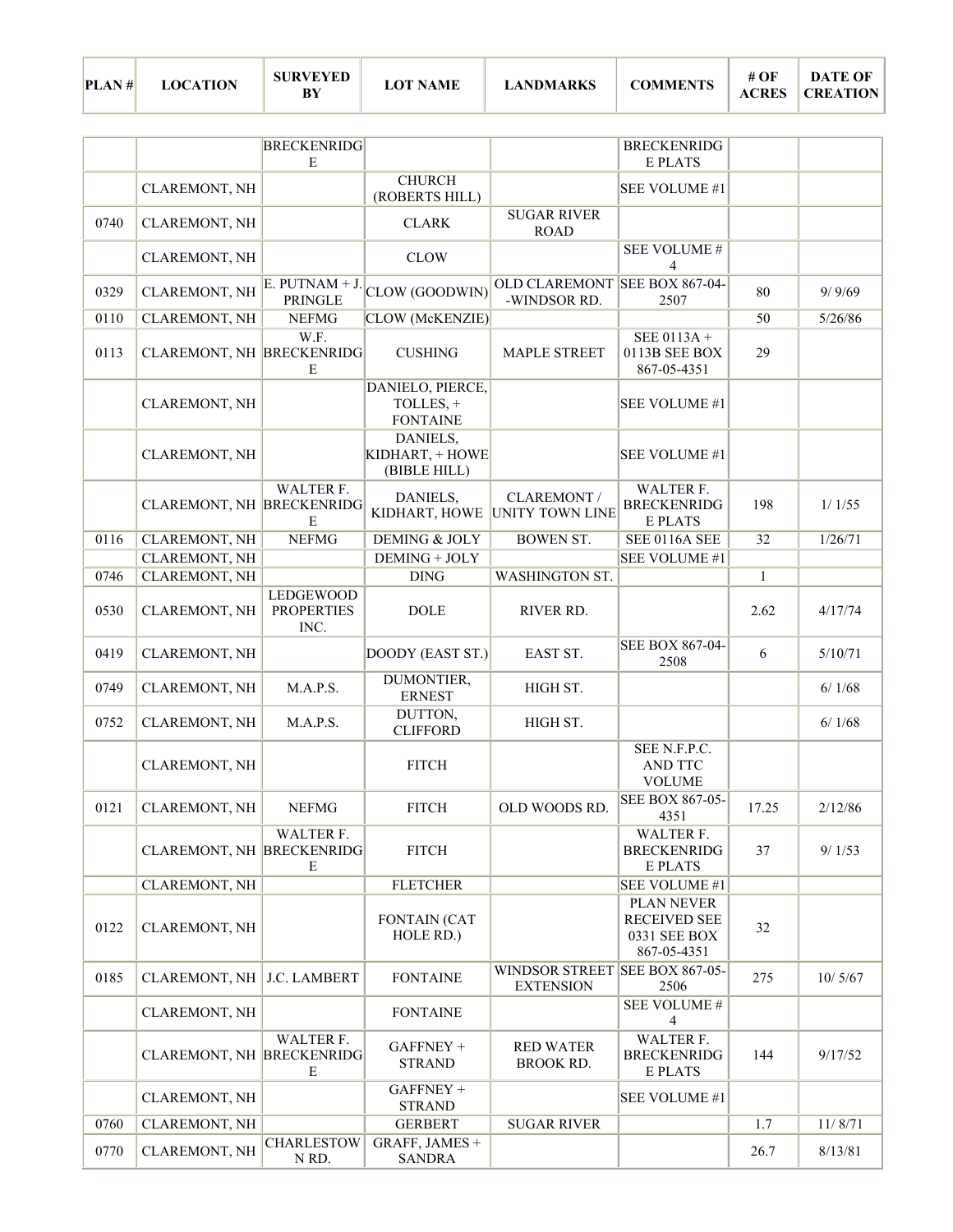|      |                                  | <b>BRECKENRIDG</b>                            |                                                  |                                                    | <b>BRECKENRIDG</b>                                               |                 |         |
|------|----------------------------------|-----------------------------------------------|--------------------------------------------------|----------------------------------------------------|------------------------------------------------------------------|-----------------|---------|
|      |                                  | E                                             |                                                  |                                                    | E PLATS                                                          |                 |         |
|      | CLAREMONT, NH                    |                                               | <b>CHURCH</b>                                    |                                                    | SEE VOLUME #1                                                    |                 |         |
|      |                                  |                                               | (ROBERTS HILL)                                   |                                                    |                                                                  |                 |         |
| 0740 | CLAREMONT, NH                    |                                               | <b>CLARK</b>                                     | <b>SUGAR RIVER</b><br><b>ROAD</b>                  |                                                                  |                 |         |
|      | CLAREMONT, NH                    |                                               | <b>CLOW</b>                                      |                                                    | SEE VOLUME #<br>$\overline{\mathcal{L}}$                         |                 |         |
| 0329 | CLAREMONT, NH                    | $E.$ PUTNAM + J.<br><b>PRINGLE</b>            | CLOW (GOODWIN)                                   | OLD CLAREMONT SEE BOX 867-04-<br>-WINDSOR RD.      | 2507                                                             | 80              | 9/9/69  |
| 0110 | CLAREMONT, NH                    | <b>NEFMG</b>                                  | CLOW (McKENZIE)                                  |                                                    |                                                                  | 50              | 5/26/86 |
| 0113 | <b>CLAREMONT, NH BRECKENRIDG</b> | W.F.<br>E                                     | <b>CUSHING</b>                                   | <b>MAPLE STREET</b>                                | SEE 0113A +<br>0113B SEE BOX<br>867-05-4351                      | 29              |         |
|      | CLAREMONT, NH                    |                                               | DANIELO, PIERCE,<br>TOLLES, +<br><b>FONTAINE</b> |                                                    | SEE VOLUME #1                                                    |                 |         |
|      | <b>CLAREMONT, NH</b>             |                                               | DANIELS,<br>KIDHART, + HOWE<br>(BIBLE HILL)      |                                                    | SEE VOLUME #1                                                    |                 |         |
|      | <b>CLAREMONT, NH BRECKENRIDG</b> | WALTER F.<br>E                                | DANIELS,                                         | CLAREMONT /<br>KIDHART, HOWE UNITY TOWN LINE       | <b>WALTER F.</b><br><b>BRECKENRIDG</b><br>E PLATS                | 198             | 1/1/55  |
| 0116 | <b>CLAREMONT, NH</b>             | <b>NEFMG</b>                                  | <b>DEMING &amp; JOLY</b>                         | <b>BOWEN ST.</b>                                   | SEE 0116A SEE                                                    | $\overline{32}$ | 1/26/71 |
|      | CLAREMONT, NH                    |                                               | DEMING + JOLY                                    |                                                    | SEE VOLUME #1                                                    |                 |         |
| 0746 | CLAREMONT, NH                    |                                               | <b>DING</b>                                      | <b>WASHINGTON ST.</b>                              |                                                                  | $\mathbf{1}$    |         |
| 0530 | CLAREMONT, NH                    | <b>LEDGEWOOD</b><br><b>PROPERTIES</b><br>INC. | DOLE                                             | RIVER RD.                                          |                                                                  | 2.62            | 4/17/74 |
| 0419 | CLAREMONT, NH                    |                                               | DOODY (EAST ST.)                                 | EAST ST.                                           | SEE BOX 867-04-<br>2508                                          | 6               | 5/10/71 |
| 0749 | CLAREMONT, NH                    | M.A.P.S.                                      | DUMONTIER,<br><b>ERNEST</b>                      | HIGH ST.                                           |                                                                  |                 | 6/1/68  |
| 0752 | CLAREMONT, NH                    | M.A.P.S.                                      | DUTTON,<br><b>CLIFFORD</b>                       | HIGH ST.                                           |                                                                  |                 | 6/1/68  |
|      | <b>CLAREMONT, NH</b>             |                                               | <b>FITCH</b>                                     |                                                    | SEE N.F.P.C.<br><b>AND TTC</b><br><b>VOLUME</b>                  |                 |         |
| 0121 | CLAREMONT, NH                    | <b>NEFMG</b>                                  | <b>FITCH</b>                                     | OLD WOODS RD.                                      | SEE BOX 867-05-<br>4351                                          | 17.25           | 2/12/86 |
|      | <b>CLAREMONT, NH BRECKENRIDG</b> | WALTER F.<br>Е                                | <b>FITCH</b>                                     |                                                    | WALTER F.<br><b>BRECKENRIDG</b><br>E PLATS                       | 37              | 9/1/53  |
|      | <b>CLAREMONT, NH</b>             |                                               | <b>FLETCHER</b>                                  |                                                    | SEE VOLUME #1                                                    |                 |         |
| 0122 | CLAREMONT, NH                    |                                               | <b>FONTAIN (CAT</b><br>HOLE RD.)                 |                                                    | PLAN NEVER<br><b>RECEIVED SEE</b><br>0331 SEE BOX<br>867-05-4351 | 32              |         |
| 0185 | CLAREMONT, NH                    | J.C. LAMBERT                                  | <b>FONTAINE</b>                                  | WINDSOR STREET SEE BOX 867-05-<br><b>EXTENSION</b> | 2506                                                             | 275             | 10/5/67 |
|      | CLAREMONT, NH                    |                                               | <b>FONTAINE</b>                                  |                                                    | SEE VOLUME #<br>4                                                |                 |         |
|      | <b>CLAREMONT, NH BRECKENRIDG</b> | WALTER F.<br>Е                                | GAFFNEY +<br><b>STRAND</b>                       | <b>RED WATER</b><br><b>BROOK RD.</b>               | WALTER F.<br><b>BRECKENRIDG</b><br>E PLATS                       | 144             | 9/17/52 |
|      | CLAREMONT, NH                    |                                               | GAFFNEY +<br><b>STRAND</b>                       |                                                    | SEE VOLUME #1                                                    |                 |         |
| 0760 | CLAREMONT, NH                    |                                               | <b>GERBERT</b>                                   | <b>SUGAR RIVER</b>                                 |                                                                  | 1.7             | 11/8/71 |
| 0770 | CLAREMONT, NH                    | <b>CHARLESTOW</b><br>N RD.                    | GRAFF, JAMES +<br><b>SANDRA</b>                  |                                                    |                                                                  | 26.7            | 8/13/81 |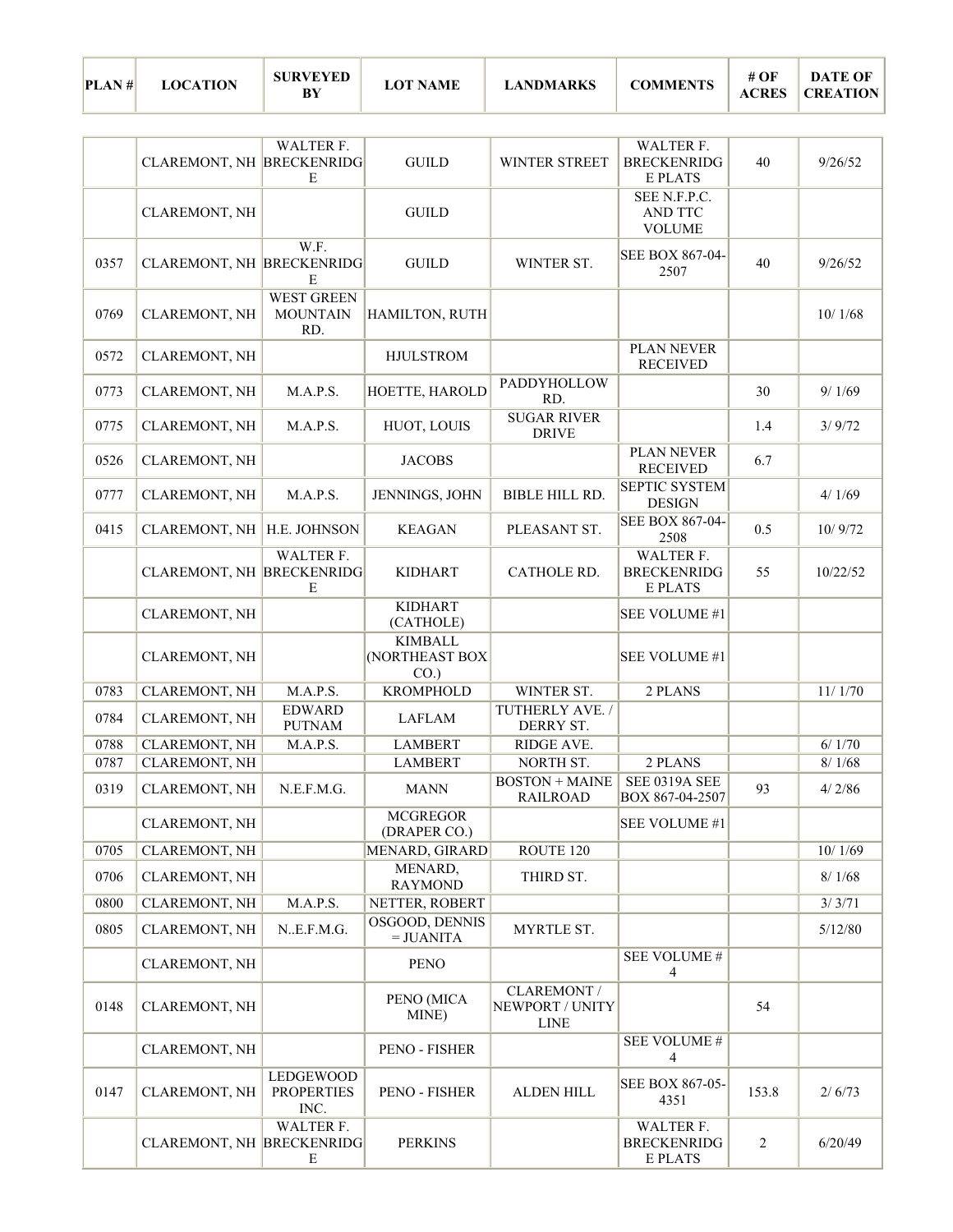|      | <b>CLAREMONT, NH BRECKENRIDG</b> | WALTER F.<br>E                                | <b>GUILD</b>                                | <b>WINTER STREET</b>                          | WALTER F.<br><b>BRECKENRIDG</b><br>E PLATS      | 40         | 9/26/52  |
|------|----------------------------------|-----------------------------------------------|---------------------------------------------|-----------------------------------------------|-------------------------------------------------|------------|----------|
|      | CLAREMONT, NH                    |                                               | <b>GUILD</b>                                |                                               | SEE N.F.P.C.<br><b>AND TTC</b><br><b>VOLUME</b> |            |          |
| 0357 | <b>CLAREMONT, NH BRECKENRIDG</b> | W.F.<br>E                                     | <b>GUILD</b>                                | WINTER ST.                                    | SEE BOX 867-04-<br>2507                         | 40         | 9/26/52  |
| 0769 | CLAREMONT, NH                    | <b>WEST GREEN</b><br><b>MOUNTAIN</b><br>RD.   | HAMILTON, RUTH                              |                                               |                                                 |            | 10/1/68  |
| 0572 | CLAREMONT, NH                    |                                               | <b>HJULSTROM</b>                            |                                               | PLAN NEVER<br><b>RECEIVED</b>                   |            |          |
| 0773 | CLAREMONT, NH                    | M.A.P.S.                                      | HOETTE, HAROLD                              | PADDYHOLLOW<br>RD.                            |                                                 | 30         | 9/1/69   |
| 0775 | CLAREMONT, NH                    | M.A.P.S.                                      | HUOT, LOUIS                                 | <b>SUGAR RIVER</b><br><b>DRIVE</b>            |                                                 | 1.4        | 3/9/72   |
| 0526 | CLAREMONT, NH                    |                                               | <b>JACOBS</b>                               |                                               | <b>PLAN NEVER</b><br><b>RECEIVED</b>            | 6.7        |          |
| 0777 | CLAREMONT, NH                    | M.A.P.S.                                      | JENNINGS, JOHN                              | BIBLE HILL RD.                                | <b>SEPTIC SYSTEM</b><br><b>DESIGN</b>           |            | 4/1/69   |
| 0415 | CLAREMONT, NH                    | H.E. JOHNSON                                  | <b>KEAGAN</b>                               | PLEASANT ST.                                  | SEE BOX 867-04-<br>2508                         | 0.5        | 10/9/72  |
|      | <b>CLAREMONT, NH BRECKENRIDG</b> | WALTER F.<br>E                                | <b>KIDHART</b>                              | CATHOLE RD.                                   | WALTER F.<br><b>BRECKENRIDG</b><br>E PLATS      | 55         | 10/22/52 |
|      | CLAREMONT, NH                    |                                               | <b>KIDHART</b><br>(CATHOLE)                 |                                               | SEE VOLUME #1                                   |            |          |
|      | CLAREMONT, NH                    |                                               | <b>KIMBALL</b><br>(NORTHEAST BOX<br>$CO.$ ) |                                               | SEE VOLUME #1                                   |            |          |
| 0783 | CLAREMONT, NH                    | M.A.P.S.                                      | <b>KROMPHOLD</b>                            | WINTER ST.                                    | 2 PLANS                                         |            | 11/1/70  |
| 0784 | CLAREMONT, NH                    | <b>EDWARD</b><br><b>PUTNAM</b>                | <b>LAFLAM</b>                               | TUTHERLY AVE. /<br>DERRY ST.                  |                                                 |            |          |
| 0788 | CLAREMONT, NH                    | M.A.P.S.                                      | <b>LAMBERT</b>                              | RIDGE AVE.                                    |                                                 |            | 6/1/70   |
| 0787 | CLAREMONT, NH                    |                                               | <b>LAMBERT</b>                              | NORTH ST.                                     | 2 PLANS                                         |            | 8/1/68   |
| 0319 | CLAREMONT, NH                    | N.E.F.M.G.                                    | <b>MANN</b>                                 | <b>BOSTON + MAINE</b><br><b>RAILROAD</b>      | <b>SEE 0319A SEE</b><br>BOX 867-04-2507         | 93         | 4/2/86   |
|      | CLAREMONT, NH                    |                                               | <b>MCGREGOR</b><br>(DRAPER CO.)             |                                               | SEE VOLUME #1                                   |            |          |
| 0705 | <b>CLAREMONT, NH</b>             |                                               | MENARD, GIRARD                              | ROUTE 120                                     |                                                 |            | 10/1/69  |
| 0706 | CLAREMONT, NH                    |                                               | MENARD,<br><b>RAYMOND</b>                   | THIRD ST.                                     |                                                 |            | 8/1/68   |
| 0800 | CLAREMONT, NH                    | M.A.P.S.                                      | NETTER, ROBERT                              |                                               |                                                 |            | 3/3/71   |
| 0805 | CLAREMONT, NH                    | NE.F.M.G.                                     | OSGOOD, DENNIS<br>$=$ JUANITA               | MYRTLE ST.                                    |                                                 |            | 5/12/80  |
|      | <b>CLAREMONT, NH</b>             |                                               | <b>PENO</b>                                 |                                               | SEE VOLUME #<br>4                               |            |          |
| 0148 | <b>CLAREMONT, NH</b>             |                                               | PENO (MICA<br>MINE)                         | CLAREMONT /<br>NEWPORT / UNITY<br><b>LINE</b> |                                                 | 54         |          |
|      | <b>CLAREMONT, NH</b>             |                                               | PENO - FISHER                               |                                               | SEE VOLUME #<br>4                               |            |          |
| 0147 | <b>CLAREMONT, NH</b>             | <b>LEDGEWOOD</b><br><b>PROPERTIES</b><br>INC. | PENO - FISHER                               | <b>ALDEN HILL</b>                             | SEE BOX 867-05-<br>4351                         | 153.8      | 2/6/73   |
|      | <b>CLAREMONT, NH BRECKENRIDG</b> | WALTER F.<br>E                                | <b>PERKINS</b>                              |                                               | WALTER F.<br><b>BRECKENRIDG</b><br>E PLATS      | $\sqrt{2}$ | 6/20/49  |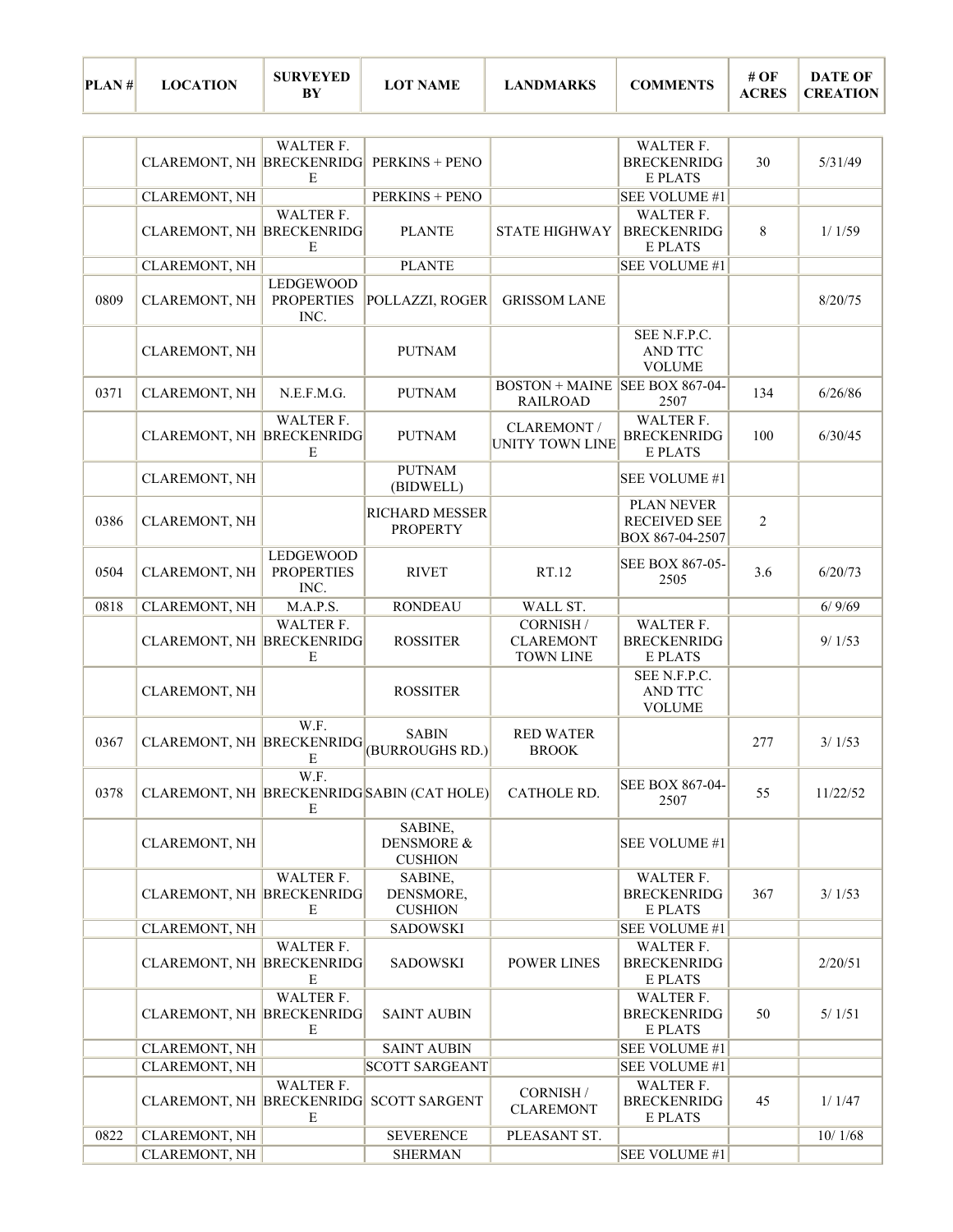| PLAN H | <b>LOCATION</b> | <b>SURVEYED</b><br>BY | <b>LOT NAME</b> | LANDMARKS | <b>COMMENTS</b> | # OF<br><b>ACRES</b> | <b>DATE OF</b><br><b>CREATION</b> |
|--------|-----------------|-----------------------|-----------------|-----------|-----------------|----------------------|-----------------------------------|
|--------|-----------------|-----------------------|-----------------|-----------|-----------------|----------------------|-----------------------------------|

|      | <b>CLAREMONT, NH BRECKENRIDG</b> | <b>WALTER F.</b><br>E                         | <b>PERKINS + PENO</b>                                    |                                                     | WALTER F.<br><b>BRECKENRIDG</b><br>E PLATS           | 30             | 5/31/49  |
|------|----------------------------------|-----------------------------------------------|----------------------------------------------------------|-----------------------------------------------------|------------------------------------------------------|----------------|----------|
|      | <b>CLAREMONT, NH</b>             |                                               | <b>PERKINS + PENO</b>                                    |                                                     | <b>SEE VOLUME #1</b>                                 |                |          |
|      | <b>CLAREMONT, NH BRECKENRIDG</b> | WALTER F.<br>E                                | <b>PLANTE</b>                                            | <b>STATE HIGHWAY</b>                                | WALTER F.<br><b>BRECKENRIDG</b><br>E PLATS           | 8              | 1/1/59   |
|      | CLAREMONT, NH                    |                                               | <b>PLANTE</b>                                            |                                                     | SEE VOLUME #1                                        |                |          |
| 0809 | CLAREMONT, NH                    | <b>LEDGEWOOD</b><br><b>PROPERTIES</b><br>INC. | POLLAZZI, ROGER                                          | <b>GRISSOM LANE</b>                                 |                                                      |                | 8/20/75  |
|      | CLAREMONT, NH                    |                                               | <b>PUTNAM</b>                                            |                                                     | SEE N.F.P.C.<br><b>AND TTC</b><br><b>VOLUME</b>      |                |          |
| 0371 | CLAREMONT, NH                    | N.E.F.M.G.                                    | <b>PUTNAM</b>                                            | $BOSTON + MAINE$ SEE BOX 867-04-<br><b>RAILROAD</b> | 2507                                                 | 134            | 6/26/86  |
|      | <b>CLAREMONT, NH BRECKENRIDG</b> | WALTER F.<br>E                                | <b>PUTNAM</b>                                            | CLAREMONT /<br>UNITY TOWN LINE                      | WALTER F.<br><b>BRECKENRIDG</b><br>E PLATS           | 100            | 6/30/45  |
|      | CLAREMONT, NH                    |                                               | <b>PUTNAM</b><br>(BIDWELL)                               |                                                     | SEE VOLUME #1                                        |                |          |
| 0386 | CLAREMONT, NH                    |                                               | RICHARD MESSER<br><b>PROPERTY</b>                        |                                                     | PLAN NEVER<br><b>RECEIVED SEE</b><br>BOX 867-04-2507 | $\overline{2}$ |          |
| 0504 | CLAREMONT, NH                    | <b>LEDGEWOOD</b><br><b>PROPERTIES</b><br>INC. | <b>RIVET</b>                                             | RT.12                                               | SEE BOX 867-05-<br>2505                              | 3.6            | 6/20/73  |
| 0818 | CLAREMONT, NH                    | M.A.P.S.                                      | <b>RONDEAU</b>                                           | WALL ST.                                            |                                                      |                | 6/9/69   |
|      | <b>CLAREMONT, NH BRECKENRIDG</b> | <b>WALTER F.</b><br>E                         | <b>ROSSITER</b>                                          | CORNISH /<br><b>CLAREMONT</b><br><b>TOWN LINE</b>   | WALTER F.<br><b>BRECKENRIDG</b><br>E PLATS           |                | 9/1/53   |
|      | CLAREMONT, NH                    |                                               | <b>ROSSITER</b>                                          |                                                     | SEE N.F.P.C.<br><b>AND TTC</b><br><b>VOLUME</b>      |                |          |
| 0367 |                                  | W.F.<br>E                                     | <b>SABIN</b><br>CLAREMONT, NH BRECKENRIDG BURROUGHS RD.) | <b>RED WATER</b><br><b>BROOK</b>                    |                                                      | 277            | 3/1/53   |
| 0378 |                                  | W.F.<br>Е                                     | CLAREMONT, NH BRECKENRIDG SABIN (CAT HOLE)               | <b>CATHOLE RD.</b>                                  | SEE BOX 867-04-<br>2507                              | 55             | 11/22/52 |
|      | CLAREMONT, NH                    |                                               | SABINE,<br><b>DENSMORE &amp;</b><br><b>CUSHION</b>       |                                                     | SEE VOLUME #1                                        |                |          |
|      | <b>CLAREMONT, NH BRECKENRIDG</b> | <b>WALTER F.</b><br>Е                         | SABINE,<br>DENSMORE,<br><b>CUSHION</b>                   |                                                     | WALTER F.<br><b>BRECKENRIDG</b><br>E PLATS           | 367            | 3/1/53   |
|      | CLAREMONT, NH                    |                                               | <b>SADOWSKI</b>                                          |                                                     | SEE VOLUME #1                                        |                |          |
|      | <b>CLAREMONT, NH BRECKENRIDG</b> | WALTER F.<br>Е                                | <b>SADOWSKI</b>                                          | <b>POWER LINES</b>                                  | <b>WALTER F.</b><br><b>BRECKENRIDG</b><br>E PLATS    |                | 2/20/51  |
|      | <b>CLAREMONT, NH BRECKENRIDG</b> | WALTER F.<br>Е                                | <b>SAINT AUBIN</b>                                       |                                                     | WALTER F.<br><b>BRECKENRIDG</b><br>E PLATS           | 50             | 5/1/51   |
|      | <b>CLAREMONT, NH</b>             |                                               | <b>SAINT AUBIN</b>                                       |                                                     | SEE VOLUME #1                                        |                |          |
|      | CLAREMONT, NH                    |                                               | <b>SCOTT SARGEANT</b>                                    |                                                     | SEE VOLUME #1                                        |                |          |
|      | <b>CLAREMONT, NH BRECKENRIDG</b> | WALTER F.<br>Е                                | <b>SCOTT SARGENT</b>                                     | CORNISH /<br><b>CLAREMONT</b>                       | WALTER F.<br><b>BRECKENRIDG</b><br>E PLATS           | 45             | 1/1/47   |
| 0822 | CLAREMONT, NH                    |                                               | <b>SEVERENCE</b>                                         | PLEASANT ST.                                        |                                                      |                | 10/1/68  |
|      | CLAREMONT, NH                    |                                               | <b>SHERMAN</b>                                           |                                                     | SEE VOLUME #1                                        |                |          |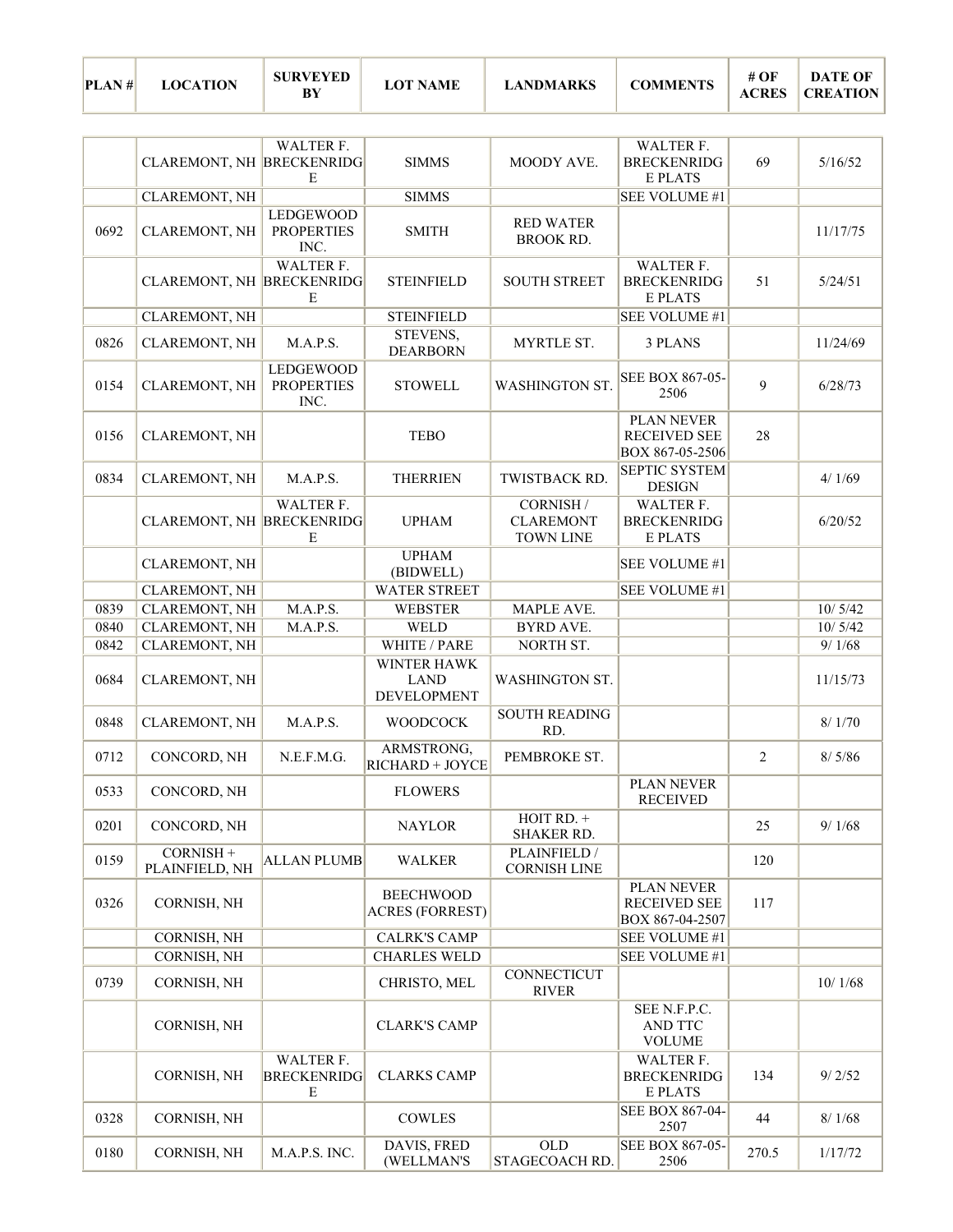|      | <b>CLAREMONT, NH BRECKENRIDG</b> | WALTER F.<br>E                                | <b>SIMMS</b>                                     | MOODY AVE.                                        | WALTER F.<br><b>BRECKENRIDG</b><br>E PLATS           | 69             | 5/16/52  |
|------|----------------------------------|-----------------------------------------------|--------------------------------------------------|---------------------------------------------------|------------------------------------------------------|----------------|----------|
|      | <b>CLAREMONT, NH</b>             |                                               | <b>SIMMS</b>                                     |                                                   | SEE VOLUME #1                                        |                |          |
| 0692 | CLAREMONT, NH                    | <b>LEDGEWOOD</b><br><b>PROPERTIES</b><br>INC. | <b>SMITH</b>                                     | <b>RED WATER</b><br><b>BROOK RD.</b>              |                                                      |                | 11/17/75 |
|      | <b>CLAREMONT, NH BRECKENRIDG</b> | WALTER F.<br>E                                | <b>STEINFIELD</b>                                | <b>SOUTH STREET</b>                               | WALTER F.<br><b>BRECKENRIDG</b><br>E PLATS           | 51             | 5/24/51  |
|      | CLAREMONT, NH                    |                                               | <b>STEINFIELD</b>                                |                                                   | SEE VOLUME #1                                        |                |          |
| 0826 | CLAREMONT, NH                    | M.A.P.S.                                      | STEVENS,<br><b>DEARBORN</b>                      | MYRTLE ST.                                        | 3 PLANS                                              |                | 11/24/69 |
| 0154 | CLAREMONT, NH                    | <b>LEDGEWOOD</b><br><b>PROPERTIES</b><br>INC. | <b>STOWELL</b>                                   | <b>WASHINGTON ST.</b>                             | SEE BOX 867-05-<br>2506                              | 9              | 6/28/73  |
| 0156 | CLAREMONT, NH                    |                                               | <b>TEBO</b>                                      |                                                   | PLAN NEVER<br><b>RECEIVED SEE</b><br>BOX 867-05-2506 | 28             |          |
| 0834 | CLAREMONT, NH                    | M.A.P.S.                                      | <b>THERRIEN</b>                                  | TWISTBACK RD.                                     | <b>SEPTIC SYSTEM</b><br><b>DESIGN</b>                |                | 4/1/69   |
|      | <b>CLAREMONT, NH BRECKENRIDG</b> | WALTER F.<br>E                                | <b>UPHAM</b>                                     | CORNISH /<br><b>CLAREMONT</b><br><b>TOWN LINE</b> | WALTER F.<br><b>BRECKENRIDG</b><br>E PLATS           |                | 6/20/52  |
|      | CLAREMONT, NH                    |                                               | <b>UPHAM</b><br>(BIDWELL)                        |                                                   | SEE VOLUME #1                                        |                |          |
|      | CLAREMONT, NH                    |                                               | <b>WATER STREET</b>                              |                                                   | SEE VOLUME #1                                        |                |          |
| 0839 | CLAREMONT, NH                    | M.A.P.S.                                      | <b>WEBSTER</b>                                   | MAPLE AVE.                                        |                                                      |                | 10/5/42  |
| 0840 | CLAREMONT, NH                    | M.A.P.S.                                      | <b>WELD</b>                                      | <b>BYRD AVE.</b>                                  |                                                      |                | 10/5/42  |
| 0842 | CLAREMONT, NH                    |                                               | WHITE / PARE                                     | NORTH ST.                                         |                                                      |                | 9/1/68   |
| 0684 | CLAREMONT, NH                    |                                               | WINTER HAWK<br><b>LAND</b><br><b>DEVELOPMENT</b> | <b>WASHINGTON ST.</b>                             |                                                      |                | 11/15/73 |
| 0848 | CLAREMONT, NH                    | M.A.P.S.                                      | <b>WOODCOCK</b>                                  | <b>SOUTH READING</b><br>RD.                       |                                                      |                | 8/1/70   |
| 0712 | CONCORD, NH                      | N.E.F.M.G.                                    | ARMSTRONG,<br>RICHARD + JOYCE                    | PEMBROKE ST.                                      |                                                      | $\overline{c}$ | 8/5/86   |
| 0533 | CONCORD, NH                      |                                               | <b>FLOWERS</b>                                   |                                                   | PLAN NEVER<br><b>RECEIVED</b>                        |                |          |
| 0201 | CONCORD, NH                      |                                               | <b>NAYLOR</b>                                    | HOIT RD. +<br>SHAKER RD.                          |                                                      | 25             | 9/1/68   |
| 0159 | CORNISH +<br>PLAINFIELD, NH      | <b>ALLAN PLUMB</b>                            | <b>WALKER</b>                                    | PLAINFIELD /<br><b>CORNISH LINE</b>               |                                                      | 120            |          |
| 0326 | CORNISH, NH                      |                                               | <b>BEECHWOOD</b><br><b>ACRES (FORREST)</b>       |                                                   | PLAN NEVER<br><b>RECEIVED SEE</b><br>BOX 867-04-2507 | 117            |          |
|      | CORNISH, NH                      |                                               | <b>CALRK'S CAMP</b>                              |                                                   | SEE VOLUME #1                                        |                |          |
|      | CORNISH, NH                      |                                               | <b>CHARLES WELD</b>                              |                                                   | SEE VOLUME #1                                        |                |          |
| 0739 | CORNISH, NH                      |                                               | CHRISTO, MEL                                     | <b>CONNECTICUT</b><br><b>RIVER</b>                |                                                      |                | 10/1/68  |
|      | CORNISH, NH                      |                                               | <b>CLARK'S CAMP</b>                              |                                                   | SEE N.F.P.C.<br><b>AND TTC</b><br><b>VOLUME</b>      |                |          |
|      | CORNISH, NH                      | WALTER F.<br><b>BRECKENRIDG</b><br>E          | <b>CLARKS CAMP</b>                               |                                                   | WALTER F.<br><b>BRECKENRIDG</b><br>E PLATS           | 134            | 9/2/52   |
| 0328 | CORNISH, NH                      |                                               | COWLES                                           |                                                   | SEE BOX 867-04-<br>2507                              | 44             | 8/1/68   |
| 0180 | CORNISH, NH                      | M.A.P.S. INC.                                 | DAVIS, FRED<br>(WELLMAN'S                        | <b>OLD</b><br>STAGECOACH RD.                      | <b>SEE BOX 867-05-</b><br>2506                       | 270.5          | 1/17/72  |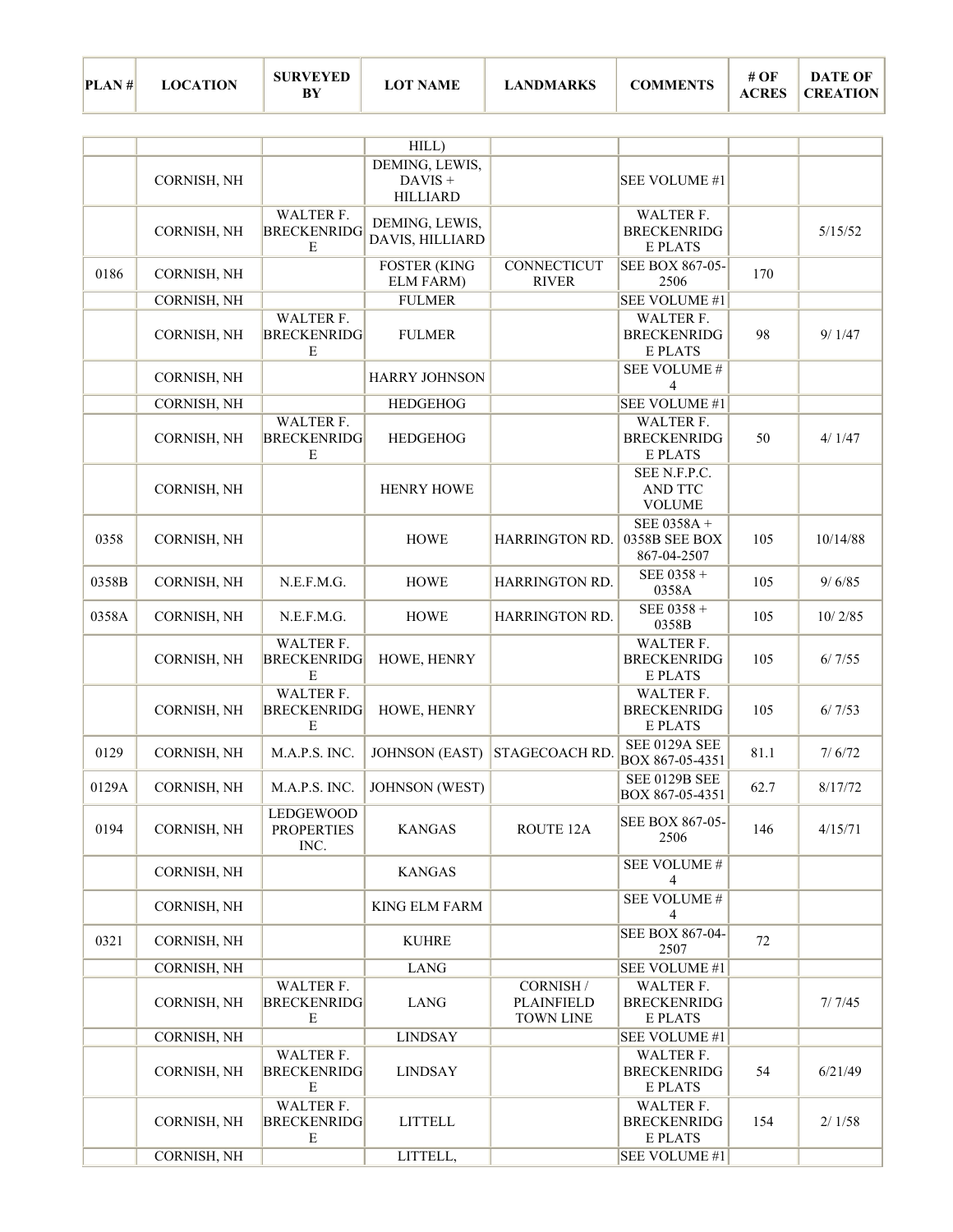| PLAN H | <b>LOCATION</b> | <b>SURVEYED</b><br>BY | <b>LOT NAME</b> | LANDMARKS | <b>COMMENTS</b> | # OF<br>ACRES | <b>DATE OF</b><br><b>CREATION</b> |
|--------|-----------------|-----------------------|-----------------|-----------|-----------------|---------------|-----------------------------------|
|        |                 |                       |                 |           |                 |               |                                   |

|       |             |                                               | HILL)                                          |                                             |                                                   |      |          |
|-------|-------------|-----------------------------------------------|------------------------------------------------|---------------------------------------------|---------------------------------------------------|------|----------|
|       | CORNISH, NH |                                               | DEMING, LEWIS,<br>$DAVIS +$<br><b>HILLIARD</b> |                                             | <b>SEE VOLUME #1</b>                              |      |          |
|       | CORNISH, NH | WALTER F.<br><b>BRECKENRIDG</b><br>E          | DEMING, LEWIS,<br>DAVIS, HILLIARD              |                                             | WALTER F.<br><b>BRECKENRIDG</b><br>E PLATS        |      | 5/15/52  |
| 0186  | CORNISH, NH |                                               | <b>FOSTER (KING</b><br>ELM FARM)               | CONNECTICUT<br><b>RIVER</b>                 | SEE BOX 867-05-<br>2506                           | 170  |          |
|       | CORNISH, NH |                                               | <b>FULMER</b>                                  |                                             | SEE VOLUME #1                                     |      |          |
|       | CORNISH, NH | WALTER F.<br><b>BRECKENRIDG</b><br>E          | <b>FULMER</b>                                  |                                             | WALTER F.<br><b>BRECKENRIDG</b><br>E PLATS        | 98   | 9/1/47   |
|       | CORNISH, NH |                                               | <b>HARRY JOHNSON</b>                           |                                             | SEE VOLUME #<br>$\overline{4}$                    |      |          |
|       | CORNISH, NH |                                               | <b>HEDGEHOG</b>                                |                                             | SEE VOLUME #1                                     |      |          |
|       | CORNISH, NH | WALTER F.<br><b>BRECKENRIDG</b><br>E          | <b>HEDGEHOG</b>                                |                                             | <b>WALTER F.</b><br><b>BRECKENRIDG</b><br>E PLATS | 50   | 4/1/47   |
|       | CORNISH, NH |                                               | <b>HENRY HOWE</b>                              |                                             | SEE N.F.P.C.<br><b>AND TTC</b><br><b>VOLUME</b>   |      |          |
| 0358  | CORNISH, NH |                                               | <b>HOWE</b>                                    | <b>HARRINGTON RD.</b>                       | SEE 0358A +<br>0358B SEE BOX<br>867-04-2507       | 105  | 10/14/88 |
| 0358B | CORNISH, NH | N.E.F.M.G.                                    | <b>HOWE</b>                                    | <b>HARRINGTON RD.</b>                       | SEE 0358 +<br>0358A                               | 105  | 9/6/85   |
| 0358A | CORNISH, NH | N.E.F.M.G.                                    | <b>HOWE</b>                                    | HARRINGTON RD.                              | SEE 0358 +<br>0358B                               | 105  | 10/2/85  |
|       | CORNISH, NH | WALTER F.<br><b>BRECKENRIDG</b><br>Е          | HOWE, HENRY                                    |                                             | WALTER F.<br><b>BRECKENRIDG</b><br>E PLATS        | 105  | 6/7/55   |
|       | CORNISH, NH | WALTER F.<br><b>BRECKENRIDG</b><br>Е          | HOWE, HENRY                                    |                                             | WALTER F.<br><b>BRECKENRIDG</b><br>E PLATS        | 105  | 6/7/53   |
| 0129  | CORNISH, NH | M.A.P.S. INC.                                 | <b>JOHNSON (EAST)</b>                          | STAGECOACH RD.                              | SEE 0129A SEE<br>BOX 867-05-4351                  | 81.1 | 7/6/72   |
| 0129A | CORNISH, NH | M.A.P.S. INC.                                 | <b>JOHNSON</b> (WEST)                          |                                             | <b>SEE 0129B SEE</b><br>BOX 867-05-4351           | 62.7 | 8/17/72  |
| 0194  | CORNISH, NH | <b>LEDGEWOOD</b><br><b>PROPERTIES</b><br>INC. | <b>KANGAS</b>                                  | ROUTE 12A                                   | SEE BOX 867-05-<br>2506                           | 146  | 4/15/71  |
|       | CORNISH, NH |                                               | <b>KANGAS</b>                                  |                                             | SEE VOLUME #<br>4                                 |      |          |
|       | CORNISH, NH |                                               | <b>KING ELM FARM</b>                           |                                             | SEE VOLUME #<br>4                                 |      |          |
| 0321  | CORNISH, NH |                                               | <b>KUHRE</b>                                   |                                             | SEE BOX 867-04-<br>2507                           | 72   |          |
|       | CORNISH, NH |                                               | <b>LANG</b>                                    |                                             | SEE VOLUME #1                                     |      |          |
|       | CORNISH, NH | WALTER F.<br><b>BRECKENRIDG</b><br>E          | LANG                                           | CORNISH /<br>PLAINFIELD<br><b>TOWN LINE</b> | WALTER F.<br><b>BRECKENRIDG</b><br>E PLATS        |      | 7/7/45   |
|       | CORNISH, NH |                                               | <b>LINDSAY</b>                                 |                                             | SEE VOLUME #1                                     |      |          |
|       | CORNISH, NH | WALTER F.<br><b>BRECKENRIDG</b><br>E          | <b>LINDSAY</b>                                 |                                             | WALTER F.<br><b>BRECKENRIDG</b><br>E PLATS        | 54   | 6/21/49  |
|       | CORNISH, NH | WALTER F.<br><b>BRECKENRIDG</b><br>E          | <b>LITTELL</b>                                 |                                             | WALTER F.<br><b>BRECKENRIDG</b><br>E PLATS        | 154  | 2/1/58   |
|       | CORNISH, NH |                                               | LITTELL,                                       |                                             | SEE VOLUME #1                                     |      |          |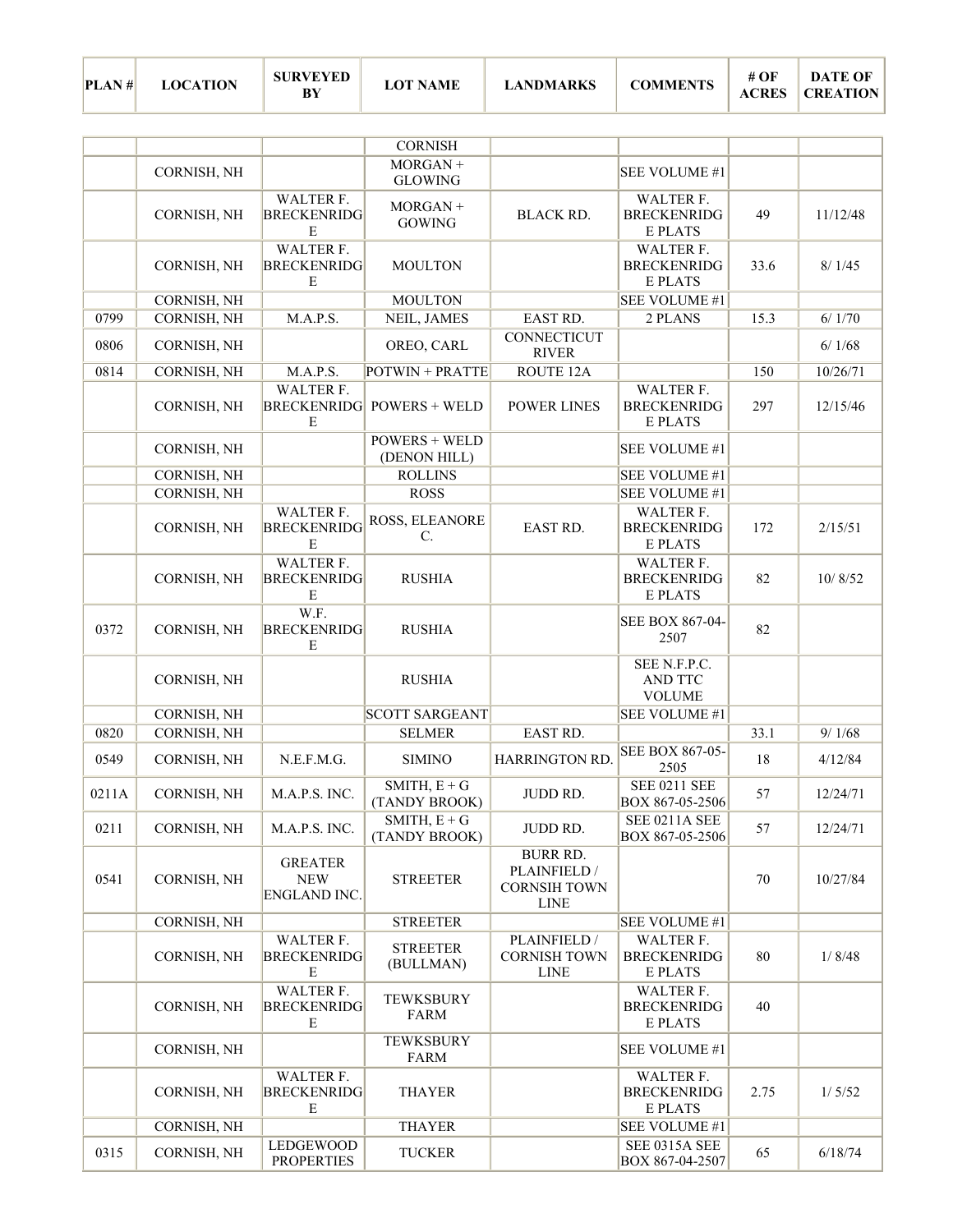| PLAN# | <b>LOCATION</b> | <b>SURVEYED</b><br>BY | <b>LOT NAME</b> | LANDMARKS | <b>COMMENTS</b> | # $OF$<br><b>ACRES</b> | <b>DATE OF</b><br><b>CREATION</b> |
|-------|-----------------|-----------------------|-----------------|-----------|-----------------|------------------------|-----------------------------------|
|       |                 |                       |                 |           |                 |                        |                                   |

|       |                    |                                              | <b>CORNISH</b>                   |                                                                       |                                                   |      |          |
|-------|--------------------|----------------------------------------------|----------------------------------|-----------------------------------------------------------------------|---------------------------------------------------|------|----------|
|       | CORNISH, NH        |                                              | $MORGAN +$<br><b>GLOWING</b>     |                                                                       | <b>SEE VOLUME #1</b>                              |      |          |
|       | CORNISH, NH        | <b>WALTER F.</b><br><b>BRECKENRIDG</b><br>E  | MORGAN +<br><b>GOWING</b>        | <b>BLACK RD.</b>                                                      | WALTER F.<br><b>BRECKENRIDG</b><br>E PLATS        | 49   | 11/12/48 |
|       | CORNISH, NH        | WALTER F.<br><b>BRECKENRIDG</b><br>E         | <b>MOULTON</b>                   |                                                                       | WALTER F.<br><b>BRECKENRIDG</b><br>E PLATS        | 33.6 | 8/1/45   |
|       | CORNISH, NH        |                                              | <b>MOULTON</b>                   |                                                                       | SEE VOLUME #1                                     |      |          |
| 0799  | CORNISH, NH        | M.A.P.S.                                     | NEIL, JAMES                      | <b>EAST RD.</b>                                                       | 2 PLANS                                           | 15.3 | 6/1/70   |
| 0806  | CORNISH, NH        |                                              | OREO, CARL                       | CONNECTICUT<br><b>RIVER</b>                                           |                                                   |      | 6/1/68   |
| 0814  | CORNISH, NH        | M.A.P.S.                                     | <b>POTWIN + PRATTE</b>           | ROUTE 12A                                                             |                                                   | 150  | 10/26/71 |
|       | CORNISH, NH        | WALTER F.<br>E                               | <b>BRECKENRIDG</b> POWERS + WELD | <b>POWER LINES</b>                                                    | WALTER F.<br><b>BRECKENRIDG</b><br>E PLATS        | 297  | 12/15/46 |
|       | CORNISH, NH        |                                              | $POWERS + WELD$<br>(DENON HILL)  |                                                                       | SEE VOLUME #1                                     |      |          |
|       | CORNISH, NH        |                                              | <b>ROLLINS</b>                   |                                                                       | SEE VOLUME #1                                     |      |          |
|       | CORNISH, NH        |                                              | <b>ROSS</b>                      |                                                                       | SEE VOLUME #1                                     |      |          |
|       | CORNISH, NH        | WALTER F.<br><b>BRECKENRIDG</b><br>E         | ROSS, ELEANORE<br>$\mathbf{C}$ . | EAST RD.                                                              | WALTER F.<br><b>BRECKENRIDG</b><br>E PLATS        | 172  | 2/15/51  |
|       | CORNISH, NH        | WALTER F.<br><b>BRECKENRIDG</b><br>E         | <b>RUSHIA</b>                    |                                                                       | WALTER F.<br><b>BRECKENRIDG</b><br><b>E PLATS</b> | 82   | 10/8/52  |
| 0372  | CORNISH, NH        | W.F.<br><b>BRECKENRIDG</b><br>E              | <b>RUSHIA</b>                    |                                                                       | SEE BOX 867-04-<br>2507                           | 82   |          |
|       | CORNISH, NH        |                                              | <b>RUSHIA</b>                    |                                                                       | SEE N.F.P.C.<br><b>AND TTC</b><br><b>VOLUME</b>   |      |          |
|       | <b>CORNISH, NH</b> |                                              | <b>SCOTT SARGEANT</b>            |                                                                       | <b>SEE VOLUME #1</b>                              |      |          |
| 0820  | CORNISH, NH        |                                              | <b>SELMER</b>                    | EAST RD.                                                              |                                                   | 33.1 | 9/1/68   |
| 0549  | CORNISH, NH        | N.E.F.M.G.                                   | <b>SIMINO</b>                    | HARRINGTON RD.                                                        | SEE BOX 867-05-<br>2505                           | 18   | 4/12/84  |
| 0211A | CORNISH, NH        | M.A.P.S. INC.                                | SMITH, $E + G$<br>(TANDY BROOK)  | JUDD RD.                                                              | <b>SEE 0211 SEE</b><br>BOX 867-05-2506            | 57   | 12/24/71 |
| 0211  | CORNISH, NH        | M.A.P.S. INC.                                | SMITH, $E + G$<br>(TANDY BROOK)  | JUDD RD.                                                              | SEE 0211A SEE<br>BOX 867-05-2506                  | 57   | 12/24/71 |
| 0541  | CORNISH, NH        | <b>GREATER</b><br><b>NEW</b><br>ENGLAND INC. | <b>STREETER</b>                  | <b>BURR RD.</b><br>PLAINFIELD /<br><b>CORNSIH TOWN</b><br><b>LINE</b> |                                                   | 70   | 10/27/84 |
|       | CORNISH, NH        |                                              | <b>STREETER</b>                  |                                                                       | SEE VOLUME #1                                     |      |          |
|       | CORNISH, NH        | WALTER F.<br><b>BRECKENRIDG</b><br>E         | <b>STREETER</b><br>(BULLMAN)     | PLAINFIELD /<br><b>CORNISH TOWN</b><br><b>LINE</b>                    | WALTER F.<br><b>BRECKENRIDG</b><br>E PLATS        | 80   | 1/8/48   |
|       | CORNISH, NH        | WALTER F.<br><b>BRECKENRIDG</b><br>Е         | <b>TEWKSBURY</b><br><b>FARM</b>  |                                                                       | WALTER F.<br><b>BRECKENRIDG</b><br>E PLATS        | 40   |          |
|       | CORNISH, NH        |                                              | <b>TEWKSBURY</b><br><b>FARM</b>  |                                                                       | <b>SEE VOLUME #1</b>                              |      |          |
|       | CORNISH, NH        | WALTER F.<br><b>BRECKENRIDG</b><br>E         | <b>THAYER</b>                    |                                                                       | WALTER F.<br><b>BRECKENRIDG</b><br>E PLATS        | 2.75 | 1/5/52   |
|       | CORNISH, NH        |                                              | <b>THAYER</b>                    |                                                                       | SEE VOLUME #1                                     |      |          |
| 0315  | CORNISH, NH        | LEDGEWOOD<br><b>PROPERTIES</b>               | <b>TUCKER</b>                    |                                                                       | SEE 0315A SEE<br>BOX 867-04-2507                  | 65   | 6/18/74  |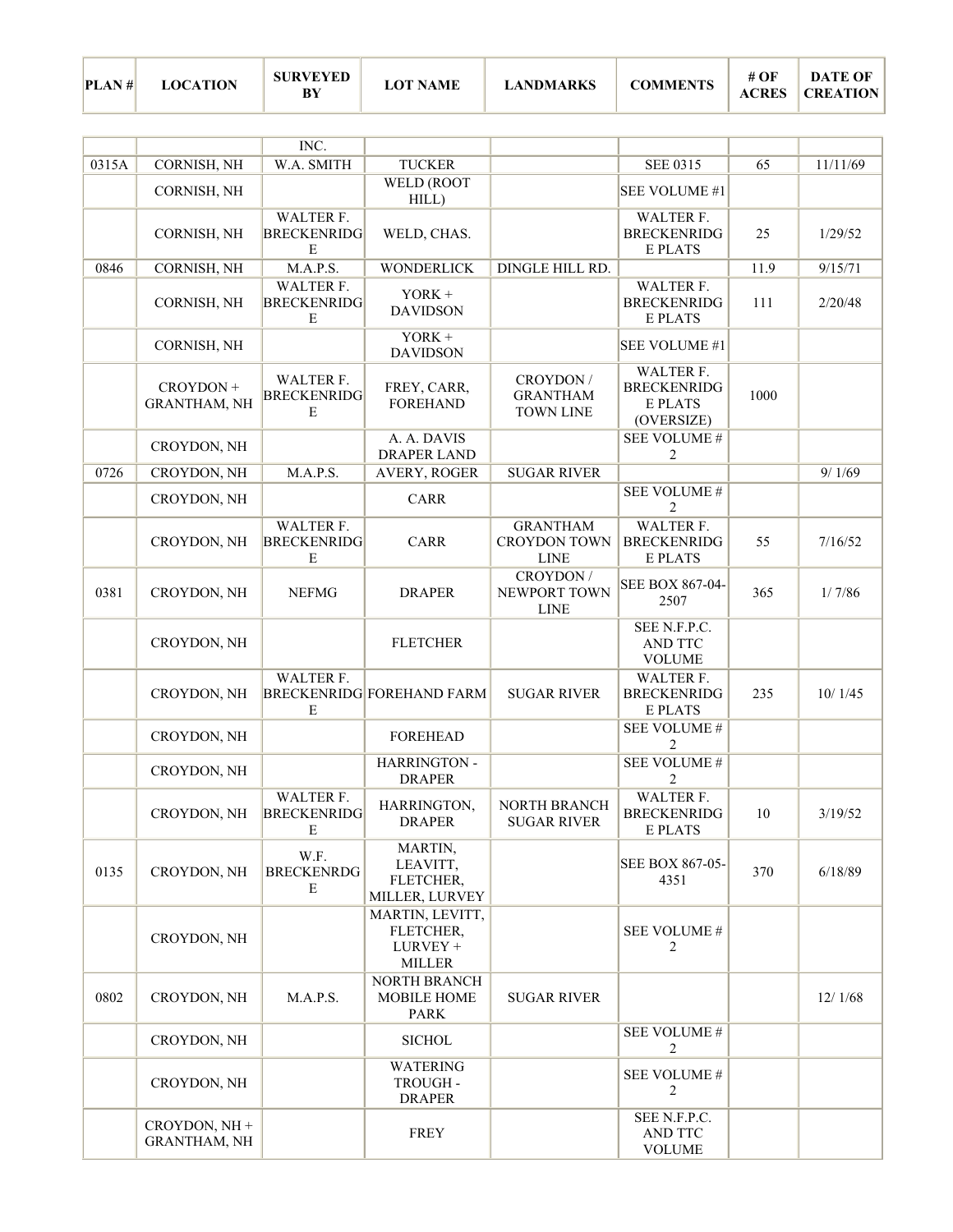| PLAN H | <b>LOCATION</b> | <b>SURVEYED</b><br>BY | <b>LOT NAME</b> | LANDMARKS | <b>COMMENTS</b> | # $OF$<br><b>ACRES</b> | <b>DATE OF</b><br><b>CREATION</b> |
|--------|-----------------|-----------------------|-----------------|-----------|-----------------|------------------------|-----------------------------------|
|        |                 |                       |                 |           |                 |                        |                                   |

|       |                                      | INC.                                        |                                                           |                                                       |                                                          |      |          |
|-------|--------------------------------------|---------------------------------------------|-----------------------------------------------------------|-------------------------------------------------------|----------------------------------------------------------|------|----------|
| 0315A | <b>CORNISH, NH</b>                   | W.A. SMITH                                  | <b>TUCKER</b>                                             |                                                       | <b>SEE 0315</b>                                          | 65   | 11/11/69 |
|       | CORNISH, NH                          |                                             | WELD (ROOT<br>HILL)                                       |                                                       | SEE VOLUME #1                                            |      |          |
|       | CORNISH, NH                          | WALTER F.<br><b>BRECKENRIDG</b><br>E        | WELD, CHAS.                                               |                                                       | WALTER F.<br><b>BRECKENRIDG</b><br>E PLATS               | 25   | 1/29/52  |
| 0846  | CORNISH, NH                          | M.A.P.S.                                    | <b>WONDERLICK</b>                                         | DINGLE HILL RD.                                       |                                                          | 11.9 | 9/15/71  |
|       | CORNISH, NH                          | WALTER F.<br><b>BRECKENRIDG</b><br>E        | $YORK +$<br><b>DAVIDSON</b>                               |                                                       | <b>WALTER F.</b><br><b>BRECKENRIDG</b><br>E PLATS        | 111  | 2/20/48  |
|       | CORNISH, NH                          |                                             | $YORK +$<br><b>DAVIDSON</b>                               |                                                       | SEE VOLUME #1                                            |      |          |
|       | CROYDON +<br><b>GRANTHAM, NH</b>     | <b>WALTER F.</b><br><b>BRECKENRIDG</b><br>E | FREY, CARR,<br><b>FOREHAND</b>                            | CROYDON /<br><b>GRANTHAM</b><br><b>TOWN LINE</b>      | WALTER F.<br><b>BRECKENRIDG</b><br>E PLATS<br>(OVERSIZE) | 1000 |          |
|       | CROYDON, NH                          |                                             | A. A. DAVIS<br><b>DRAPER LAND</b>                         |                                                       | SEE VOLUME #<br>2                                        |      |          |
| 0726  | CROYDON, NH                          | M.A.P.S.                                    | AVERY, ROGER                                              | <b>SUGAR RIVER</b>                                    |                                                          |      | 9/1/69   |
|       | CROYDON, NH                          |                                             | <b>CARR</b>                                               |                                                       | SEE VOLUME #<br>$\overline{c}$                           |      |          |
|       | CROYDON, NH                          | WALTER F.<br><b>BRECKENRIDG</b><br>E        | <b>CARR</b>                                               | <b>GRANTHAM</b><br><b>CROYDON TOWN</b><br><b>LINE</b> | WALTER F.<br><b>BRECKENRIDG</b><br>E PLATS               | 55   | 7/16/52  |
| 0381  | CROYDON, NH                          | <b>NEFMG</b>                                | <b>DRAPER</b>                                             | CROYDON /<br>NEWPORT TOWN<br><b>LINE</b>              | SEE BOX 867-04-<br>2507                                  | 365  | 1/7/86   |
|       | CROYDON, NH                          |                                             | <b>FLETCHER</b>                                           |                                                       | SEE N.F.P.C.<br><b>AND TTC</b><br><b>VOLUME</b>          |      |          |
|       | CROYDON, NH                          | <b>WALTER F.</b><br>E                       | <b>BRECKENRIDG FOREHAND FARM</b>                          | <b>SUGAR RIVER</b>                                    | WALTER F.<br><b>BRECKENRIDG</b><br>E PLATS               | 235  | 10/1/45  |
|       | CROYDON, NH                          |                                             | <b>FOREHEAD</b>                                           |                                                       | SEE VOLUME #<br>2                                        |      |          |
|       | CROYDON, NH                          |                                             | <b>HARRINGTON -</b><br><b>DRAPER</b>                      |                                                       | SEE VOLUME #<br>$\overline{2}$                           |      |          |
|       | CROYDON, NH                          | WALTER F.<br><b>BRECKENRIDG</b><br>E        | HARRINGTON,<br><b>DRAPER</b>                              | NORTH BRANCH<br><b>SUGAR RIVER</b>                    | <b>WALTER F.</b><br><b>BRECKENRIDG</b><br>E PLATS        | 10   | 3/19/52  |
| 0135  | CROYDON, NH                          | W.F.<br><b>BRECKENRDG</b><br>E              | MARTIN,<br>LEAVITT,<br>FLETCHER,<br>MILLER, LURVEY        |                                                       | SEE BOX 867-05-<br>4351                                  | 370  | 6/18/89  |
|       | CROYDON, NH                          |                                             | MARTIN, LEVITT,<br>FLETCHER,<br>LURVEY +<br><b>MILLER</b> |                                                       | SEE VOLUME #<br>$\overline{2}$                           |      |          |
| 0802  | CROYDON, NH                          | M.A.P.S.                                    | NORTH BRANCH<br><b>MOBILE HOME</b><br><b>PARK</b>         | <b>SUGAR RIVER</b>                                    |                                                          |      | 12/1/68  |
|       | CROYDON, NH                          |                                             | <b>SICHOL</b>                                             |                                                       | SEE VOLUME #<br>$\overline{2}$                           |      |          |
|       | CROYDON, NH                          |                                             | <b>WATERING</b><br>TROUGH -<br><b>DRAPER</b>              |                                                       | SEE VOLUME #<br>2                                        |      |          |
|       | CROYDON, NH +<br><b>GRANTHAM, NH</b> |                                             | <b>FREY</b>                                               |                                                       | SEE N.F.P.C.<br>AND TTC<br><b>VOLUME</b>                 |      |          |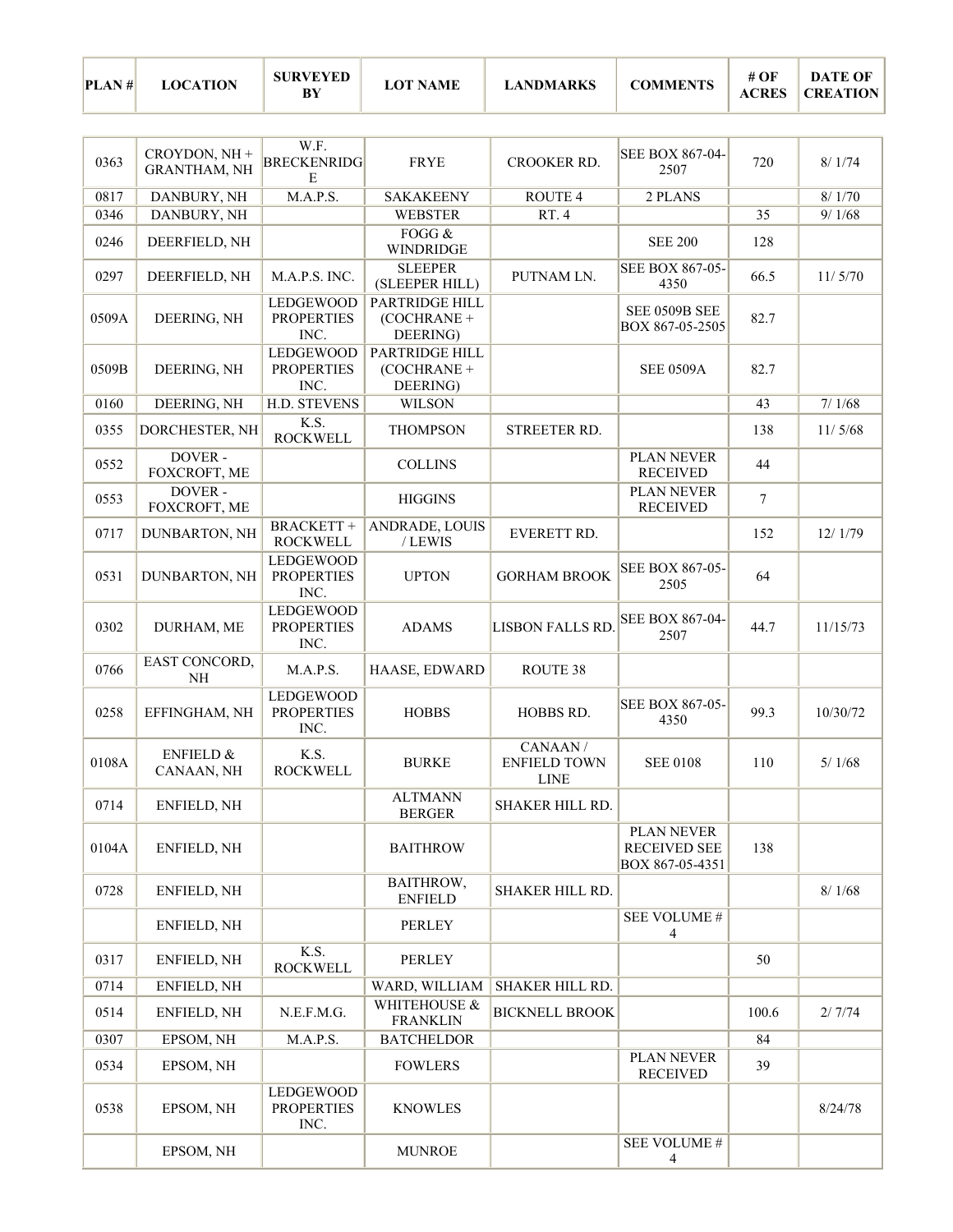| <b>COMMENTS</b><br><b>LOT NAME</b><br>PLAN#<br><b>LANDMARKS</b><br><b>ACRES</b><br>BY |  | <b>LOCATION</b> | <b>SURVEYED</b> |  |  |  | # OF | <b>DATE OF</b><br><b>CREATION</b> |
|---------------------------------------------------------------------------------------|--|-----------------|-----------------|--|--|--|------|-----------------------------------|
|---------------------------------------------------------------------------------------|--|-----------------|-----------------|--|--|--|------|-----------------------------------|

| 0363  | CROYDON, NH +<br><b>GRANTHAM, NH</b> | W.F.<br><b>BRECKENRIDG</b><br>E               | <b>FRYE</b>                               | CROOKER RD.                                    | <b>SEE BOX 867-04-</b><br>2507                       | 720    | 8/1/74   |
|-------|--------------------------------------|-----------------------------------------------|-------------------------------------------|------------------------------------------------|------------------------------------------------------|--------|----------|
| 0817  | DANBURY, NH                          | M.A.P.S.                                      | <b>SAKAKEENY</b>                          | ROUTE 4                                        | 2 PLANS                                              |        | 8/1/70   |
| 0346  | DANBURY, NH                          |                                               | <b>WEBSTER</b>                            | RT. 4                                          |                                                      | 35     | 9/1/68   |
| 0246  | DEERFIELD, NH                        |                                               | FOGG &<br><b>WINDRIDGE</b>                |                                                | <b>SEE 200</b>                                       | 128    |          |
| 0297  | DEERFIELD, NH                        | M.A.P.S. INC.                                 | <b>SLEEPER</b><br>(SLEEPER HILL)          | PUTNAM LN.                                     | SEE BOX 867-05-<br>4350                              | 66.5   | 11/5/70  |
| 0509A | DEERING, NH                          | <b>LEDGEWOOD</b><br><b>PROPERTIES</b><br>INC. | PARTRIDGE HILL<br>(COCHRANE +<br>DEERING) |                                                | SEE 0509B SEE<br>BOX 867-05-2505                     | 82.7   |          |
| 0509B | DEERING, NH                          | <b>LEDGEWOOD</b><br><b>PROPERTIES</b><br>INC. | PARTRIDGE HILL<br>(COCHRANE +<br>DEERING) |                                                | <b>SEE 0509A</b>                                     | 82.7   |          |
| 0160  | DEERING, NH                          | H.D. STEVENS                                  | <b>WILSON</b>                             |                                                |                                                      | 43     | 7/1/68   |
| 0355  | DORCHESTER, NH                       | K.S.<br><b>ROCKWELL</b>                       | <b>THOMPSON</b>                           | STREETER RD.                                   |                                                      | 138    | 11/5/68  |
| 0552  | DOVER -<br>FOXCROFT, ME              |                                               | <b>COLLINS</b>                            |                                                | PLAN NEVER<br><b>RECEIVED</b>                        | 44     |          |
| 0553  | DOVER-<br>FOXCROFT, ME               |                                               | <b>HIGGINS</b>                            |                                                | PLAN NEVER<br><b>RECEIVED</b>                        | $\tau$ |          |
| 0717  | DUNBARTON, NH                        | <b>BRACKETT +</b><br><b>ROCKWELL</b>          | ANDRADE, LOUIS<br>/LEWIS                  | EVERETT RD.                                    |                                                      | 152    | 12/1/79  |
| 0531  | DUNBARTON, NH                        | <b>LEDGEWOOD</b><br><b>PROPERTIES</b><br>INC. | <b>UPTON</b>                              | <b>GORHAM BROOK</b>                            | SEE BOX 867-05-<br>2505                              | 64     |          |
| 0302  | DURHAM, ME                           | <b>LEDGEWOOD</b><br><b>PROPERTIES</b><br>INC. | <b>ADAMS</b>                              | <b>LISBON FALLS RD</b>                         | SEE BOX 867-04-<br>2507                              | 44.7   | 11/15/73 |
| 0766  | EAST CONCORD,<br>NH                  | M.A.P.S.                                      | HAASE, EDWARD                             | ROUTE 38                                       |                                                      |        |          |
| 0258  | EFFINGHAM, NH                        | <b>LEDGEWOOD</b><br><b>PROPERTIES</b><br>INC. | <b>HOBBS</b>                              | HOBBS RD.                                      | SEE BOX 867-05-<br>4350                              | 99.3   | 10/30/72 |
| 0108A | ENFIELD &<br>CANAAN, NH              | K.S.<br><b>ROCKWELL</b>                       | <b>BURKE</b>                              | CANAAN /<br><b>ENFIELD TOWN</b><br><b>LINE</b> | <b>SEE 0108</b>                                      | 110    | 5/1/68   |
| 0714  | ENFIELD, NH                          |                                               | <b>ALTMANN</b><br><b>BERGER</b>           | <b>SHAKER HILL RD.</b>                         |                                                      |        |          |
| 0104A | ENFIELD, NH                          |                                               | <b>BAITHROW</b>                           |                                                | PLAN NEVER<br><b>RECEIVED SEE</b><br>BOX 867-05-4351 | 138    |          |
| 0728  | ENFIELD, NH                          |                                               | BAITHROW,<br><b>ENFIELD</b>               | SHAKER HILL RD.                                |                                                      |        | 8/1/68   |
|       | ENFIELD, NH                          |                                               | PERLEY                                    |                                                | <b>SEE VOLUME #</b><br>4                             |        |          |
| 0317  | ENFIELD, NH                          | K.S.<br><b>ROCKWELL</b>                       | PERLEY                                    |                                                |                                                      | 50     |          |
| 0714  | ENFIELD, NH                          |                                               | WARD, WILLIAM                             | SHAKER HILL RD.                                |                                                      |        |          |
| 0514  | ENFIELD, NH                          | N.E.F.M.G.                                    | WHITEHOUSE &<br><b>FRANKLIN</b>           | <b>BICKNELL BROOK</b>                          |                                                      | 100.6  | 2/7/74   |
| 0307  | EPSOM, NH                            | M.A.P.S.                                      | <b>BATCHELDOR</b>                         |                                                |                                                      | 84     |          |
| 0534  | EPSOM, NH                            |                                               | <b>FOWLERS</b>                            |                                                | PLAN NEVER<br><b>RECEIVED</b>                        | 39     |          |
| 0538  | EPSOM, NH                            | <b>LEDGEWOOD</b><br><b>PROPERTIES</b><br>INC. | <b>KNOWLES</b>                            |                                                |                                                      |        | 8/24/78  |
|       | EPSOM, NH                            |                                               | <b>MUNROE</b>                             |                                                | <b>SEE VOLUME #</b><br>$\overline{4}$                |        |          |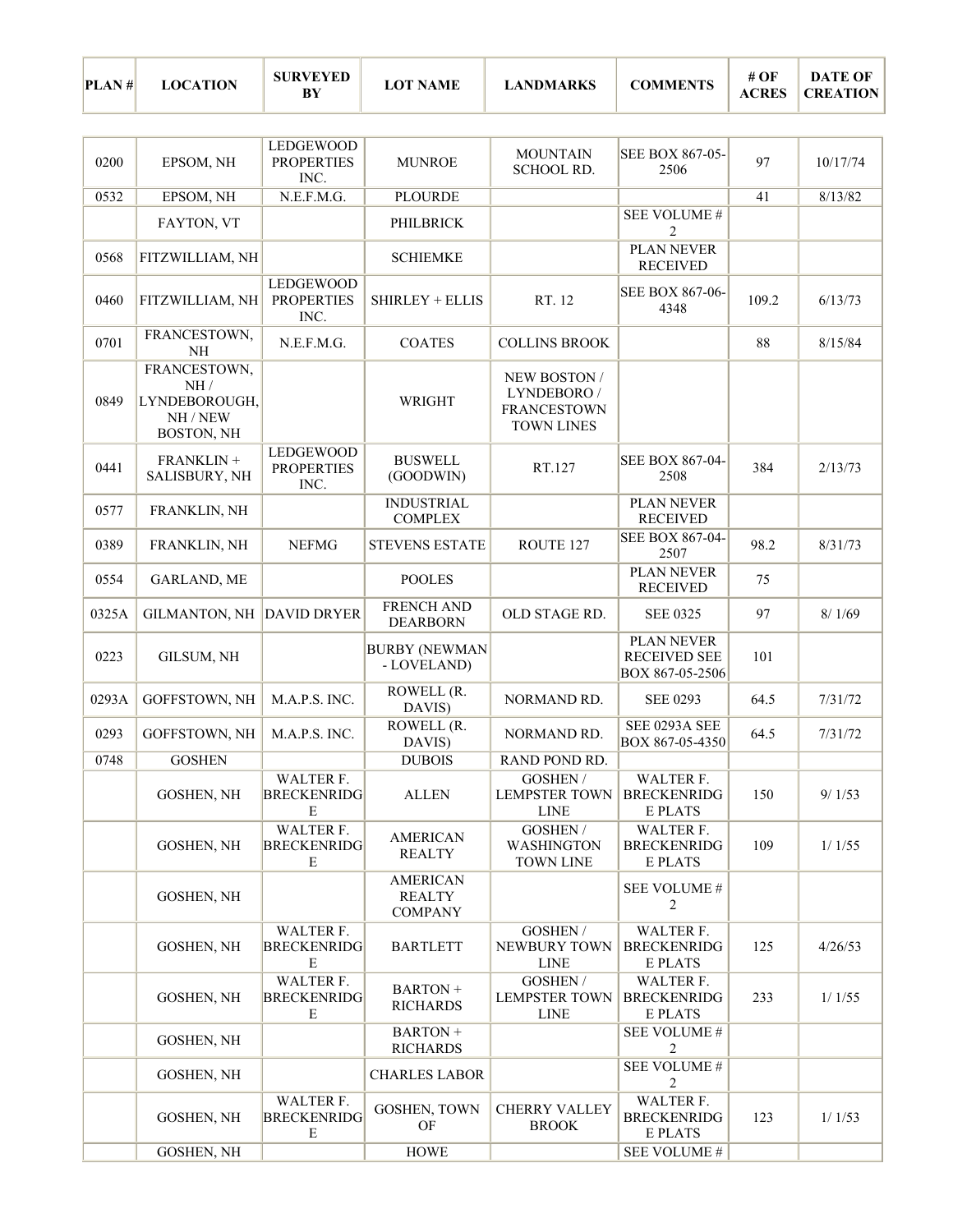|--|

| 0200  | EPSOM, NH                                                      | <b>LEDGEWOOD</b><br><b>PROPERTIES</b><br>INC. | <b>MUNROE</b>                                      | <b>MOUNTAIN</b><br><b>SCHOOL RD.</b>                                  | SEE BOX 867-05-<br>2506                              | 97    | 10/17/74 |
|-------|----------------------------------------------------------------|-----------------------------------------------|----------------------------------------------------|-----------------------------------------------------------------------|------------------------------------------------------|-------|----------|
| 0532  | EPSOM, NH                                                      | N.E.F.M.G.                                    | <b>PLOURDE</b>                                     |                                                                       |                                                      | 41    | 8/13/82  |
|       | FAYTON, VT                                                     |                                               | PHILBRICK                                          |                                                                       | SEE VOLUME #<br>2                                    |       |          |
| 0568  | FITZWILLIAM, NH                                                |                                               | <b>SCHIEMKE</b>                                    |                                                                       | PLAN NEVER<br><b>RECEIVED</b>                        |       |          |
| 0460  | FITZWILLIAM, NH                                                | <b>LEDGEWOOD</b><br><b>PROPERTIES</b><br>INC. | SHIRLEY + ELLIS                                    | RT. 12                                                                | SEE BOX 867-06-<br>4348                              | 109.2 | 6/13/73  |
| 0701  | FRANCESTOWN,<br>NH                                             | N.E.F.M.G.                                    | <b>COATES</b>                                      | <b>COLLINS BROOK</b>                                                  |                                                      | 88    | 8/15/84  |
| 0849  | FRANCESTOWN,<br>NH/<br>LYNDEBOROUGH,<br>NH / NEW<br>BOSTON, NH |                                               | <b>WRIGHT</b>                                      | NEW BOSTON /<br>LYNDEBORO/<br><b>FRANCESTOWN</b><br><b>TOWN LINES</b> |                                                      |       |          |
| 0441  | FRANKLIN +<br>SALISBURY, NH                                    | <b>LEDGEWOOD</b><br><b>PROPERTIES</b><br>INC. | <b>BUSWELL</b><br>(GOODWIN)                        | RT.127                                                                | SEE BOX 867-04-<br>2508                              | 384   | 2/13/73  |
| 0577  | FRANKLIN, NH                                                   |                                               | <b>INDUSTRIAL</b><br><b>COMPLEX</b>                |                                                                       | <b>PLAN NEVER</b><br><b>RECEIVED</b>                 |       |          |
| 0389  | FRANKLIN, NH                                                   | <b>NEFMG</b>                                  | <b>STEVENS ESTATE</b>                              | ROUTE 127                                                             | SEE BOX 867-04-<br>2507                              | 98.2  | 8/31/73  |
| 0554  | <b>GARLAND, ME</b>                                             |                                               | <b>POOLES</b>                                      |                                                                       | PLAN NEVER<br><b>RECEIVED</b>                        | 75    |          |
| 0325A | <b>GILMANTON, NH</b>                                           | <b>DAVID DRYER</b>                            | <b>FRENCH AND</b><br><b>DEARBORN</b>               | OLD STAGE RD.                                                         | <b>SEE 0325</b>                                      | 97    | 8/1/69   |
| 0223  | GILSUM, NH                                                     |                                               | <b>BURBY (NEWMAN</b><br>- LOVELAND)                |                                                                       | PLAN NEVER<br><b>RECEIVED SEE</b><br>BOX 867-05-2506 | 101   |          |
| 0293A | GOFFSTOWN, NH                                                  | M.A.P.S. INC.                                 | ROWELL (R.<br>DAVIS)                               | NORMAND RD.                                                           | <b>SEE 0293</b>                                      | 64.5  | 7/31/72  |
| 0293  | GOFFSTOWN, NH                                                  | M.A.P.S. INC.                                 | ROWELL (R.<br>DAVIS)                               | NORMAND RD.                                                           | SEE 0293A SEE<br>BOX 867-05-4350                     | 64.5  | 7/31/72  |
| 0748  | <b>GOSHEN</b>                                                  |                                               | <b>DUBOIS</b>                                      | RAND POND RD.                                                         |                                                      |       |          |
|       | <b>GOSHEN, NH</b>                                              | <b>WALTER F.</b><br><b>BRECKENRIDG</b><br>E   | <b>ALLEN</b>                                       | GOSHEN /<br><b>LEMPSTER TOWN</b><br><b>LINE</b>                       | WALTER F.<br><b>BRECKENRIDG</b><br>E PLATS           | 150   | 9/1/53   |
|       | <b>GOSHEN, NH</b>                                              | WALTER F.<br><b>BRECKENRIDG</b><br>E          | <b>AMERICAN</b><br><b>REALTY</b>                   | <b>GOSHEN/</b><br><b>WASHINGTON</b><br><b>TOWN LINE</b>               | WALTER F.<br><b>BRECKENRIDG</b><br>E PLATS           | 109   | 1/1/55   |
|       | <b>GOSHEN, NH</b>                                              |                                               | <b>AMERICAN</b><br><b>REALTY</b><br><b>COMPANY</b> |                                                                       | SEE VOLUME #<br>2                                    |       |          |
|       | <b>GOSHEN, NH</b>                                              | WALTER F.<br><b>BRECKENRIDG</b><br>E          | <b>BARTLETT</b>                                    | GOSHEN /<br>NEWBURY TOWN<br><b>LINE</b>                               | WALTER F.<br><b>BRECKENRIDG</b><br>E PLATS           | 125   | 4/26/53  |
|       | <b>GOSHEN, NH</b>                                              | WALTER F.<br><b>BRECKENRIDG</b><br>E          | BARTON +<br><b>RICHARDS</b>                        | GOSHEN /<br><b>LEMPSTER TOWN</b><br><b>LINE</b>                       | WALTER F.<br><b>BRECKENRIDG</b><br>E PLATS           | 233   | 1/1/55   |
|       | <b>GOSHEN, NH</b>                                              |                                               | BARTON +<br><b>RICHARDS</b>                        |                                                                       | SEE VOLUME #<br>2                                    |       |          |
|       | <b>GOSHEN, NH</b>                                              |                                               | <b>CHARLES LABOR</b>                               |                                                                       | SEE VOLUME #<br>2                                    |       |          |
|       | <b>GOSHEN, NH</b>                                              | WALTER F.<br><b>BRECKENRIDG</b><br>E          | <b>GOSHEN, TOWN</b><br>OF                          | <b>CHERRY VALLEY</b><br><b>BROOK</b>                                  | WALTER F.<br><b>BRECKENRIDG</b><br>E PLATS           | 123   | 1/1/53   |
|       | <b>GOSHEN, NH</b>                                              |                                               | <b>HOWE</b>                                        |                                                                       | SEE VOLUME #                                         |       |          |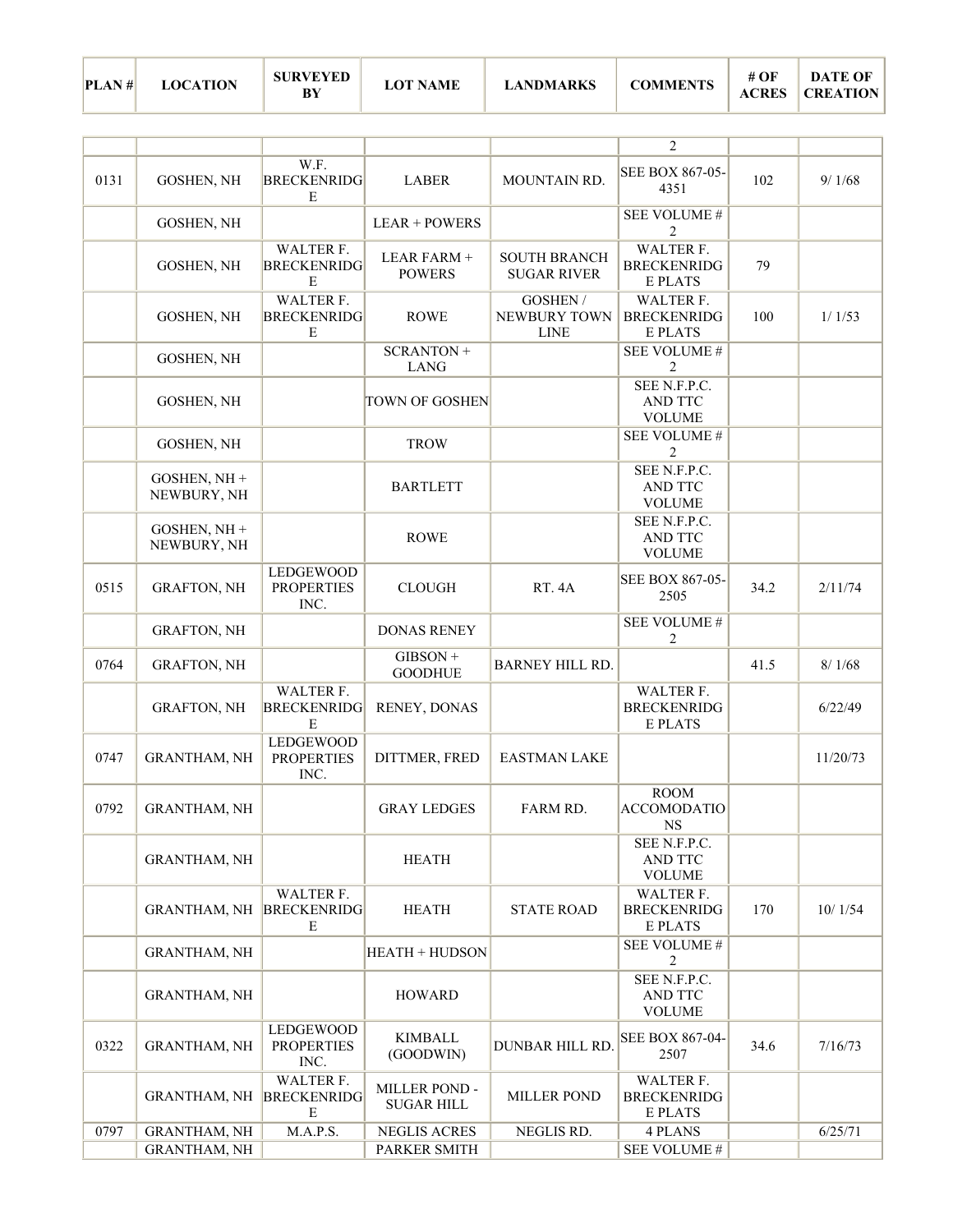|      |                               |                                               |                                    |                                           | $\overline{2}$                                    |      |          |
|------|-------------------------------|-----------------------------------------------|------------------------------------|-------------------------------------------|---------------------------------------------------|------|----------|
| 0131 | <b>GOSHEN, NH</b>             | W.F.<br><b>BRECKENRIDG</b><br>E               | <b>LABER</b>                       | MOUNTAIN RD.                              | SEE BOX 867-05-<br>4351                           | 102  | 9/1/68   |
|      | <b>GOSHEN, NH</b>             |                                               | <b>LEAR + POWERS</b>               |                                           | SEE VOLUME #<br>2                                 |      |          |
|      | <b>GOSHEN, NH</b>             | WALTER F.<br><b>BRECKENRIDG</b><br>E          | LEAR FARM +<br><b>POWERS</b>       | <b>SOUTH BRANCH</b><br><b>SUGAR RIVER</b> | WALTER F.<br><b>BRECKENRIDG</b><br>E PLATS        | 79   |          |
|      | <b>GOSHEN, NH</b>             | WALTER F.<br><b>BRECKENRIDG</b><br>E          | <b>ROWE</b>                        | GOSHEN /<br>NEWBURY TOWN<br><b>LINE</b>   | WALTER F.<br><b>BRECKENRIDG</b><br><b>E PLATS</b> | 100  | 1/1/53   |
|      | <b>GOSHEN, NH</b>             |                                               | SCRANTON +<br>LANG                 |                                           | SEE VOLUME #<br>2                                 |      |          |
|      | <b>GOSHEN, NH</b>             |                                               | <b>TOWN OF GOSHEN</b>              |                                           | SEE N.F.P.C.<br><b>AND TTC</b><br><b>VOLUME</b>   |      |          |
|      | GOSHEN, NH                    |                                               | <b>TROW</b>                        |                                           | SEE VOLUME #<br>2                                 |      |          |
|      | GOSHEN, $NH +$<br>NEWBURY, NH |                                               | <b>BARTLETT</b>                    |                                           | SEE N.F.P.C.<br><b>AND TTC</b><br><b>VOLUME</b>   |      |          |
|      | GOSHEN, NH +<br>NEWBURY, NH   |                                               | <b>ROWE</b>                        |                                           | SEE N.F.P.C.<br><b>AND TTC</b><br><b>VOLUME</b>   |      |          |
| 0515 | <b>GRAFTON, NH</b>            | <b>LEDGEWOOD</b><br><b>PROPERTIES</b><br>INC. | <b>CLOUGH</b>                      | RT. 4A                                    | SEE BOX 867-05-<br>2505                           | 34.2 | 2/11/74  |
|      | <b>GRAFTON, NH</b>            |                                               | <b>DONAS RENEY</b>                 |                                           | <b>SEE VOLUME#</b><br>2                           |      |          |
| 0764 | <b>GRAFTON, NH</b>            |                                               | GIBSON +<br><b>GOODHUE</b>         | <b>BARNEY HILL RD.</b>                    |                                                   | 41.5 | 8/1/68   |
|      | <b>GRAFTON, NH</b>            | WALTER F.<br><b>BRECKENRIDG</b><br>E          | RENEY, DONAS                       |                                           | WALTER F.<br><b>BRECKENRIDG</b><br>E PLATS        |      | 6/22/49  |
| 0747 | <b>GRANTHAM, NH</b>           | <b>LEDGEWOOD</b><br><b>PROPERTIES</b><br>INC. | DITTMER, FRED                      | <b>EASTMAN LAKE</b>                       |                                                   |      | 11/20/73 |
| 0792 | <b>GRANTHAM, NH</b>           |                                               | <b>GRAY LEDGES</b>                 | FARM RD.                                  | <b>ROOM</b><br><b>ACCOMODATIO</b><br><b>NS</b>    |      |          |
|      | <b>GRANTHAM, NH</b>           |                                               | <b>HEATH</b>                       |                                           | SEE N.F.P.C.<br><b>AND TTC</b><br><b>VOLUME</b>   |      |          |
|      | <b>GRANTHAM, NH</b>           | WALTER F.<br><b>BRECKENRIDG</b><br>E          | <b>HEATH</b>                       | <b>STATE ROAD</b>                         | WALTER F.<br><b>BRECKENRIDG</b><br>E PLATS        | 170  | 10/1/54  |
|      | <b>GRANTHAM, NH</b>           |                                               | <b>HEATH + HUDSON</b>              |                                           | SEE VOLUME #<br>2                                 |      |          |
|      | <b>GRANTHAM, NH</b>           |                                               | <b>HOWARD</b>                      |                                           | SEE N.F.P.C.<br>AND TTC<br><b>VOLUME</b>          |      |          |
| 0322 | <b>GRANTHAM, NH</b>           | <b>LEDGEWOOD</b><br><b>PROPERTIES</b><br>INC. | <b>KIMBALL</b><br>(GOODWIN)        | <b>DUNBAR HILL RD.</b>                    | SEE BOX 867-04-<br>2507                           | 34.6 | 7/16/73  |
|      | <b>GRANTHAM, NH</b>           | WALTER F.<br><b>BRECKENRIDG</b><br>E          | MILLER POND -<br><b>SUGAR HILL</b> | <b>MILLER POND</b>                        | WALTER F.<br><b>BRECKENRIDG</b><br>E PLATS        |      |          |
| 0797 | <b>GRANTHAM, NH</b>           | M.A.P.S.                                      | <b>NEGLIS ACRES</b>                | NEGLIS RD.                                | <b>4 PLANS</b>                                    |      | 6/25/71  |
|      | <b>GRANTHAM, NH</b>           |                                               | PARKER SMITH                       |                                           | SEE VOLUME #                                      |      |          |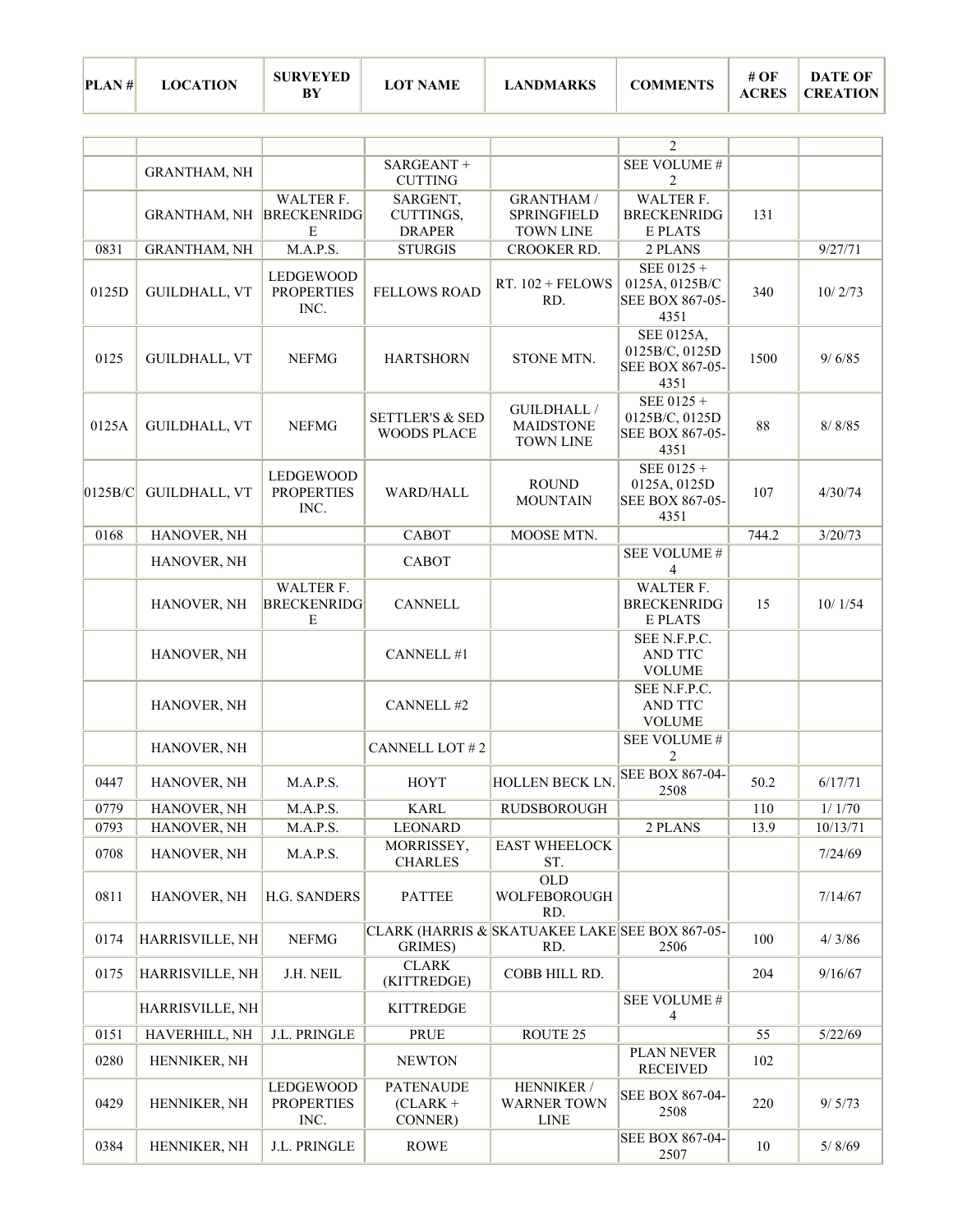| <b>ACRES</b><br>BY | PLAN H | <b>LOCATION</b> | <b>SURVEYED</b> | <b>LOT NAME</b> | LANDMARKS | <b>COMMENTS</b> | # OF | <b>DATE OF</b><br><b>CREATION</b> |
|--------------------|--------|-----------------|-----------------|-----------------|-----------|-----------------|------|-----------------------------------|
|--------------------|--------|-----------------|-----------------|-----------------|-----------|-----------------|------|-----------------------------------|

|         |                      |                                               |                                                  |                                                            | $\overline{c}$                                                 |       |          |
|---------|----------------------|-----------------------------------------------|--------------------------------------------------|------------------------------------------------------------|----------------------------------------------------------------|-------|----------|
|         | <b>GRANTHAM, NH</b>  |                                               | SARGEANT +<br><b>CUTTING</b>                     |                                                            | <b>SEE VOLUME#</b><br>2                                        |       |          |
|         | <b>GRANTHAM, NH</b>  | WALTER F.<br><b>BRECKENRIDG</b><br>E          | SARGENT,<br>CUTTINGS,<br><b>DRAPER</b>           | <b>GRANTHAM /</b><br>SPRINGFIELD<br><b>TOWN LINE</b>       | WALTER F.<br><b>BRECKENRIDG</b><br>E PLATS                     | 131   |          |
| 0831    | <b>GRANTHAM, NH</b>  | M.A.P.S.                                      | <b>STURGIS</b>                                   | CROOKER RD.                                                | 2 PLANS                                                        |       | 9/27/71  |
| 0125D   | <b>GUILDHALL, VT</b> | <b>LEDGEWOOD</b><br><b>PROPERTIES</b><br>INC. | <b>FELLOWS ROAD</b>                              | RT. $102 + FELOWS$<br>RD.                                  | SEE 0125 +<br>0125A, 0125B/C<br>SEE BOX 867-05-<br>4351        | 340   | 10/2/73  |
| 0125    | <b>GUILDHALL, VT</b> | <b>NEFMG</b>                                  | <b>HARTSHORN</b>                                 | STONE MTN.                                                 | SEE 0125A,<br>0125B/C, 0125D<br>SEE BOX 867-05-<br>4351        | 1500  | 9/6/85   |
| 0125A   | <b>GUILDHALL, VT</b> | <b>NEFMG</b>                                  | <b>SETTLER'S &amp; SED</b><br><b>WOODS PLACE</b> | <b>GUILDHALL /</b><br><b>MAIDSTONE</b><br><b>TOWN LINE</b> | SEE 0125 +<br>0125B/C, 0125D<br><b>SEE BOX 867-05-</b><br>4351 | 88    | 8/8/85   |
| 0125B/C | <b>GUILDHALL, VT</b> | <b>LEDGEWOOD</b><br><b>PROPERTIES</b><br>INC. | <b>WARD/HALL</b>                                 | <b>ROUND</b><br><b>MOUNTAIN</b>                            | SEE 0125 +<br>0125A, 0125D<br>SEE BOX 867-05-<br>4351          | 107   | 4/30/74  |
| 0168    | HANOVER, NH          |                                               | <b>CABOT</b>                                     | MOOSE MTN.                                                 |                                                                | 744.2 | 3/20/73  |
|         | HANOVER, NH          |                                               | <b>CABOT</b>                                     |                                                            | SEE VOLUME #<br>4                                              |       |          |
|         | HANOVER, NH          | WALTER F.<br><b>BRECKENRIDG</b><br>E          | <b>CANNELL</b>                                   |                                                            | <b>WALTER F.</b><br><b>BRECKENRIDG</b><br>E PLATS              | 15    | 10/1/54  |
|         | HANOVER, NH          |                                               | CANNELL #1                                       |                                                            | SEE N.F.P.C.<br><b>AND TTC</b><br><b>VOLUME</b>                |       |          |
|         | HANOVER, NH          |                                               | CANNELL #2                                       |                                                            | SEE N.F.P.C.<br><b>AND TTC</b><br><b>VOLUME</b>                |       |          |
|         | HANOVER, NH          |                                               | CANNELL LOT #2                                   |                                                            | <b>SEE VOLUME#</b><br>2                                        |       |          |
| 0447    | HANOVER, NH          | M.A.P.S.                                      | <b>HOYT</b>                                      | HOLLEN BECK LN.                                            | SEE BOX 867-04-<br>2508                                        | 50.2  | 6/17/71  |
| 0779    | HANOVER, NH          | M.A.P.S.                                      | <b>KARL</b>                                      | <b>RUDSBOROUGH</b>                                         |                                                                | 110   | 1/1/70   |
| 0793    | HANOVER, NH          | M.A.P.S.                                      | <b>LEONARD</b>                                   |                                                            | 2 PLANS                                                        | 13.9  | 10/13/71 |
| 0708    | HANOVER, NH          | M.A.P.S.                                      | MORRISSEY,<br><b>CHARLES</b>                     | <b>EAST WHEELOCK</b><br>ST.                                |                                                                |       | 7/24/69  |
| 0811    | HANOVER, NH          | <b>H.G. SANDERS</b>                           | <b>PATTEE</b>                                    | <b>OLD</b><br>WOLFEBOROUGH<br>RD.                          |                                                                |       | 7/14/67  |
| 0174    | HARRISVILLE, NH      | <b>NEFMG</b>                                  | GRIMES)                                          | CLARK (HARRIS & SKATUAKEE LAKE SEE BOX 867-05-<br>RD.      | 2506                                                           | 100   | 4/3/86   |
| 0175    | HARRISVILLE, NH      | J.H. NEIL                                     | <b>CLARK</b><br>(KITTREDGE)                      | COBB HILL RD.                                              |                                                                | 204   | 9/16/67  |
|         | HARRISVILLE, NH      |                                               | <b>KITTREDGE</b>                                 |                                                            | SEE VOLUME #<br>4                                              |       |          |
| 0151    | HAVERHILL, NH        | J.L. PRINGLE                                  | <b>PRUE</b>                                      | ROUTE 25                                                   |                                                                | 55    | 5/22/69  |
| 0280    | HENNIKER, NH         |                                               | <b>NEWTON</b>                                    |                                                            | PLAN NEVER<br><b>RECEIVED</b>                                  | 102   |          |
| 0429    | HENNIKER, NH         | <b>LEDGEWOOD</b><br><b>PROPERTIES</b><br>INC. | <b>PATENAUDE</b><br>$(CLARK +$<br>CONNER)        | HENNIKER /<br><b>WARNER TOWN</b><br><b>LINE</b>            | SEE BOX 867-04-<br>2508                                        | 220   | 9/5/73   |
| 0384    | HENNIKER, NH         | J.L. PRINGLE                                  | <b>ROWE</b>                                      |                                                            | SEE BOX 867-04-<br>2507                                        | 10    | 5/8/69   |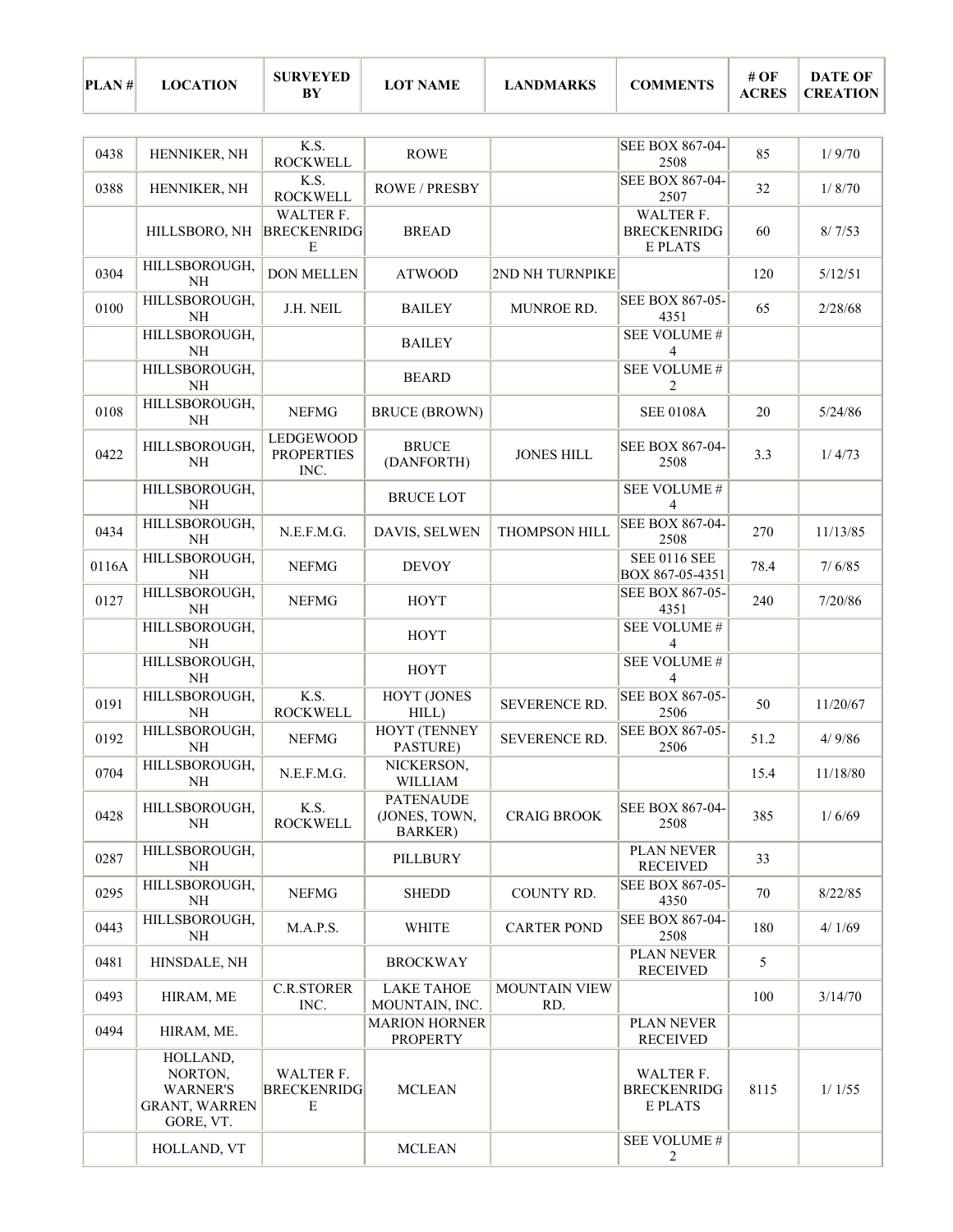| PLAN# | <b>LOCATION</b> | <b>SURVEYED</b><br>BY | <b>LOT NAME</b> | <b>LANDMARKS</b> | <b>COMMENTS</b> | # $OF$<br><b>ACRES</b> | <b>DATE OF</b><br><b>CREATION</b> |
|-------|-----------------|-----------------------|-----------------|------------------|-----------------|------------------------|-----------------------------------|
|       |                 |                       |                 |                  |                 |                        |                                   |

| 0438  | HENNIKER, NH                                                                | K.S.<br><b>ROCKWELL</b>                       | <b>ROWE</b>                                          |                             | SEE BOX 867-04-<br>2508                           | 85   | 1/9/70   |
|-------|-----------------------------------------------------------------------------|-----------------------------------------------|------------------------------------------------------|-----------------------------|---------------------------------------------------|------|----------|
| 0388  | HENNIKER, NH                                                                | K.S.<br><b>ROCKWELL</b>                       | <b>ROWE / PRESBY</b>                                 |                             | SEE BOX 867-04-<br>2507                           | 32   | 1/8/70   |
|       | HILLSBORO, NH                                                               | WALTER F.<br><b>BRECKENRIDG</b><br>E          | <b>BREAD</b>                                         |                             | WALTER F.<br><b>BRECKENRIDG</b><br>E PLATS        | 60   | 8/7/53   |
| 0304  | HILLSBOROUGH,<br><b>NH</b>                                                  | <b>DON MELLEN</b>                             | <b>ATWOOD</b>                                        | <b>2ND NH TURNPIKE</b>      |                                                   | 120  | 5/12/51  |
| 0100  | HILLSBOROUGH,<br><b>NH</b>                                                  | J.H. NEIL                                     | <b>BAILEY</b>                                        | MUNROE RD.                  | <b>SEE BOX 867-05-</b><br>4351                    | 65   | 2/28/68  |
|       | HILLSBOROUGH,<br>NH                                                         |                                               | <b>BAILEY</b>                                        |                             | SEE VOLUME #<br>$\overline{4}$                    |      |          |
|       | HILLSBOROUGH,<br>NH                                                         |                                               | <b>BEARD</b>                                         |                             | <b>SEE VOLUME#</b><br>2                           |      |          |
| 0108  | HILLSBOROUGH,<br>NH                                                         | <b>NEFMG</b>                                  | <b>BRUCE (BROWN)</b>                                 |                             | <b>SEE 0108A</b>                                  | 20   | 5/24/86  |
| 0422  | HILLSBOROUGH,<br><b>NH</b>                                                  | <b>LEDGEWOOD</b><br><b>PROPERTIES</b><br>INC. | <b>BRUCE</b><br>(DANFORTH)                           | <b>JONES HILL</b>           | <b>SEE BOX 867-04-</b><br>2508                    | 3.3  | 1/4/73   |
|       | HILLSBOROUGH,<br><b>NH</b>                                                  |                                               | <b>BRUCE LOT</b>                                     |                             | SEE VOLUME #<br>4                                 |      |          |
| 0434  | HILLSBOROUGH,<br>NH                                                         | N.E.F.M.G.                                    | DAVIS, SELWEN                                        | THOMPSON HILL               | <b>SEE BOX 867-04-</b><br>2508                    | 270  | 11/13/85 |
| 0116A | HILLSBOROUGH,<br>NH                                                         | <b>NEFMG</b>                                  | <b>DEVOY</b>                                         |                             | <b>SEE 0116 SEE</b><br>BOX 867-05-4351            | 78.4 | 7/6/85   |
| 0127  | HILLSBOROUGH,<br><b>NH</b>                                                  | <b>NEFMG</b>                                  | <b>HOYT</b>                                          |                             | SEE BOX 867-05-<br>4351                           | 240  | 7/20/86  |
|       | HILLSBOROUGH,<br><b>NH</b>                                                  |                                               | <b>HOYT</b>                                          |                             | <b>SEE VOLUME#</b><br>4                           |      |          |
|       | HILLSBOROUGH,<br>NH                                                         |                                               | <b>HOYT</b>                                          |                             | SEE VOLUME #<br>$\overline{4}$                    |      |          |
| 0191  | HILLSBOROUGH,<br>NH                                                         | K.S.<br><b>ROCKWELL</b>                       | HOYT (JONES<br>HILL)                                 | SEVERENCE RD.               | SEE BOX 867-05-<br>2506                           | 50   | 11/20/67 |
| 0192  | HILLSBOROUGH,<br>NH                                                         | <b>NEFMG</b>                                  | HOYT (TENNEY<br>PASTURE)                             | SEVERENCE RD.               | SEE BOX 867-05-<br>2506                           | 51.2 | 4/9/86   |
| 0704  | HILLSBOROUGH,<br><b>NH</b>                                                  | N.E.F.M.G.                                    | NICKERSON,<br>WILLIAM                                |                             |                                                   | 15.4 | 11/18/80 |
| 0428  | HILLSBOROUGH,<br>NH                                                         | K.S.<br><b>ROCKWELL</b>                       | <b>PATENAUDE</b><br>(JONES, TOWN,<br><b>BARKER</b> ) | <b>CRAIG BROOK</b>          | <b>SEE BOX 867-04-</b><br>2508                    | 385  | 1/6/69   |
| 0287  | HILLSBOROUGH,<br>NH                                                         |                                               | PILLBURY                                             |                             | PLAN NEVER<br><b>RECEIVED</b>                     | 33   |          |
| 0295  | HILLSBOROUGH,<br>NH                                                         | <b>NEFMG</b>                                  | <b>SHEDD</b>                                         | COUNTY RD.                  | <b>SEE BOX 867-05-</b><br>4350                    | 70   | 8/22/85  |
| 0443  | HILLSBOROUGH,<br><b>NH</b>                                                  | M.A.P.S.                                      | <b>WHITE</b>                                         | <b>CARTER POND</b>          | SEE BOX 867-04-<br>2508                           | 180  | 4/1/69   |
| 0481  | HINSDALE, NH                                                                |                                               | <b>BROCKWAY</b>                                      |                             | PLAN NEVER<br><b>RECEIVED</b>                     | 5    |          |
| 0493  | HIRAM, ME                                                                   | <b>C.R.STORER</b><br>INC.                     | <b>LAKE TAHOE</b><br>MOUNTAIN, INC.                  | <b>MOUNTAIN VIEW</b><br>RD. |                                                   | 100  | 3/14/70  |
| 0494  | HIRAM, ME.                                                                  |                                               | <b>MARION HORNER</b><br><b>PROPERTY</b>              |                             | PLAN NEVER<br><b>RECEIVED</b>                     |      |          |
|       | HOLLAND,<br>NORTON,<br><b>WARNER'S</b><br><b>GRANT, WARREN</b><br>GORE, VT. | WALTER F.<br><b>BRECKENRIDG</b><br>E          | <b>MCLEAN</b>                                        |                             | <b>WALTER F.</b><br><b>BRECKENRIDG</b><br>E PLATS | 8115 | 1/1/55   |
|       | HOLLAND, VT                                                                 |                                               | <b>MCLEAN</b>                                        |                             | <b>SEE VOLUME#</b><br>2                           |      |          |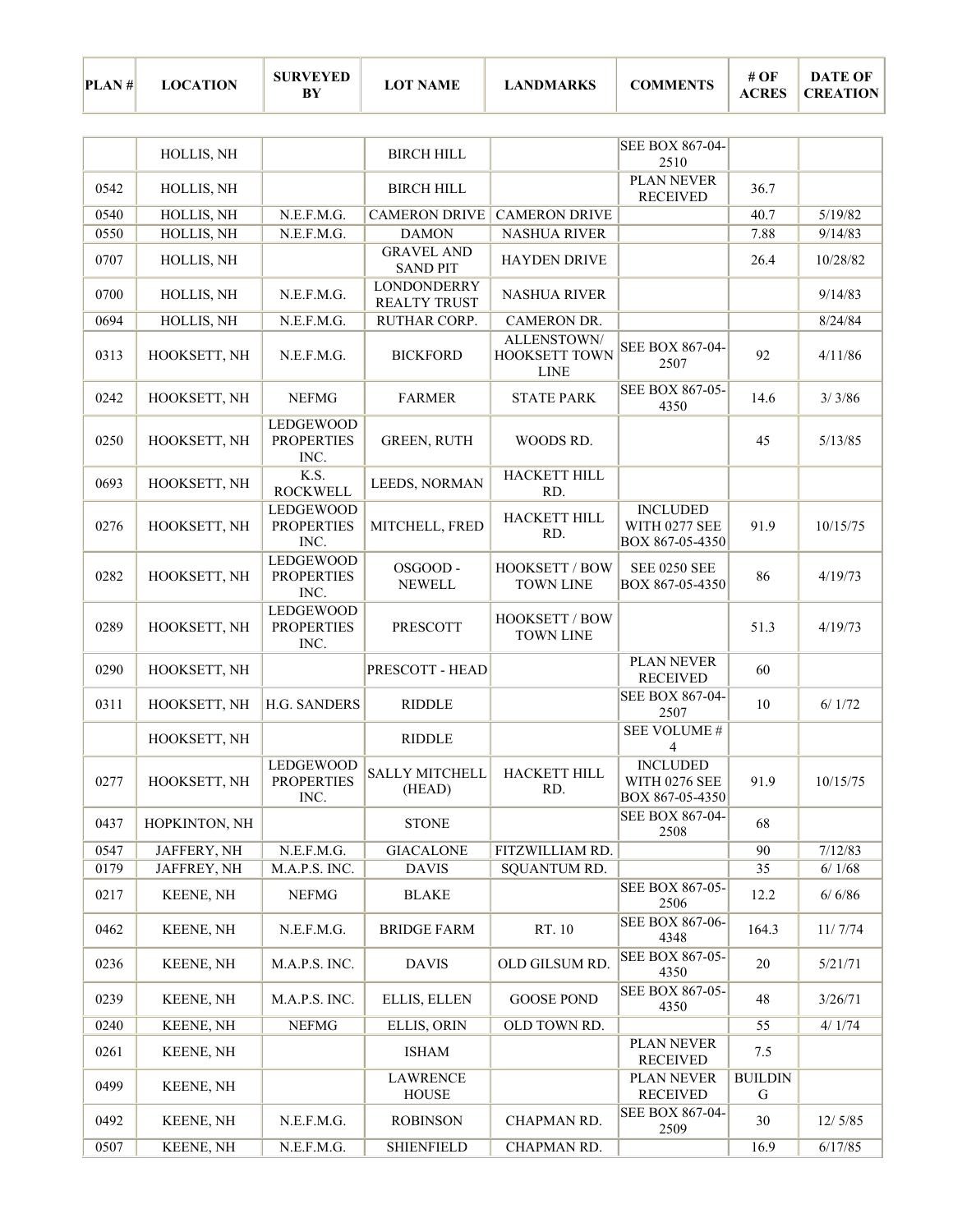| PLAN H | <b>LOCATION</b> | <b>SURVEYED</b><br>BY | <b>LOT NAME</b> | LANDMARKS | <b>COMMENTS</b> | # OF<br><b>ACRES</b> | <b>DATE OF</b><br><b>CREATION</b> |
|--------|-----------------|-----------------------|-----------------|-----------|-----------------|----------------------|-----------------------------------|
|--------|-----------------|-----------------------|-----------------|-----------|-----------------|----------------------|-----------------------------------|

|      | HOLLIS, NH        |                                               | <b>BIRCH HILL</b>                         |                                             | <b>SEE BOX 867-04-</b><br>2510                             |                     |          |
|------|-------------------|-----------------------------------------------|-------------------------------------------|---------------------------------------------|------------------------------------------------------------|---------------------|----------|
| 0542 | HOLLIS, NH        |                                               | <b>BIRCH HILL</b>                         |                                             | <b>PLAN NEVER</b><br><b>RECEIVED</b>                       | 36.7                |          |
| 0540 | HOLLIS, NH        | N.E.F.M.G.                                    | <b>CAMERON DRIVE</b>                      | <b>CAMERON DRIVE</b>                        |                                                            | 40.7                | 5/19/82  |
| 0550 | HOLLIS, NH        | N.E.F.M.G.                                    | <b>DAMON</b>                              | <b>NASHUA RIVER</b>                         |                                                            | 7.88                | 9/14/83  |
| 0707 | HOLLIS, NH        |                                               | <b>GRAVEL AND</b><br><b>SAND PIT</b>      | <b>HAYDEN DRIVE</b>                         |                                                            | 26.4                | 10/28/82 |
| 0700 | HOLLIS, NH        | N.E.F.M.G.                                    | <b>LONDONDERRY</b><br><b>REALTY TRUST</b> | <b>NASHUA RIVER</b>                         |                                                            |                     | 9/14/83  |
| 0694 | <b>HOLLIS, NH</b> | N.E.F.M.G.                                    | RUTHAR CORP.                              | CAMERON DR.                                 |                                                            |                     | 8/24/84  |
| 0313 | HOOKSETT, NH      | N.E.F.M.G.                                    | <b>BICKFORD</b>                           | ALLENSTOWN/<br>HOOKSETT TOWN<br><b>LINE</b> | SEE BOX 867-04-<br>2507                                    | 92                  | 4/11/86  |
| 0242 | HOOKSETT, NH      | <b>NEFMG</b>                                  | <b>FARMER</b>                             | <b>STATE PARK</b>                           | SEE BOX 867-05-<br>4350                                    | 14.6                | 3/3/86   |
| 0250 | HOOKSETT, NH      | <b>LEDGEWOOD</b><br><b>PROPERTIES</b><br>INC. | <b>GREEN, RUTH</b>                        | WOODS RD.                                   |                                                            | 45                  | 5/13/85  |
| 0693 | HOOKSETT, NH      | K.S.<br><b>ROCKWELL</b>                       | LEEDS, NORMAN                             | HACKETT HILL<br>RD.                         |                                                            |                     |          |
| 0276 | HOOKSETT, NH      | <b>LEDGEWOOD</b><br><b>PROPERTIES</b><br>INC. | MITCHELL, FRED                            | HACKETT HILL<br>RD.                         | <b>INCLUDED</b><br>WITH 0277 SEE<br>BOX 867-05-4350        | 91.9                | 10/15/75 |
| 0282 | HOOKSETT, NH      | <b>LEDGEWOOD</b><br><b>PROPERTIES</b><br>INC. | OSGOOD-<br><b>NEWELL</b>                  | HOOKSETT / BOW<br><b>TOWN LINE</b>          | <b>SEE 0250 SEE</b><br>BOX 867-05-4350                     | 86                  | 4/19/73  |
| 0289 | HOOKSETT, NH      | <b>LEDGEWOOD</b><br><b>PROPERTIES</b><br>INC. | <b>PRESCOTT</b>                           | HOOKSETT / BOW<br><b>TOWN LINE</b>          |                                                            | 51.3                | 4/19/73  |
| 0290 | HOOKSETT, NH      |                                               | PRESCOTT - HEAD                           |                                             | PLAN NEVER<br><b>RECEIVED</b>                              | 60                  |          |
| 0311 | HOOKSETT, NH      | H.G. SANDERS                                  | <b>RIDDLE</b>                             |                                             | SEE BOX 867-04-<br>2507                                    | 10                  | 6/1/72   |
|      | HOOKSETT, NH      |                                               | <b>RIDDLE</b>                             |                                             | SEE VOLUME #<br>$\overline{4}$                             |                     |          |
| 0277 | HOOKSETT, NH      | <b>LEDGEWOOD</b><br><b>PROPERTIES</b><br>INC. | <b>SALLY MITCHELL</b><br>(HEAD)           | HACKETT HILL<br>RD.                         | <b>INCLUDED</b><br><b>WITH 0276 SEE</b><br>BOX 867-05-4350 | 91.9                | 10/15/75 |
| 0437 | HOPKINTON, NH     |                                               | <b>STONE</b>                              |                                             | SEE BOX 867-04-<br>2508                                    | 68                  |          |
| 0547 | JAFFERY, NH       | N.E.F.M.G.                                    | <b>GIACALONE</b>                          | FITZWILLIAM RD.                             |                                                            | 90                  | 7/12/83  |
| 0179 | JAFFREY, NH       | M.A.P.S. INC.                                 | <b>DAVIS</b>                              | <b>SQUANTUM RD.</b>                         |                                                            | 35                  | 6/1/68   |
| 0217 | <b>KEENE, NH</b>  | <b>NEFMG</b>                                  | <b>BLAKE</b>                              |                                             | <b>SEE BOX 867-05-</b><br>2506                             | 12.2                | 6/6/86   |
| 0462 | <b>KEENE, NH</b>  | N.E.F.M.G.                                    | <b>BRIDGE FARM</b>                        | RT. 10                                      | SEE BOX 867-06-<br>4348                                    | 164.3               | 11/7/74  |
| 0236 | <b>KEENE, NH</b>  | M.A.P.S. INC.                                 | <b>DAVIS</b>                              | OLD GILSUM RD.                              | SEE BOX 867-05-<br>4350                                    | 20                  | 5/21/71  |
| 0239 | KEENE, NH         | M.A.P.S. INC.                                 | ELLIS, ELLEN                              | <b>GOOSE POND</b>                           | SEE BOX 867-05-<br>4350                                    | 48                  | 3/26/71  |
| 0240 | KEENE, NH         | <b>NEFMG</b>                                  | ELLIS, ORIN                               | OLD TOWN RD.                                |                                                            | 55                  | 4/1/74   |
| 0261 | KEENE, NH         |                                               | <b>ISHAM</b>                              |                                             | PLAN NEVER<br><b>RECEIVED</b>                              | 7.5                 |          |
| 0499 | KEENE, NH         |                                               | <b>LAWRENCE</b><br><b>HOUSE</b>           |                                             | PLAN NEVER<br><b>RECEIVED</b>                              | <b>BUILDIN</b><br>G |          |
| 0492 | KEENE, NH         | N.E.F.M.G.                                    | <b>ROBINSON</b>                           | CHAPMAN RD.                                 | SEE BOX 867-04-<br>2509                                    | 30                  | 12/5/85  |
| 0507 | KEENE, NH         | N.E.F.M.G.                                    | <b>SHIENFIELD</b>                         | CHAPMAN RD.                                 |                                                            | 16.9                | 6/17/85  |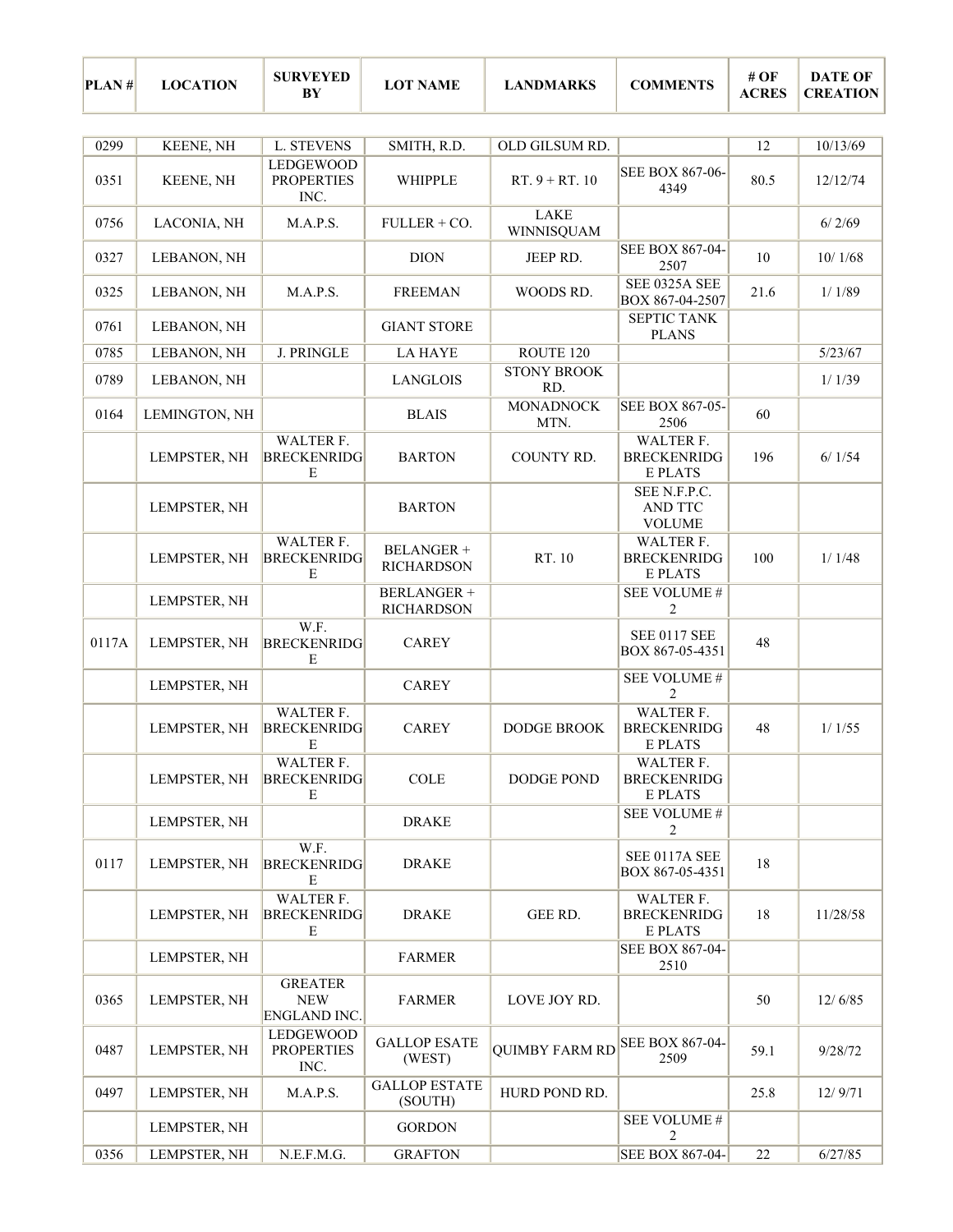| PLAN# | <b>.OCATION</b> | <b>SURVEYED</b><br>BY | <b>LOT NAME</b> | LANDMARKS | <b>COMMENTS</b> | # OF<br><b>ACRES</b> | <b>DATE OF</b><br><b>CREATION</b> |
|-------|-----------------|-----------------------|-----------------|-----------|-----------------|----------------------|-----------------------------------|
|-------|-----------------|-----------------------|-----------------|-----------|-----------------|----------------------|-----------------------------------|

| 0299  | KEENE, NH     | <b>L. STEVENS</b>                             | SMITH, R.D.                      | OLD GILSUM RD.            |                                                   | 12   | 10/13/69 |
|-------|---------------|-----------------------------------------------|----------------------------------|---------------------------|---------------------------------------------------|------|----------|
| 0351  | KEENE, NH     | <b>LEDGEWOOD</b><br><b>PROPERTIES</b><br>INC. | WHIPPLE                          | $RT.9 + RT.10$            | SEE BOX 867-06-<br>4349                           | 80.5 | 12/12/74 |
| 0756  | LACONIA, NH   | M.A.P.S.                                      | $FULLER + CO.$                   | LAKE<br>WINNISQUAM        |                                                   |      | 6/2/69   |
| 0327  | LEBANON, NH   |                                               | <b>DION</b>                      | JEEP RD.                  | SEE BOX 867-04-<br>2507                           | 10   | 10/1/68  |
| 0325  | LEBANON, NH   | M.A.P.S.                                      | <b>FREEMAN</b>                   | WOODS RD.                 | SEE 0325A SEE<br>BOX 867-04-2507                  | 21.6 | 1/1/89   |
| 0761  | LEBANON, NH   |                                               | <b>GIANT STORE</b>               |                           | <b>SEPTIC TANK</b><br><b>PLANS</b>                |      |          |
| 0785  | LEBANON, NH   | <b>J. PRINGLE</b>                             | <b>LA HAYE</b>                   | ROUTE 120                 |                                                   |      | 5/23/67  |
| 0789  | LEBANON, NH   |                                               | <b>LANGLOIS</b>                  | <b>STONY BROOK</b><br>RD. |                                                   |      | 1/1/39   |
| 0164  | LEMINGTON, NH |                                               | <b>BLAIS</b>                     | <b>MONADNOCK</b><br>MTN.  | SEE BOX 867-05-<br>2506                           | 60   |          |
|       | LEMPSTER, NH  | WALTER F.<br><b>BRECKENRIDG</b><br>E          | <b>BARTON</b>                    | COUNTY RD.                | WALTER F.<br><b>BRECKENRIDG</b><br>E PLATS        | 196  | 6/1/54   |
|       | LEMPSTER, NH  |                                               | <b>BARTON</b>                    |                           | SEE N.F.P.C.<br><b>AND TTC</b><br><b>VOLUME</b>   |      |          |
|       | LEMPSTER, NH  | WALTER F.<br><b>BRECKENRIDG</b><br>E          | BELANGER +<br><b>RICHARDSON</b>  | RT. 10                    | WALTER F.<br><b>BRECKENRIDG</b><br>E PLATS        | 100  | 1/1/48   |
|       | LEMPSTER, NH  |                                               | BERLANGER +<br><b>RICHARDSON</b> |                           | SEE VOLUME #<br>2                                 |      |          |
| 0117A | LEMPSTER, NH  | W.F.<br><b>BRECKENRIDG</b><br>E               | <b>CAREY</b>                     |                           | <b>SEE 0117 SEE</b><br>BOX 867-05-4351            | 48   |          |
|       | LEMPSTER, NH  |                                               | <b>CAREY</b>                     |                           | <b>SEE VOLUME#</b><br>2                           |      |          |
|       | LEMPSTER, NH  | WALTER F.<br><b>BRECKENRIDG</b><br>E          | <b>CAREY</b>                     | <b>DODGE BROOK</b>        | WALTER F.<br><b>BRECKENRIDG</b><br>E PLATS        | 48   | 1/1/55   |
|       | LEMPSTER, NH  | WALTER F.<br><b>BRECKENRIDG</b><br>E          | <b>COLE</b>                      | <b>DODGE POND</b>         | WALTER F.<br><b>BRECKENRIDG</b><br>E PLATS        |      |          |
|       | LEMPSTER, NH  |                                               | <b>DRAKE</b>                     |                           | SEE VOLUME #<br>2                                 |      |          |
| 0117  | LEMPSTER, NH  | W.F.<br><b>BRECKENRIDG</b><br>E               | <b>DRAKE</b>                     |                           | SEE 0117A SEE<br>BOX 867-05-4351                  | 18   |          |
|       | LEMPSTER, NH  | WALTER F.<br><b>BRECKENRIDG</b><br>Е          | <b>DRAKE</b>                     | GEE RD.                   | <b>WALTER F.</b><br><b>BRECKENRIDG</b><br>E PLATS | 18   | 11/28/58 |
|       | LEMPSTER, NH  |                                               | <b>FARMER</b>                    |                           | SEE BOX 867-04-<br>2510                           |      |          |
| 0365  | LEMPSTER, NH  | <b>GREATER</b><br><b>NEW</b><br>ENGLAND INC.  | <b>FARMER</b>                    | LOVE JOY RD.              |                                                   | 50   | 12/6/85  |
| 0487  | LEMPSTER, NH  | <b>LEDGEWOOD</b><br><b>PROPERTIES</b><br>INC. | <b>GALLOP ESATE</b><br>(WEST)    | <b>QUIMBY FARM RD</b>     | SEE BOX 867-04-<br>2509                           | 59.1 | 9/28/72  |
| 0497  | LEMPSTER, NH  | M.A.P.S.                                      | <b>GALLOP ESTATE</b><br>(SOUTH)  | HURD POND RD.             |                                                   | 25.8 | 12/9/71  |
|       | LEMPSTER, NH  |                                               | <b>GORDON</b>                    |                           | SEE VOLUME #<br>2                                 |      |          |
| 0356  | LEMPSTER, NH  | N.E.F.M.G.                                    | <b>GRAFTON</b>                   |                           | SEE BOX 867-04-                                   | 22   | 6/27/85  |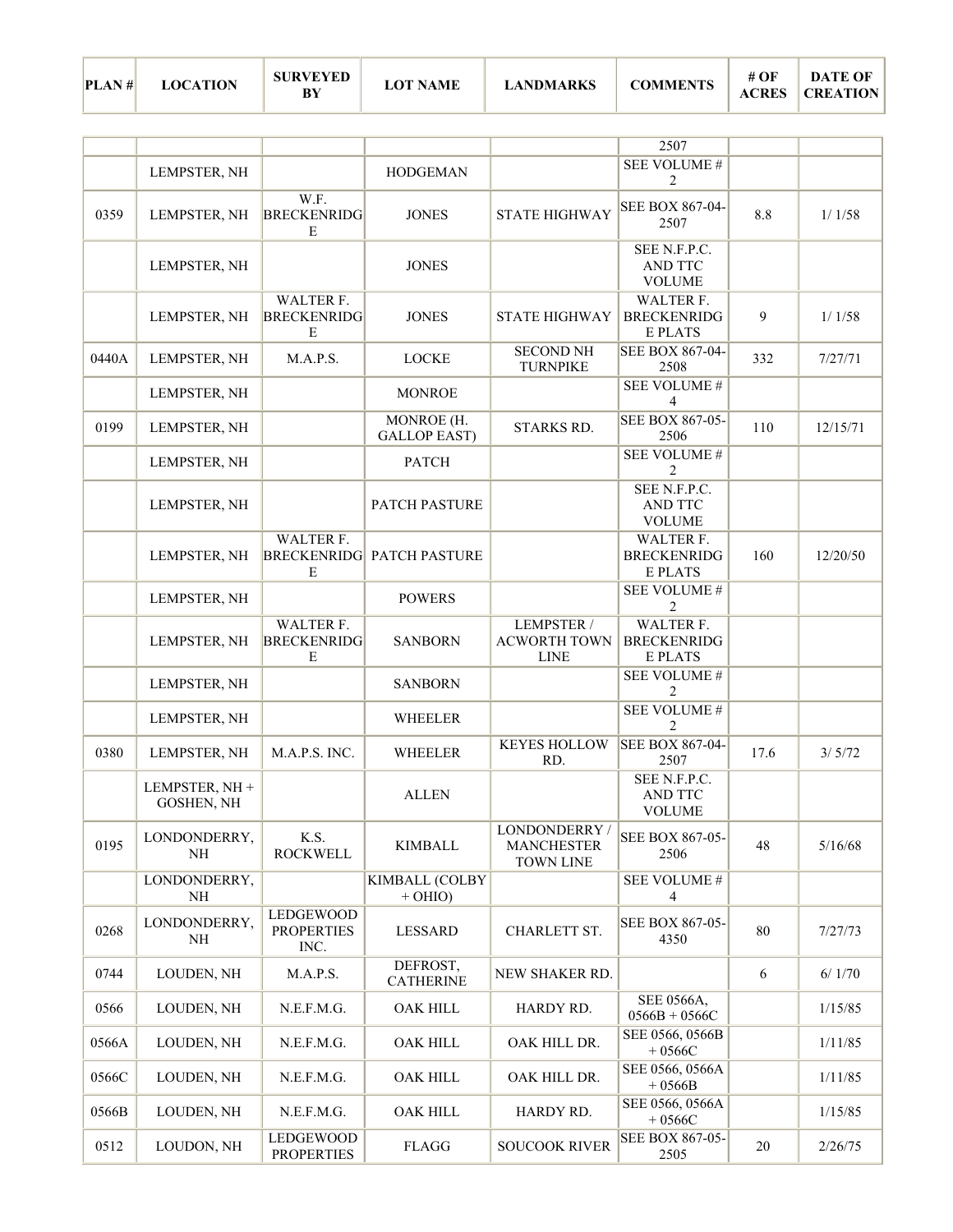| PLAN H | <b>LOCATION</b> | <b>SURVEYED</b><br>BY | <b>LOT NAME</b> | LANDMARKS | <b>COMMENTS</b> | # $OF$<br><b>ACRES</b> | <b>DATE OF</b><br><b>CREATION</b> |
|--------|-----------------|-----------------------|-----------------|-----------|-----------------|------------------------|-----------------------------------|
|        |                 |                       |                 |           |                 |                        |                                   |

|       |                                     |                                               |                                   |                                                        | 2507                                              |            |          |
|-------|-------------------------------------|-----------------------------------------------|-----------------------------------|--------------------------------------------------------|---------------------------------------------------|------------|----------|
|       | LEMPSTER, NH                        |                                               | <b>HODGEMAN</b>                   |                                                        | <b>SEE VOLUME#</b><br>$\overline{2}$              |            |          |
| 0359  | LEMPSTER, NH                        | W.F.<br><b>BRECKENRIDG</b><br>E               | <b>JONES</b>                      | <b>STATE HIGHWAY</b>                                   | SEE BOX 867-04-<br>2507                           | 8.8        | 1/1/58   |
|       | LEMPSTER, NH                        |                                               | <b>JONES</b>                      |                                                        | SEE N.F.P.C.<br><b>AND TTC</b><br><b>VOLUME</b>   |            |          |
|       | LEMPSTER, NH                        | WALTER F.<br><b>BRECKENRIDG</b><br>E          | <b>JONES</b>                      | <b>STATE HIGHWAY</b>                                   | WALTER F.<br><b>BRECKENRIDG</b><br>E PLATS        | 9          | 1/1/58   |
| 0440A | LEMPSTER, NH                        | M.A.P.S.                                      | <b>LOCKE</b>                      | <b>SECOND NH</b><br><b>TURNPIKE</b>                    | SEE BOX 867-04-<br>2508                           | 332        | 7/27/71  |
|       | LEMPSTER, NH                        |                                               | <b>MONROE</b>                     |                                                        | SEE VOLUME #<br>4                                 |            |          |
| 0199  | LEMPSTER, NH                        |                                               | MONROE (H.<br><b>GALLOP EAST)</b> | STARKS RD.                                             | SEE BOX 867-05-<br>2506                           | 110        | 12/15/71 |
|       | LEMPSTER, NH                        |                                               | <b>PATCH</b>                      |                                                        | <b>SEE VOLUME#</b><br>$\overline{c}$              |            |          |
|       | LEMPSTER, NH                        |                                               | <b>PATCH PASTURE</b>              |                                                        | SEE N.F.P.C.<br><b>AND TTC</b><br><b>VOLUME</b>   |            |          |
|       | LEMPSTER, NH                        | <b>WALTER F.</b><br>E                         | <b>BRECKENRIDG PATCH PASTURE</b>  |                                                        | <b>WALTER F.</b><br><b>BRECKENRIDG</b><br>E PLATS | 160        | 12/20/50 |
|       | LEMPSTER, NH                        |                                               | <b>POWERS</b>                     |                                                        | SEE VOLUME #<br>2                                 |            |          |
|       | LEMPSTER, NH                        | WALTER F.<br><b>BRECKENRIDG</b><br>E          | <b>SANBORN</b>                    | LEMPSTER /<br><b>ACWORTH TOWN</b><br><b>LINE</b>       | WALTER F.<br><b>BRECKENRIDG</b><br>E PLATS        |            |          |
|       | LEMPSTER, NH                        |                                               | <b>SANBORN</b>                    |                                                        | SEE VOLUME #<br>2                                 |            |          |
|       | LEMPSTER, NH                        |                                               | WHEELER                           |                                                        | <b>SEE VOLUME#</b><br>2                           |            |          |
| 0380  | LEMPSTER, NH                        | M.A.P.S. INC.                                 | WHEELER                           | <b>KEYES HOLLOW</b><br>RD.                             | <b>SEE BOX 867-04-</b><br>2507                    | 17.6       | 3/5/72   |
|       | LEMPSTER, NH +<br><b>GOSHEN, NH</b> |                                               | <b>ALLEN</b>                      |                                                        | SEE N.F.P.C.<br>AND TTC<br><b>VOLUME</b>          |            |          |
| 0195  | LONDONDERRY,<br>NH                  | K.S.<br><b>ROCKWELL</b>                       | <b>KIMBALL</b>                    | LONDONDERRY /<br><b>MANCHESTER</b><br><b>TOWN LINE</b> | SEE BOX 867-05-<br>2506                           | 48         | 5/16/68  |
|       | LONDONDERRY,<br>NH                  |                                               | KIMBALL (COLBY<br>$+$ OHIO)       |                                                        | SEE VOLUME #<br>4                                 |            |          |
| 0268  | LONDONDERRY,<br><b>NH</b>           | <b>LEDGEWOOD</b><br><b>PROPERTIES</b><br>INC. | <b>LESSARD</b>                    | CHARLETT ST.                                           | SEE BOX 867-05-<br>4350                           | 80         | 7/27/73  |
| 0744  | LOUDEN, NH                          | M.A.P.S.                                      | DEFROST,<br><b>CATHERINE</b>      | NEW SHAKER RD.                                         |                                                   | $\sqrt{6}$ | 6/1/70   |
| 0566  | LOUDEN, NH                          | N.E.F.M.G.                                    | <b>OAK HILL</b>                   | HARDY RD.                                              | <b>SEE 0566A.</b><br>$0566B + 0566C$              |            | 1/15/85  |
| 0566A | LOUDEN, NH                          | N.E.F.M.G.                                    | <b>OAK HILL</b>                   | OAK HILL DR.                                           | SEE 0566, 0566B<br>$+0566C$                       |            | 1/11/85  |
| 0566C | LOUDEN, NH                          | N.E.F.M.G.                                    | <b>OAK HILL</b>                   | OAK HILL DR.                                           | SEE 0566, 0566A<br>$+0566B$                       |            | 1/11/85  |
| 0566B | LOUDEN, NH                          | N.E.F.M.G.                                    | <b>OAK HILL</b>                   | HARDY RD.                                              | SEE 0566, 0566A<br>$+0566C$                       |            | 1/15/85  |
| 0512  | LOUDON, NH                          | <b>LEDGEWOOD</b><br><b>PROPERTIES</b>         | FLAGG                             | <b>SOUCOOK RIVER</b>                                   | SEE BOX 867-05-<br>2505                           | $20\,$     | 2/26/75  |